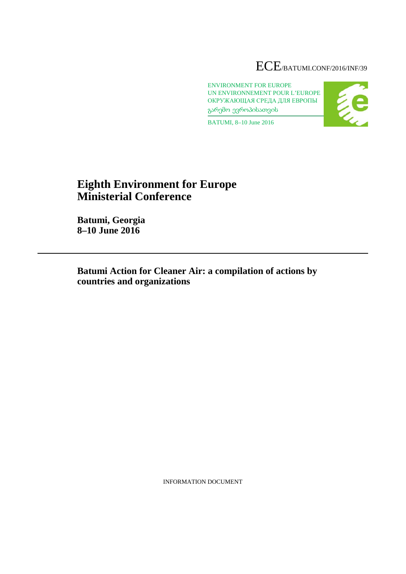# ECE/BATUMI.CONF/2016/INF/39

ENVIRONMENT FOR EUROPE UN ENVIRONNEMENT POUR L'EUROPE ОКРУЖАЮЩАЯ СРЕДА ДЛЯ ЕВРОПЫ გარემო ევროპისათვის



BATUMI, 8–10 June 2016

# **Eighth Environment for Europe Ministerial Conference**

**Batumi, Georgia 8–10 June 2016**

**Batumi Action for Cleaner Air: a compilation of actions by countries and organizations**

INFORMATION DOCUMENT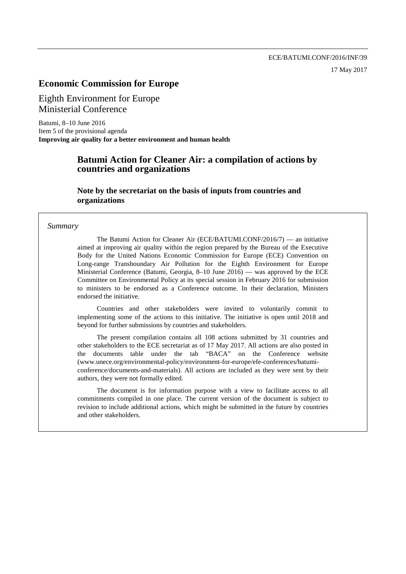# **Economic Commission for Europe**

Eighth Environment for Europe Ministerial Conference

Batumi, 8–10 June 2016 Item 5 of the provisional agenda **Improving air quality for a better environment and human health**

# **Batumi Action for Cleaner Air: a compilation of actions by countries and organizations**

**Note by the secretariat on the basis of inputs from countries and organizations**

#### *Summary*

The Batumi Action for Cleaner Air (ECE/BATUMI.CONF/2016/7) –– an initiative aimed at improving air quality within the region prepared by the Bureau of the Executive Body for the United Nations Economic Commission for Europe (ECE) Convention on Long-range Transboundary Air Pollution for the Eighth Environment for Europe Ministerial Conference (Batumi, Georgia, 8–10 June 2016) –– was approved by the ECE Committee on Environmental Policy at its special session in February 2016 for submission to ministers to be endorsed as a Conference outcome. In their declaration, Ministers endorsed the initiative.

Countries and other stakeholders were invited to voluntarily commit to implementing some of the actions to this initiative. The initiative is open until 2018 and beyond for further submissions by countries and stakeholders.

The present compilation contains all 108 actions submitted by 31 countries and other stakeholders to the ECE secretariat as of 17 May 2017. All actions are also posted in the documents table under the tab "BACA" on the Conference website [\(www.unece.org/environmental-policy/environment-for-europe/efe-conferences/batumi](http://www.unece.org/environmental-policy/environment-for-europe/efe-conferences/batumi-conference/documents-and-materials)[conference/documents-and-materials\)](http://www.unece.org/environmental-policy/environment-for-europe/efe-conferences/batumi-conference/documents-and-materials). All actions are included as they were sent by their authors, they were not formally edited.

The document is for information purpose with a view to facilitate access to all commitments compiled in one place. The current version of the document is subject to revision to include additional actions, which might be submitted in the future by countries and other stakeholders.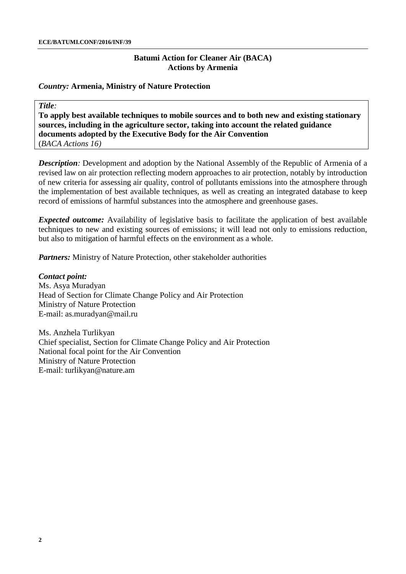#### *Country:* **Armenia, Ministry of Nature Protection**

*Title:*

**To apply best available techniques to mobile sources and to both new and existing stationary sources, including in the agriculture sector, taking into account the related guidance documents adopted by the Executive Body for the Air Convention** (*BACA Actions 16)*

*Description:* Development and adoption by the National Assembly of the Republic of Armenia of a revised law on air protection reflecting modern approaches to air protection, notably by introduction of new criteria for assessing air quality, control of pollutants emissions into the atmosphere through the implementation of best available techniques, as well as creating an integrated database to keep record of emissions of harmful substances into the atmosphere and greenhouse gases.

*Expected outcome:* Availability of legislative basis to facilitate the application of best available techniques to new and existing sources of emissions; it will lead not only to emissions reduction, but also to mitigation of harmful effects on the environment as a whole.

*Partners:* Ministry of Nature Protection, other stakeholder authorities

*Contact point:* Ms. Asya Muradyan Head of Section for Climate Change Policy and Air Protection Ministry of Nature Protection E-mail: [as.muradyan@mail.ru](mailto:as.muradyan@mail.ru)

Ms. Anzhela Turlikyan Chief specialist, Section for Climate Change Policy and Air Protection National focal point for the Air Convention Ministry of Nature Protection E-mail: [turlikyan@nature.am](mailto:turlikyan@nature.am)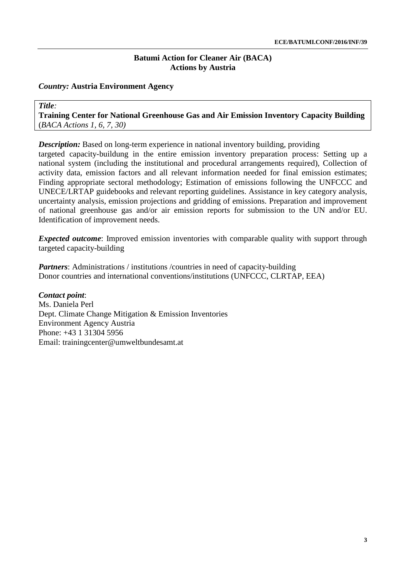### *Country:* **Austria Environment Agency**

*Title:* **Training Center for National Greenhouse Gas and Air Emission Inventory Capacity Building** (*BACA Actions 1, 6, 7, 30)*

*Description:* Based on long-term experience in national inventory building, providing targeted capacity-buildung in the entire emission inventory preparation process: Setting up a national system (including the institutional and procedural arrangements required), Collection of activity data, emission factors and all relevant information needed for final emission estimates; Finding appropriate sectoral methodology; Estimation of emissions following the UNFCCC and UNECE/LRTAP guidebooks and relevant reporting guidelines. Assistance in key category analysis, uncertainty analysis, emission projections and gridding of emissions. Preparation and improvement of national greenhouse gas and/or air emission reports for submission to the UN and/or EU. Identification of improvement needs.

*Expected outcome*: Improved emission inventories with comparable quality with support through targeted capacity-building

*Partners*: Administrations / institutions / countries in need of capacity-building Donor countries and international conventions/institutions (UNFCCC, CLRTAP, EEA)

### *Contact point*:

Ms. Daniela Perl Dept. Climate Change Mitigation & Emission Inventories Environment Agency Austria Phone: +43 1 31304 5956 Email: [trainingcenter@umweltbundesamt.at](mailto:trainingcenter@umweltbundesamt.at)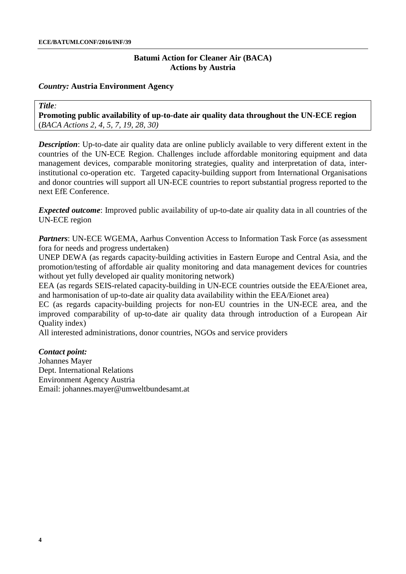### *Country:* **Austria Environment Agency**

*Title:*

**Promoting public availability of up-to-date air quality data throughout the UN-ECE region** (*BACA Actions 2, 4, 5, 7, 19, 28, 30)*

*Description*: Up-to-date air quality data are online publicly available to very different extent in the countries of the UN-ECE Region. Challenges include affordable monitoring equipment and data management devices, comparable monitoring strategies, quality and interpretation of data, interinstitutional co-operation etc. Targeted capacity-building support from International Organisations and donor countries will support all UN-ECE countries to report substantial progress reported to the next EfE Conference.

*Expected outcome*: Improved public availability of up-to-date air quality data in all countries of the UN-ECE region

*Partners*: UN-ECE WGEMA, Aarhus Convention Access to Information Task Force (as assessment fora for needs and progress undertaken)

UNEP DEWA (as regards capacity-building activities in Eastern Europe and Central Asia, and the promotion/testing of affordable air quality monitoring and data management devices for countries without yet fully developed air quality monitoring network)

EEA (as regards SEIS-related capacity-building in UN-ECE countries outside the EEA/Eionet area, and harmonisation of up-to-date air quality data availability within the EEA/Eionet area)

EC (as regards capacity-building projects for non-EU countries in the UN-ECE area, and the improved comparability of up-to-date air quality data through introduction of a European Air Quality index)

All interested administrations, donor countries, NGOs and service providers

### *Contact point:*

Johannes Mayer Dept. International Relations Environment Agency Austria Email: [johannes.mayer@umweltbundesamt.at](mailto:johannes.mayer@umweltbundesamt.at)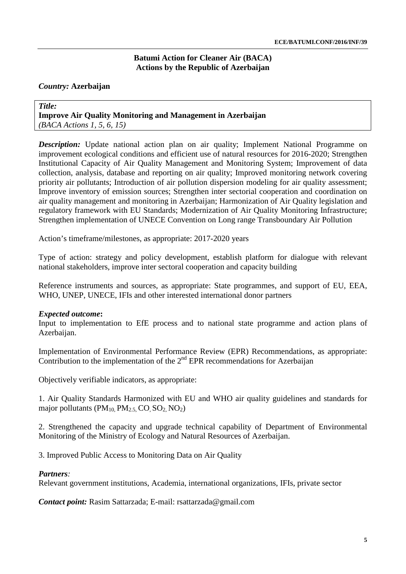### **Batumi Action for Cleaner Air (BACA[\)](http://www.unece.org/fileadmin/DAM/env/efe/Batumi/CAREC.BIG-E.e.pdf#page=4) Actions by the Republic of Azerbaija[n](http://www.unece.org/fileadmin/DAM/env/efe/Batumi/CAREC.BIG-E.e.pdf#page=5)**

### *Country:* **Azerbaijan**

*Title:*  **Improve Air Quality Monitoring and Management in Azerbaijan**  *(BACA Actions 1, 5, 6, 15)*

*Description:* Update national action plan on air quality; Implement National Programme on improvement ecological conditions and efficient use of natural resources for 2016-2020; Strengthen Institutional Capacity of Air Quality Management and Monitoring System; Improvement of data collection, analysis, database and reporting on air quality; Improved monitoring network covering priority air pollutants; Introduction of air pollution dispersion modeling for air quality assessment; Improve inventory of emission sources; Strengthen inter sectorial cooperation and coordination on air quality management and monitoring in Azerbaijan; Harmonization of Air Quality legislation and regulatory framework with EU Standards; Modernization of Air Quality Monitoring Infrastructure; Strengthen implementation of UNECE Convention on Long range Transboundary Air Pollution

Action's timeframe/milestones, as appropriate: 2017-2020 years

Type of action: strategy and policy development, establish platform for dialogue with relevant national stakeholders, improve inter sectoral cooperation and capacity building

Reference instruments and sources, as appropriate: State programmes, and support of EU, EEA, WHO, UNEP, UNECE, IFIs and other interested international donor partners

### *Expected outcome***:**

Input to implementation to EfE process and to national state programme and action plans of Azerbaijan.

Implementation of Environmental Performance Review (EPR) Recommendations, as appropriate: Contribution to the implementation of the  $2<sup>nd</sup> EPR$  recommendations for Azerbaijan

Objectively verifiable indicators, as appropriate:

1. Air Quality Standards Harmonized with EU and WHO air quality guidelines and standards for major pollutants ( $PM_{10}$ ,  $PM_{2.5}$ , CO, SO<sub>2</sub>, NO<sub>2</sub>)

2. Strengthened the capacity and upgrade technical capability of Department of Environmental Monitoring of the Ministry of Ecology and Natural Resources of Azerbaijan.

3. Improved Public Access to Monitoring Data on Air Quality

### *Partners:*

Relevant government institutions, Academia, international organizations, IFIs, private sector

*Contact point:* Rasim Sattarzada; E-mail: [rsattarzada@gmail.com](mailto:rsattarzada@gmail.com)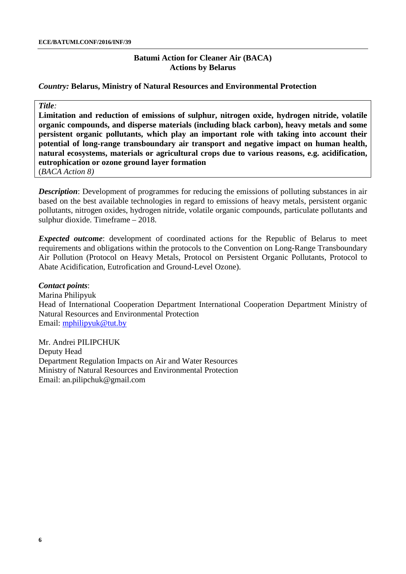#### *Country:* **Belarus, Ministry of Natural Resources and Environmental Protection**

#### *Title:*

**Limitation and reduction of emissions of sulphur, nitrogen oxide, hydrogen nitride, volatile organic compounds, and disperse materials (including black carbon), heavy metals and some persistent organic pollutants, which play an important role with taking into account their potential of long-range transboundary air transport and negative impact on human health, natural ecosystems, materials or agricultural crops due to various reasons, e.g. acidification, eutrophication or ozone ground layer formation** (*BACA Action 8)*

*Description*: Development of programmes for reducing the emissions of polluting substances in air based on the best available technologies in regard to emissions of heavy metals, persistent organic pollutants, nitrogen oxides, hydrogen nitride, volatile organic compounds, particulate pollutants and sulphur dioxide. Timeframe – 2018.

*Expected outcome*: development of coordinated actions for the Republic of Belarus to meet requirements and obligations within the protocols to the Convention on Long-Range Transboundary Air Pollution (Protocol on Heavy Metals, Protocol on Persistent Organic Pollutants, Protocol to Abate Acidification, Eutrofication and Ground-Level Ozone).

*Contact points*: Marina Philipyuk Head of International Cooperation Department International Cooperation Department Ministry of Natural Resources and Environmental Protection Email: [mphilipyuk@tut.by](mailto:mphilipyuk@tut.by)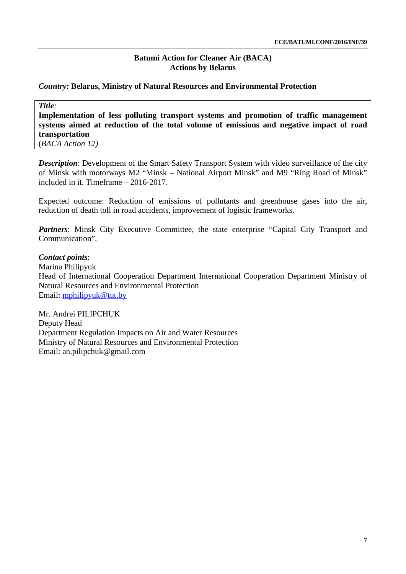### *Country:* **Belarus, Ministry of Natural Resources and Environmental Protection**

*Title:*

**Implementation of less polluting transport systems and promotion of traffic management systems aimed at reduction of the total volume of emissions and negative impact of road transportation**

(*BACA Action 12)*

*Description*: Development of the Smart Safety Transport System with video surveillance of the city of Minsk with motorways M2 "Minsk – National Airport Minsk" and M9 "Ring Road of Minsk" included in it. Timeframe – 2016-2017.

Expected outcome: Reduction of emissions of pollutants and greenhouse gases into the air, reduction of death toll in road accidents, improvement of logistic frameworks.

Partners: Minsk City Executive Committee, the state enterprise "Capital City Transport and Communication".

### *Contact points*:

Marina Philipyuk Head of International Cooperation Department International Cooperation Department Ministry of Natural Resources and Environmental Protection Email: [mphilipyuk@tut.by](mailto:mphilipyuk@tut.by)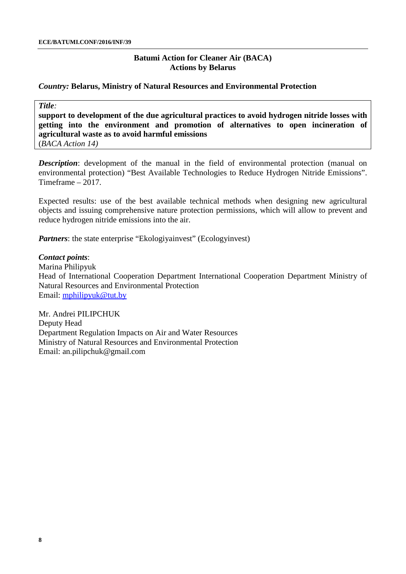#### *Country:* **Belarus, Ministry of Natural Resources and Environmental Protection**

#### *Title:*

**support to development of the due agricultural practices to avoid hydrogen nitride losses with getting into the environment and promotion of alternatives to open incineration of agricultural waste as to avoid harmful emissions** (*BACA Action 14)*

**Description**: development of the manual in the field of environmental protection (manual on environmental protection) "Best Available Technologies to Reduce Hydrogen Nitride Emissions". Timeframe – 2017.

Expected results: use of the best available technical methods when designing new agricultural objects and issuing comprehensive nature protection permissions, which will allow to prevent and reduce hydrogen nitride emissions into the air.

*Partners*: the state enterprise "Ekologiyainvest" (Ecologyinvest)

#### *Contact points*:

Marina Philipyuk Head of International Cooperation Department International Cooperation Department Ministry of Natural Resources and Environmental Protection Email: [mphilipyuk@tut.by](mailto:mphilipyuk@tut.by)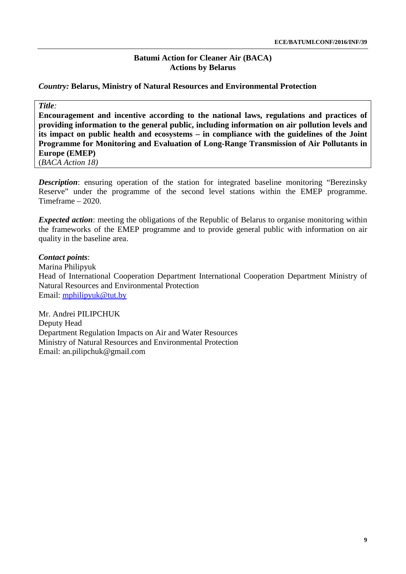### *Country:* **Belarus, Ministry of Natural Resources and Environmental Protection**

#### *Title:*

**Encouragement and incentive according to the national laws, regulations and practices of providing information to the general public, including information on air pollution levels and its impact on public health and ecosystems – in compliance with the guidelines of the Joint Programme for Monitoring and Evaluation of Long-Range Transmission of Air Pollutants in Europe (EMEP)** 

(*BACA Action 18)*

**Description**: ensuring operation of the station for integrated baseline monitoring "Berezinsky Reserve" under the programme of the second level stations within the EMEP programme. Timeframe – 2020.

*Expected action*: meeting the obligations of the Republic of Belarus to organise monitoring within the frameworks of the EMEP programme and to provide general public with information on air quality in the baseline area.

### *Contact points*:

Marina Philipyuk Head of International Cooperation Department International Cooperation Department Ministry of Natural Resources and Environmental Protection Email: [mphilipyuk@tut.by](mailto:mphilipyuk@tut.by)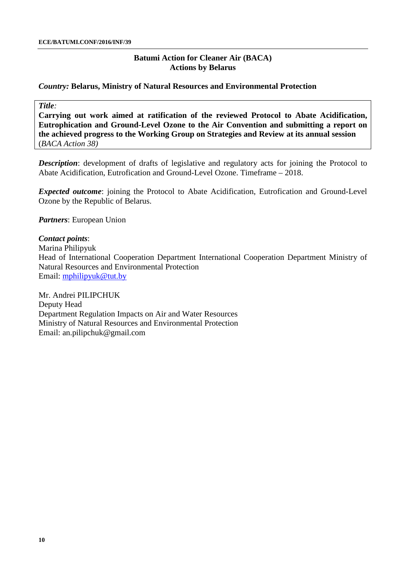### *Country:* **Belarus, Ministry of Natural Resources and Environmental Protection**

### *Title:*

**Carrying out work aimed at ratification of the reviewed Protocol to Abate Acidification, Eutrophication and Ground-Level Ozone to the Air Convention and submitting a report on the achieved progress to the Working Group on Strategies and Review at its annual session** (*BACA Action 38)*

**Description**: development of drafts of legislative and regulatory acts for joining the Protocol to Abate Acidification, Eutrofication and Ground-Level Ozone. Timeframe – 2018.

*Expected outcome*: joining the Protocol to Abate Acidification, Eutrofication and Ground-Level Ozone by the Republic of Belarus.

*Partners*: European Union

### *Contact points*:

Marina Philipyuk Head of International Cooperation Department International Cooperation Department Ministry of Natural Resources and Environmental Protection Email: [mphilipyuk@tut.by](mailto:mphilipyuk@tut.by)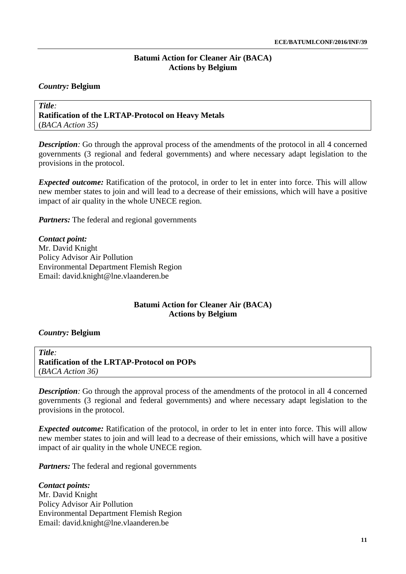### *Country:* **Belgium**

*Title:* **Ratification of the LRTAP-Protocol on Heavy Metals** (*BACA Action 35)*

*Description:* Go through the approval process of the amendments of the protocol in all 4 concerned governments (3 regional and federal governments) and where necessary adapt legislation to the provisions in the protocol.

*Expected outcome:* Ratification of the protocol, in order to let in enter into force. This will allow new member states to join and will lead to a decrease of their emissions, which will have a positive impact of air quality in the whole UNECE region.

*Partners:* The federal and regional governments

*Contact point:* Mr. David Knight Policy Advisor Air Pollution Environmental Department Flemish Region Email: [david.knight@lne.vlaanderen.be](mailto:david.knight@lne.vlaanderen.be)

# **Batumi Action for Cleaner Air (BACA) Actions by Belgium**

### *Country:* **Belgium**

*Title:* **Ratification of the LRTAP-Protocol on POPs** (*BACA Action 36)*

*Description:* Go through the approval process of the amendments of the protocol in all 4 concerned governments (3 regional and federal governments) and where necessary adapt legislation to the provisions in the protocol.

*Expected outcome:* Ratification of the protocol, in order to let in enter into force. This will allow new member states to join and will lead to a decrease of their emissions, which will have a positive impact of air quality in the whole UNECE region.

*Partners:* The federal and regional governments

*Contact points:* Mr. David Knight Policy Advisor Air Pollution Environmental Department Flemish Region Email: [david.knight@lne.vlaanderen.be](mailto:david.knight@lne.vlaanderen.be)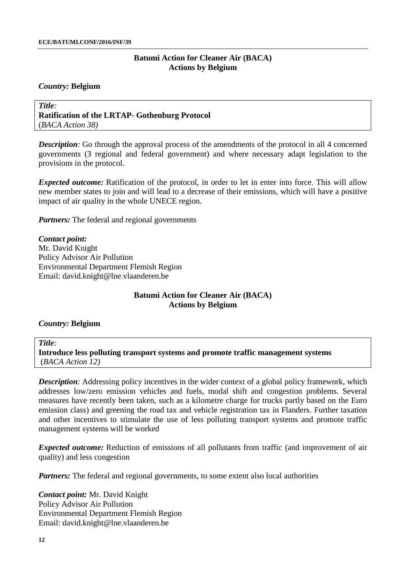#### *Country:* **Belgium**

*Title:* **Ratification of the LRTAP- Gothenburg Protocol** (*BACA Action 38)*

*Description:* Go through the approval process of the amendments of the protocol in all 4 concerned governments (3 regional and federal government) and where necessary adapt legislation to the provisions in the protocol.

*Expected outcome:* Ratification of the protocol, in order to let in enter into force. This will allow new member states to join and will lead to a decrease of their emissions, which will have a positive impact of air quality in the whole UNECE region.

*Partners:* The federal and regional governments

*Contact point:* Mr. David Knight Policy Advisor Air Pollution Environmental Department Flemish Region Email: [david.knight@lne.vlaanderen.be](mailto:david.knight@lne.vlaanderen.be)

### **Batumi Action for Cleaner Air (BACA) Actions by Belgium**

#### *Country:* **Belgium**

#### *Title:*

**Introduce less polluting transport systems and promote traffic management systems** (*BACA Action 12)*

*Description:* Addressing policy incentives in the wider context of a global policy framework, which addresses low/zero emission vehicles and fuels, modal shift and congestion problems. Several measures have recently been taken, such as a kilometre charge for trucks partly based on the Euro emission class) and greening the road tax and vehicle registration tax in Flanders. Further taxation and other incentives to stimulate the use of less polluting transport systems and promote traffic management systems will be worked

*Expected outcome:* Reduction of emissions of all pollutants from traffic (and improvement of air quality) and less congestion

*Partners:* The federal and regional governments, to some extent also local authorities

*Contact point:* Mr. David Knight Policy Advisor Air Pollution Environmental Department Flemish Region Email: [david.knight@lne.vlaanderen.be](mailto:david.knight@lne.vlaanderen.be)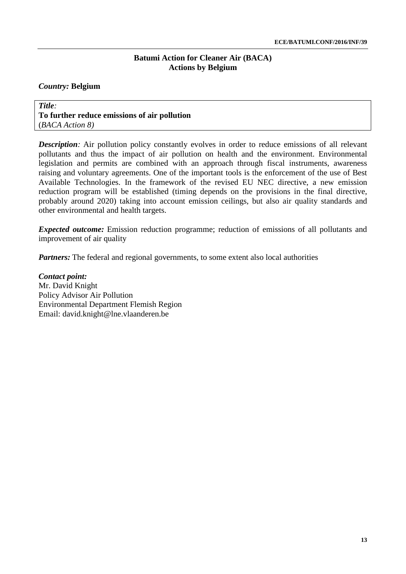### *Country:* **Belgium**

*Title:* **To further reduce emissions of air pollution** (*BACA Action 8)*

*Description:* Air pollution policy constantly evolves in order to reduce emissions of all relevant pollutants and thus the impact of air pollution on health and the environment. Environmental legislation and permits are combined with an approach through fiscal instruments, awareness raising and voluntary agreements. One of the important tools is the enforcement of the use of Best Available Technologies. In the framework of the revised EU NEC directive, a new emission reduction program will be established (timing depends on the provisions in the final directive, probably around 2020) taking into account emission ceilings, but also air quality standards and other environmental and health targets.

*Expected outcome:* Emission reduction programme; reduction of emissions of all pollutants and improvement of air quality

*Partners:* The federal and regional governments, to some extent also local authorities

*Contact point:* Mr. David Knight Policy Advisor Air Pollution Environmental Department Flemish Region Email: [david.knight@lne.vlaanderen.be](mailto:david.knight@lne.vlaanderen.be)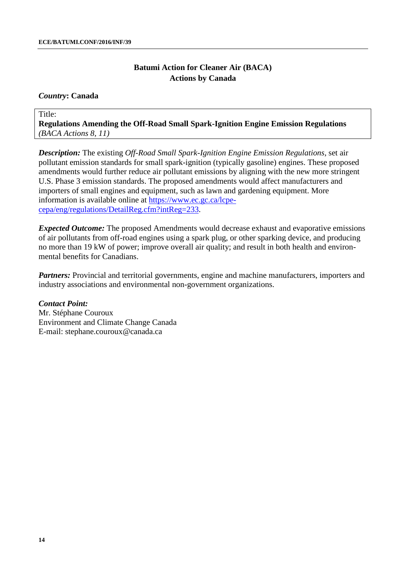#### *Country***: Canada**

Title:

**Regulations Amending the Off-Road Small Spark-Ignition Engine Emission Regulations**  *(BACA Actions 8, 11)*

*Description:* The existing *Off-Road Small Spark-Ignition Engine Emission Regulations*, set air pollutant emission standards for small spark-ignition (typically gasoline) engines. These proposed amendments would further reduce air pollutant emissions by aligning with the new more stringent U.S. Phase 3 emission standards. The proposed amendments would affect manufacturers and importers of small engines and equipment, such as lawn and gardening equipment. More information is available online at [https://www.ec.gc.ca/lcpe](https://www.ec.gc.ca/lcpe-cepa/eng/regulations/DetailReg.cfm?intReg=233)[cepa/eng/regulations/DetailReg.cfm?intReg=233.](https://www.ec.gc.ca/lcpe-cepa/eng/regulations/DetailReg.cfm?intReg=233)

*Expected Outcome:* The proposed Amendments would decrease exhaust and evaporative emissions of air pollutants from off-road engines using a spark plug, or other sparking device, and producing no more than 19 kW of power; improve overall air quality; and result in both health and environmental benefits for Canadians.

*Partners:* Provincial and territorial governments, engine and machine manufacturers, importers and industry associations and environmental non-government organizations.

*Contact Point:*  Mr. Stéphane Couroux Environment and Climate Change Canada E-mail: stephane.couroux@canada.ca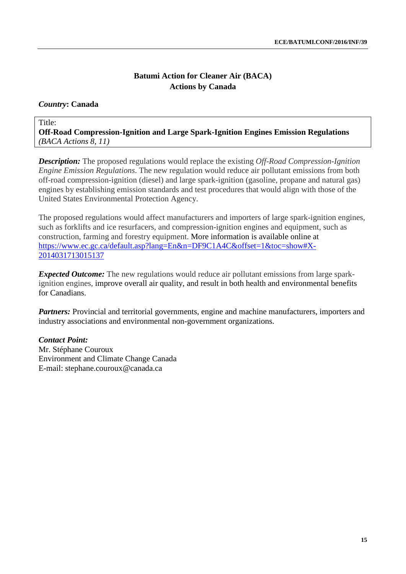# *Country***: Canada**

Title: **Off-Road Compression-Ignition and Large Spark-Ignition Engines Emission Regulations**  *(BACA Actions 8, 11)*

*Description:* The proposed regulations would replace the existing *Off-Road Compression-Ignition Engine Emission Regulations*. The new regulation would reduce air pollutant emissions from both off-road compression-ignition (diesel) and large spark-ignition (gasoline, propane and natural gas) engines by establishing emission standards and test procedures that would align with those of the United States Environmental Protection Agency.

The proposed regulations would affect manufacturers and importers of large spark-ignition engines, such as forklifts and ice resurfacers, and compression-ignition engines and equipment, such as construction, farming and forestry equipment. More information is available online at [https://www.ec.gc.ca/default.asp?lang=En&n=DF9C1A4C&offset=1&toc=show#X-](https://www.ec.gc.ca/default.asp?lang=En&n=DF9C1A4C&offset=1&toc=show#X-2014031713015137)[2014031713015137](https://www.ec.gc.ca/default.asp?lang=En&n=DF9C1A4C&offset=1&toc=show#X-2014031713015137)

*Expected Outcome:* The new regulations would reduce air pollutant emissions from large sparkignition engines, improve overall air quality, and result in both health and environmental benefits for Canadians.

*Partners:* Provincial and territorial governments, engine and machine manufacturers, importers and industry associations and environmental non-government organizations.

# *Contact Point:*

Mr. Stéphane Couroux Environment and Climate Change Canada E-mail: stephane.couroux@canada.ca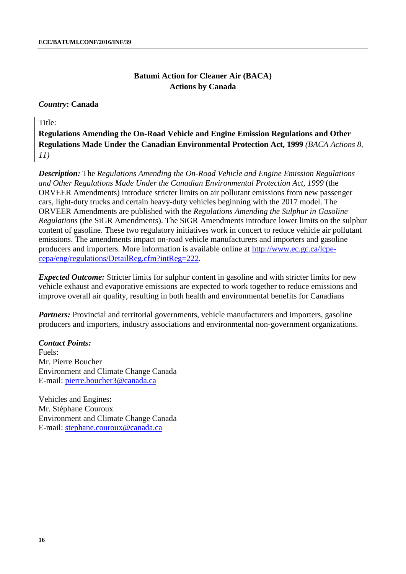### *Country***: Canada**

### Title:

**Regulations Amending the On-Road Vehicle and Engine Emission Regulations and Other Regulations Made Under the Canadian Environmental Protection Act, 1999** *(BACA Actions 8, 11)*

*Description:* The *Regulations Amending the On-Road Vehicle and Engine Emission Regulations and Other Regulations Made Under the Canadian Environmental Protection Act, 1999* (the ORVEER Amendments) introduce stricter limits on air pollutant emissions from new passenger cars, light-duty trucks and certain heavy-duty vehicles beginning with the 2017 model. The ORVEER Amendments are published with the *Regulations Amending the Sulphur in Gasoline Regulations* (the SiGR Amendments). The SiGR Amendments introduce lower limits on the sulphur content of gasoline. These two regulatory initiatives work in concert to reduce vehicle air pollutant emissions. The amendments impact on-road vehicle manufacturers and importers and gasoline producers and importers. More information is available online at [http://www.ec.gc.ca/lcpe](http://www.ec.gc.ca/lcpe-cepa/eng/regulations/DetailReg.cfm?intReg=222)[cepa/eng/regulations/DetailReg.cfm?intReg=222.](http://www.ec.gc.ca/lcpe-cepa/eng/regulations/DetailReg.cfm?intReg=222)

*Expected Outcome:* Stricter limits for sulphur content in gasoline and with stricter limits for new vehicle exhaust and evaporative emissions are expected to work together to reduce emissions and improve overall air quality, resulting in both health and environmental benefits for Canadians

*Partners:* Provincial and territorial governments, vehicle manufacturers and importers, gasoline producers and importers, industry associations and environmental non-government organizations.

### *Contact Points:*

Fuels: Mr. Pierre Boucher Environment and Climate Change Canada E-mail: [pierre.boucher3@canada.ca](mailto:pierre.boucher3@canada.ca)

Vehicles and Engines: Mr. Stéphane Couroux Environment and Climate Change Canada E-mail: [stephane.couroux@canada.ca](mailto:stephane.couroux@canada.ca)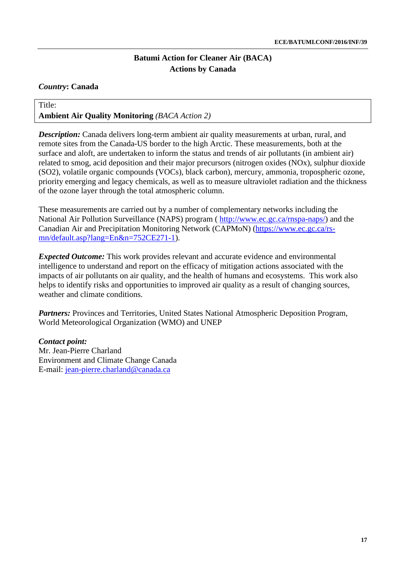### *Country***: Canada**

# Title: **Ambient Air Quality Monitoring** *(BACA Action 2)*

*Description:* Canada delivers long-term ambient air quality measurements at urban, rural, and remote sites from the Canada-US border to the high Arctic. These measurements, both at the surface and aloft, are undertaken to inform the status and trends of air pollutants (in ambient air) related to smog, acid deposition and their major precursors (nitrogen oxides (NOx), sulphur dioxide (SO2), volatile organic compounds (VOCs), black carbon), mercury, ammonia, tropospheric ozone, priority emerging and legacy chemicals, as well as to measure ultraviolet radiation and the thickness of the ozone layer through the total atmospheric column.

These measurements are carried out by a number of complementary networks including the National Air Pollution Surveillance (NAPS) program ( [http://www.ec.gc.ca/rnspa-naps/\)](http://www.ec.gc.ca/rnspa-naps/) and the Canadian Air and Precipitation Monitoring Network (CAPMoN) [\(https://www.ec.gc.ca/rs](https://www.ec.gc.ca/rs-mn/default.asp?lang=En&n=752CE271-1)[mn/default.asp?lang=En&n=752CE271-1\)](https://www.ec.gc.ca/rs-mn/default.asp?lang=En&n=752CE271-1).

*Expected Outcome:* This work provides relevant and accurate evidence and environmental intelligence to understand and report on the efficacy of mitigation actions associated with the impacts of air pollutants on air quality, and the health of humans and ecosystems. This work also helps to identify risks and opportunities to improved air quality as a result of changing sources, weather and climate conditions.

*Partners:* Provinces and Territories, United States National Atmospheric Deposition Program, World Meteorological Organization (WMO) and UNEP

*Contact point:* Mr. Jean-Pierre Charland Environment and Climate Change Canada E-mail: [jean-pierre.charland@canada.ca](mailto:jean-pierre.charland@canada.ca)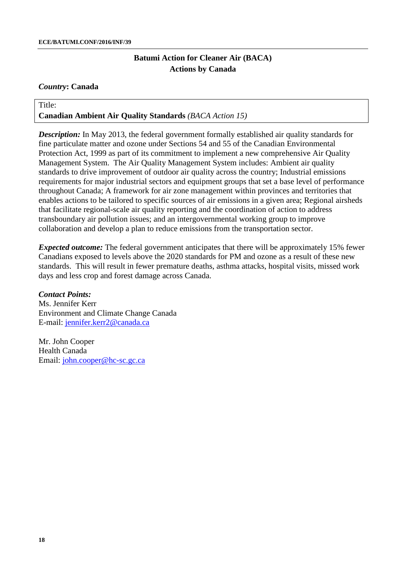### *Country***: Canada**

# Title: **Canadian Ambient Air Quality Standards** *(BACA Action 15)*

**Description:** In May 2013, the federal government formally established air quality standards for fine particulate matter and ozone under Sections 54 and 55 of the Canadian Environmental Protection Act, 1999 as part of its commitment to implement a new comprehensive Air Quality Management System. The Air Quality Management System includes: Ambient air quality standards to drive improvement of outdoor air quality across the country; Industrial emissions requirements for major industrial sectors and equipment groups that set a base level of performance throughout Canada; A framework for air zone management within provinces and territories that enables actions to be tailored to specific sources of air emissions in a given area; Regional airsheds that facilitate regional-scale air quality reporting and the coordination of action to address transboundary air pollution issues; and an intergovernmental working group to improve collaboration and develop a plan to reduce emissions from the transportation sector.

*Expected outcome:* The federal government anticipates that there will be approximately 15% fewer Canadians exposed to levels above the 2020 standards for PM and ozone as a result of these new standards. This will result in fewer premature deaths, asthma attacks, hospital visits, missed work days and less crop and forest damage across Canada.

# *Contact Points:*

Ms. Jennifer Kerr Environment and Climate Change Canada E-mail: [jennifer.kerr2@canada.ca](mailto:jennifer.kerr2@canada.ca)

Mr. John Cooper Health Canada Email: [john.cooper@hc-sc.gc.ca](mailto:john.cooper@hc-sc.gc.ca)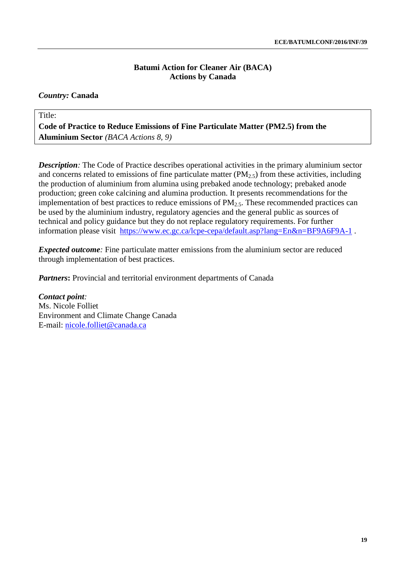### *Country:* **Canada**

Title:

**Code of Practice to Reduce Emissions of Fine Particulate Matter (PM2.5) from the Aluminium Sector** *(BACA Actions 8, 9)*

*Description*: The Code of Practice describes operational activities in the primary aluminium sector and concerns related to emissions of fine particulate matter  $(PM_{2.5})$  from these activities, including the production of aluminium from alumina using prebaked anode technology; prebaked anode production; green coke calcining and alumina production. It presents recommendations for the implementation of best practices to reduce emissions of  $PM_{2.5}$ . These recommended practices can be used by the aluminium industry, regulatory agencies and the general public as sources of technical and policy guidance but they do not replace regulatory requirements. For further information please visit <https://www.ec.gc.ca/lcpe-cepa/default.asp?lang=En&n=BF9A6F9A-1>.

*Expected outcome*: Fine particulate matter emissions from the aluminium sector are reduced through implementation of best practices.

*Partners*: Provincial and territorial environment departments of Canada

*Contact point:*  Ms. Nicole Folliet Environment and Climate Change Canada E-mail: [nicole.folliet@canada.ca](mailto:nicole.folliet@canada.ca)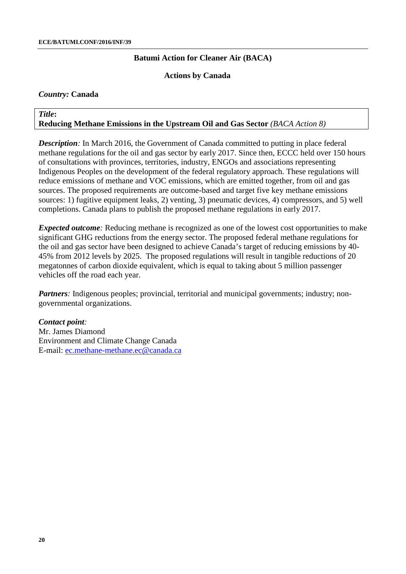**Actions by Canada**

#### *Country:* **Canada**

#### *Title***: Reducing Methane Emissions in the Upstream Oil and Gas Sector** *(BACA Action 8)*

*Description*: In March 2016, the Government of Canada committed to putting in place federal methane regulations for the oil and gas sector by early 2017. Since then, ECCC held over 150 hours of consultations with provinces, territories, industry, ENGOs and associations representing Indigenous Peoples on the development of the federal regulatory approach. These regulations will reduce emissions of methane and VOC emissions, which are emitted together, from oil and gas sources. The proposed requirements are outcome-based and target five key methane emissions sources: 1) fugitive equipment leaks, 2) venting, 3) pneumatic devices, 4) compressors, and 5) well completions. Canada plans to publish the proposed methane regulations in early 2017.

*Expected outcome*: Reducing methane is recognized as one of the lowest cost opportunities to make significant GHG reductions from the energy sector. The proposed federal methane regulations for the oil and gas sector have been designed to achieve Canada's target of reducing emissions by 40- 45% from 2012 levels by 2025. The proposed regulations will result in tangible reductions of 20 megatonnes of carbon dioxide equivalent, which is equal to taking about 5 million passenger vehicles off the road each year.

*Partners*: Indigenous peoples; provincial, territorial and municipal governments; industry; nongovernmental organizations.

#### *Contact point:*

Mr. James Diamond Environment and Climate Change Canada E-mail: [ec.methane-methane.ec@canada.ca](mailto:ec.methane-methane.ec@canada.ca)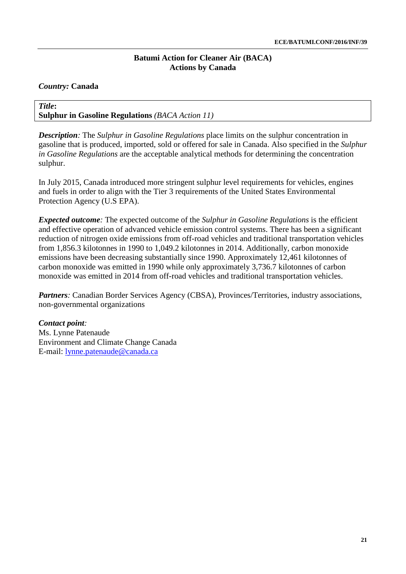### *Country:* **Canada**

### *Title***: Sulphur in Gasoline Regulations** *(BACA Action 11)*

*Description:* The *Sulphur in Gasoline Regulations* place limits on the sulphur concentration in gasoline that is produced, imported, sold or offered for sale in Canada. Also specified in the *Sulphur in Gasoline Regulations* are the acceptable analytical methods for determining the concentration sulphur.

In July 2015, Canada introduced more stringent sulphur level requirements for vehicles, engines and fuels in order to align with the Tier 3 requirements of the United States Environmental Protection Agency (U.S EPA).

*Expected outcome:* The expected outcome of the *Sulphur in Gasoline Regulations* is the efficient and effective operation of advanced vehicle emission control systems. There has been a significant reduction of nitrogen oxide emissions from off-road vehicles and traditional transportation vehicles from 1,856.3 kilotonnes in 1990 to 1,049.2 kilotonnes in 2014. Additionally, carbon monoxide emissions have been decreasing substantially since 1990. Approximately 12,461 kilotonnes of carbon monoxide was emitted in 1990 while only approximately 3,736.7 kilotonnes of carbon monoxide was emitted in 2014 from off-road vehicles and traditional transportation vehicles.

*Partners*: Canadian Border Services Agency (CBSA), Provinces/Territories, industry associations, non-governmental organizations

### *Contact point:*  Ms. Lynne Patenaude Environment and Climate Change Canada E-mail: [lynne.patenaude@canada.ca](mailto:lynne.patenaude@canada.ca)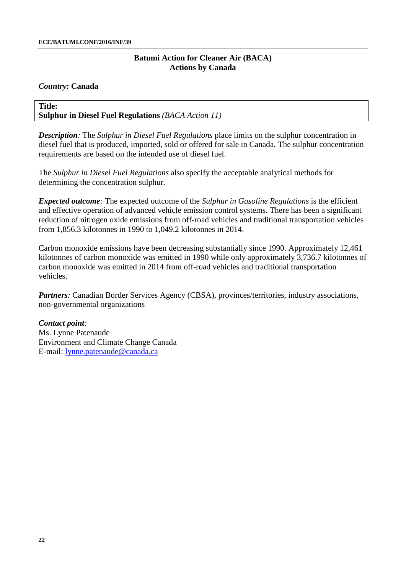### *Country:* **Canada**

### **Title: Sulphur in Diesel Fuel Regulations** *(BACA Action 11)*

*Description:* The *Sulphur in Diesel Fuel Regulations* place limits on the sulphur concentration in diesel fuel that is produced, imported, sold or offered for sale in Canada. The sulphur concentration requirements are based on the intended use of diesel fuel.

The *Sulphur in Diesel Fuel Regulations* also specify the acceptable analytical methods for determining the concentration sulphur.

*Expected outcome:* The expected outcome of the *Sulphur in Gasoline Regulations* is the efficient and effective operation of advanced vehicle emission control systems. There has been a significant reduction of nitrogen oxide emissions from off-road vehicles and traditional transportation vehicles from 1,856.3 kilotonnes in 1990 to 1,049.2 kilotonnes in 2014.

Carbon monoxide emissions have been decreasing substantially since 1990. Approximately 12,461 kilotonnes of carbon monoxide was emitted in 1990 while only approximately 3,736.7 kilotonnes of carbon monoxide was emitted in 2014 from off-road vehicles and traditional transportation vehicles.

*Partners*: Canadian Border Services Agency (CBSA), provinces/territories, industry associations, non-governmental organizations

*Contact point:*  Ms. Lynne Patenaude Environment and Climate Change Canada E-mail: [lynne.patenaude@canada.ca](mailto:lynne.patenaude@canada.ca)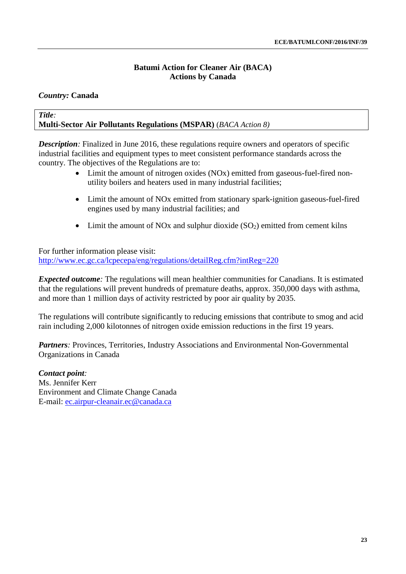### *Country:* **Canada**

#### *Title:*  **Multi-Sector Air Pollutants Regulations (MSPAR)** (*BACA Action 8)*

*Description:* Finalized in June 2016, these regulations require owners and operators of specific industrial facilities and equipment types to meet consistent performance standards across the country. The objectives of the Regulations are to:

- Limit the amount of nitrogen oxides (NOx) emitted from gaseous-fuel-fired nonutility boilers and heaters used in many industrial facilities;
- Limit the amount of NOx emitted from stationary spark-ignition gaseous-fuel-fired engines used by many industrial facilities; and
- Limit the amount of NOx and sulphur dioxide  $(SO_2)$  emitted from cement kilns

For further information please visit: <http://www.ec.gc.ca/lcpecepa/eng/regulations/detailReg.cfm?intReg=220>

*Expected outcome*: The regulations will mean healthier communities for Canadians. It is estimated that the regulations will prevent hundreds of premature deaths, approx. 350,000 days with asthma, and more than 1 million days of activity restricted by poor air quality by 2035.

The regulations will contribute significantly to reducing emissions that contribute to smog and acid rain including 2,000 kilotonnes of nitrogen oxide emission reductions in the first 19 years.

Partners: Provinces, Territories, Industry Associations and Environmental Non-Governmental Organizations in Canada

*Contact point:*  Ms. Jennifer Kerr Environment and Climate Change Canada E-mail: [ec.airpur-cleanair.ec@canada.ca](mailto:ec.airpur-cleanair.ec@canada.ca)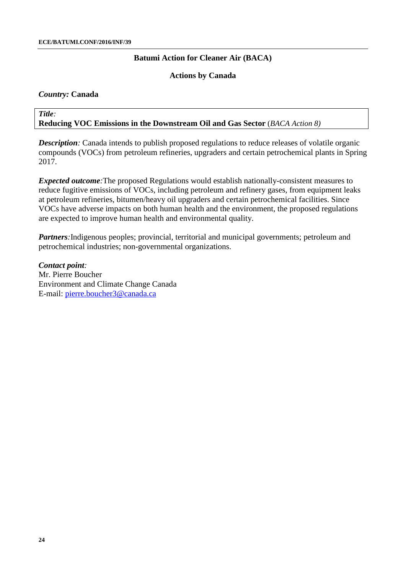### **Actions by Canada**

### *Country:* **Canada**

#### *Title:*  **Reducing VOC Emissions in the Downstream Oil and Gas Sector** (*BACA Action 8)*

*Description:* Canada intends to publish proposed regulations to reduce releases of volatile organic compounds (VOCs) from petroleum refineries, upgraders and certain petrochemical plants in Spring 2017.

*Expected outcome:*The proposed Regulations would establish nationally-consistent measures to reduce fugitive emissions of VOCs, including petroleum and refinery gases, from equipment leaks at petroleum refineries, bitumen/heavy oil upgraders and certain petrochemical facilities. Since VOCs have adverse impacts on both human health and the environment, the proposed regulations are expected to improve human health and environmental quality.

*Partners*: Indigenous peoples; provincial, territorial and municipal governments; petroleum and petrochemical industries; non-governmental organizations.

*Contact point:*  Mr. Pierre Boucher Environment and Climate Change Canada E-mail: [pierre.boucher3@canada.ca](mailto:pierre.boucher3@canada.ca)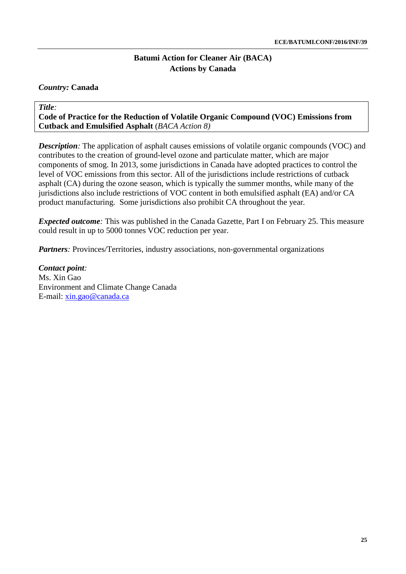### *Country:* **Canada**

*Title:*  **Code of Practice for the Reduction of Volatile Organic Compound (VOC) Emissions from Cutback and Emulsified Asphalt** (*BACA Action 8)* 

*Description:* The application of asphalt causes emissions of volatile organic compounds (VOC) and contributes to the creation of ground-level ozone and particulate matter, which are major components of smog. In 2013, some jurisdictions in Canada have adopted practices to control the level of VOC emissions from this sector. All of the jurisdictions include restrictions of cutback asphalt (CA) during the ozone season, which is typically the summer months, while many of the jurisdictions also include restrictions of VOC content in both emulsified asphalt (EA) and/or CA product manufacturing. Some jurisdictions also prohibit CA throughout the year*.* 

*Expected outcome*: This was published in the Canada Gazette, Part I on February 25. This measure could result in up to 5000 tonnes VOC reduction per year.

*Partners*: Provinces/Territories, industry associations, non-governmental organizations

*Contact point:*  Ms. Xin Gao Environment and Climate Change Canada E-mail: [xin.gao@canada.ca](mailto:xin.gao@canada.ca)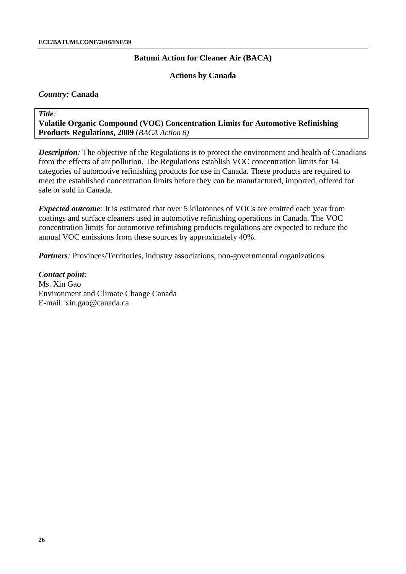### **Actions by Canada**

### *Country:* **Canada**

*Title:* 

**Volatile Organic Compound (VOC) Concentration Limits for Automotive Refinishing Products Regulations, 2009** (*BACA Action 8)*

*Description:* The objective of the Regulations is to protect the environment and health of Canadians from the effects of air pollution. The Regulations establish VOC concentration limits for 14 categories of automotive refinishing products for use in Canada. These products are required to meet the established concentration limits before they can be manufactured, imported, offered for sale or sold in Canada.

*Expected outcome*: It is estimated that over 5 kilotonnes of VOCs are emitted each year from coatings and surface cleaners used in automotive refinishing operations in Canada. The VOC concentration limits for automotive refinishing products regulations are expected to reduce the annual VOC emissions from these sources by approximately 40%.

*Partners*: Provinces/Territories, industry associations, non-governmental organizations

*Contact point:*  Ms. Xin Gao Environment and Climate Change Canada E-mail: xin.gao@canada.ca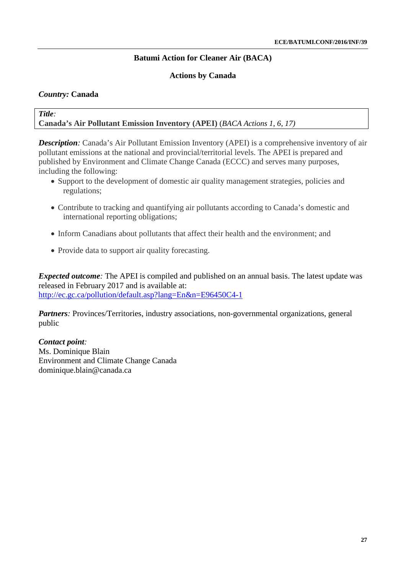### **Actions by Canada**

### *Country:* **Canada**

#### *Title:*  **Canada's Air Pollutant Emission Inventory (APEI)** (*BACA Actions 1, 6, 17)*

*Description:* Canada's Air Pollutant Emission Inventory (APEI) is a comprehensive inventory of air pollutant emissions at the national and provincial/territorial levels. The APEI is prepared and published by Environment and Climate Change Canada (ECCC) and serves many purposes, including the following:

- Support to the development of domestic air quality management strategies, policies and regulations;
- Contribute to tracking and quantifying air pollutants according to Canada's domestic and international reporting obligations;
- Inform Canadians about pollutants that affect their health and the environment; and
- Provide data to support air quality forecasting.

*Expected outcome*: The APEI is compiled and published on an annual basis. The latest update was released in February 2017 and is available at: <http://ec.gc.ca/pollution/default.asp?lang=En&n=E96450C4-1>

*Partners*: Provinces/Territories, industry associations, non-governmental organizations, general public

*Contact point:*  Ms. Dominique Blain Environment and Climate Change Canada dominique.blain@canada.ca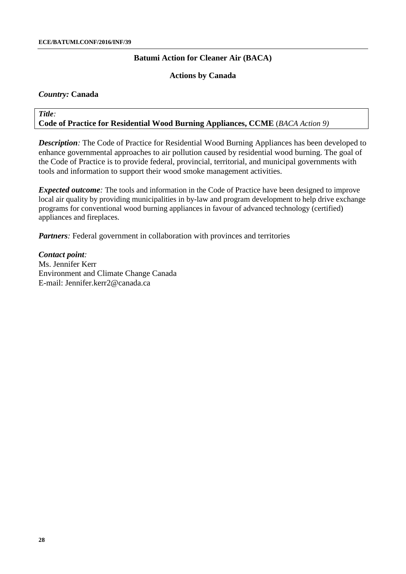### **Actions by Canada**

### *Country:* **Canada**

### *Title:*  **Code of Practice for Residential Wood Burning Appliances, CCME** (*BACA Action 9)*

*Description:* The Code of Practice for Residential Wood Burning Appliances has been developed to enhance governmental approaches to air pollution caused by residential wood burning. The goal of the Code of Practice is to provide federal, provincial, territorial, and municipal governments with tools and information to support their wood smoke management activities.

*Expected outcome*: The tools and information in the Code of Practice have been designed to improve local air quality by providing municipalities in by-law and program development to help drive exchange programs for conventional wood burning appliances in favour of advanced technology (certified) appliances and fireplaces.

*Partners*: Federal government in collaboration with provinces and territories

*Contact point:*  Ms. Jennifer Kerr Environment and Climate Change Canada E-mail: Jennifer.kerr2@canada.ca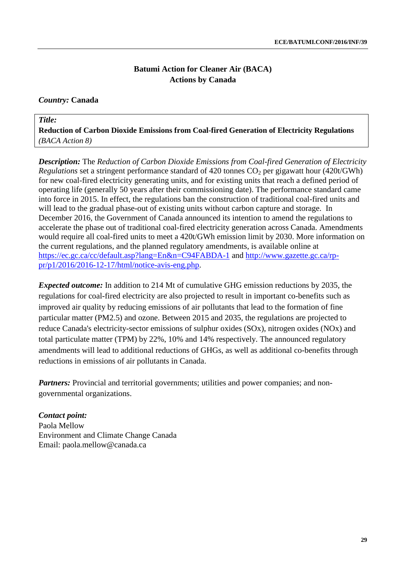# *Country:* **Canada**

### *Title:* **Reduction of Carbon Dioxide Emissions from Coal-fired Generation of Electricity Regulations** *(BACA Action 8)*

*Description:* The *Reduction of Carbon Dioxide Emissions from Coal-fired Generation of Electricity Regulations* set a stringent performance standard of 420 tonnes  $CO<sub>2</sub>$  per gigawatt hour (420t/GWh) for new coal-fired electricity generating units, and for existing units that reach a defined period of operating life (generally 50 years after their commissioning date). The performance standard came into force in 2015. In effect, the regulations ban the construction of traditional coal-fired units and will lead to the gradual phase-out of existing units without carbon capture and storage. In December 2016, the Government of Canada announced its intention to amend the regulations to accelerate the phase out of traditional coal-fired electricity generation across Canada. Amendments would require all coal-fired units to meet a 420t/GWh emission limit by 2030. More information on the current regulations, and the planned regulatory amendments, is available online at <https://ec.gc.ca/cc/default.asp?lang=En&n=C94FABDA-1> and [http://www.gazette.gc.ca/rp](http://www.gazette.gc.ca/rp-pr/p1/2016/2016-12-17/html/notice-avis-eng.php)[pr/p1/2016/2016-12-17/html/notice-avis-eng.php.](http://www.gazette.gc.ca/rp-pr/p1/2016/2016-12-17/html/notice-avis-eng.php)

*Expected outcome:* In addition to 214 Mt of cumulative GHG emission reductions by 2035, the regulations for coal-fired electricity are also projected to result in important co-benefits such as improved air quality by reducing emissions of air pollutants that lead to the formation of fine particular matter (PM2.5) and ozone. Between 2015 and 2035, the regulations are projected to reduce Canada's electricity-sector emissions of sulphur oxides (SOx), nitrogen oxides (NOx) and total particulate matter (TPM) by 22%, 10% and 14% respectively. The announced regulatory amendments will lead to additional reductions of GHGs, as well as additional co-benefits through reductions in emissions of air pollutants in Canada.

*Partners:* Provincial and territorial governments; utilities and power companies; and nongovernmental organizations.

*Contact point:* Paola Mellow Environment and Climate Change Canada Email: paola.mellow@canada.ca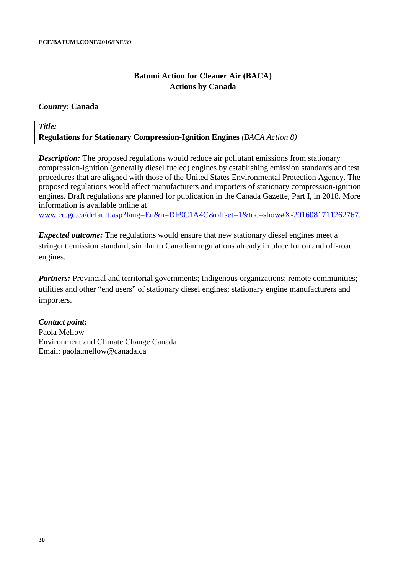### *Country:* **Canada**

# *Title:* **Regulations for Stationary Compression-Ignition Engines** *(BACA Action 8)*

*Description:* The proposed regulations would reduce air pollutant emissions from stationary compression-ignition (generally diesel fueled) engines by establishing emission standards and test procedures that are aligned with those of the United States Environmental Protection Agency. The proposed regulations would affect manufacturers and importers of stationary compression-ignition engines. Draft regulations are planned for publication in the Canada Gazette, Part I, in 2018. More information is available online at

[www.ec.gc.ca/default.asp?lang=En&n=DF9C1A4C&offset=1&toc=show#X-2016081711262767.](http://www.ec.gc.ca/default.asp?lang=En&n=DF9C1A4C&offset=1&toc=show#X-2016081711262767)

*Expected outcome:* The regulations would ensure that new stationary diesel engines meet a stringent emission standard, similar to Canadian regulations already in place for on and off-road engines.

*Partners:* Provincial and territorial governments; Indigenous organizations; remote communities; utilities and other "end users" of stationary diesel engines; stationary engine manufacturers and importers.

### *Contact point:*

Paola Mellow Environment and Climate Change Canada Email: paola.mellow@canada.ca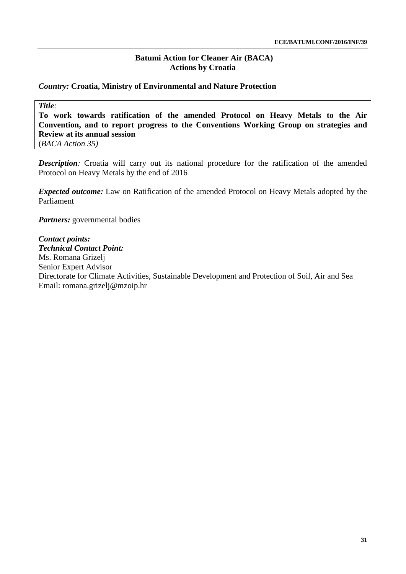### *Country:* **Croatia, Ministry of Environmental and Nature Protection**

*Title:*

**To work towards ratification of the amended Protocol on Heavy Metals to the Air Convention, and to report progress to the Conventions Working Group on strategies and Review at its annual session**

(*BACA Action 35)*

**Description**: Croatia will carry out its national procedure for the ratification of the amended Protocol on Heavy Metals by the end of 2016

*Expected outcome:* Law on Ratification of the amended Protocol on Heavy Metals adopted by the Parliament

*Partners:* governmental bodies

# *Contact points:*

*Technical Contact Point:* Ms. Romana Grizelj Senior Expert Advisor Directorate for Climate Activities, Sustainable Development and Protection of Soil, Air and Sea Email: [romana.grizelj@mzoip.hr](mailto:romana.grizelj@mzoip.hr)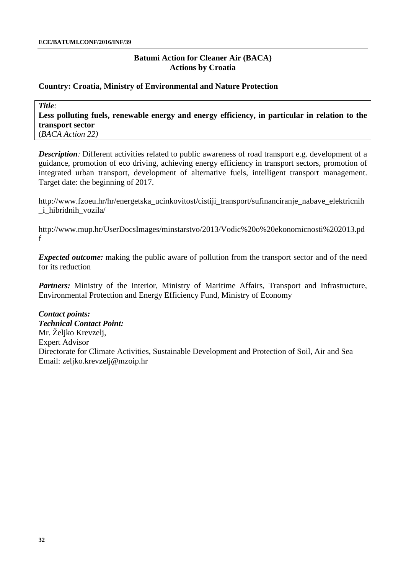### **Country: Croatia, Ministry of Environmental and Nature Protection**

*Title:* **Less polluting fuels, renewable energy and energy efficiency, in particular in relation to the transport sector** (*BACA Action 22)*

*Description:* Different activities related to public awareness of road transport e.g. development of a guidance, promotion of eco driving, achieving energy efficiency in transport sectors, promotion of integrated urban transport, development of alternative fuels, intelligent transport management. Target date: the beginning of 2017.

[http://www.fzoeu.hr/hr/energetska\\_ucinkovitost/cistiji\\_transport/sufinanciranje\\_nabave\\_elektricnih](http://www.fzoeu.hr/hr/energetska_ucinkovitost/cistiji_transport/sufinanciranje_nabave_elektricnih_i_hibridnih_vozila/) [\\_i\\_hibridnih\\_vozila/](http://www.fzoeu.hr/hr/energetska_ucinkovitost/cistiji_transport/sufinanciranje_nabave_elektricnih_i_hibridnih_vozila/)

[http://www.mup.hr/UserDocsImages/minstarstvo/2013/Vodic%20o%20ekonomicnosti%202013.pd](http://www.mup.hr/UserDocsImages/minstarstvo/2013/Vodic%20o%20ekonomicnosti%202013.pdf) [f](http://www.mup.hr/UserDocsImages/minstarstvo/2013/Vodic%20o%20ekonomicnosti%202013.pdf)

*Expected outcome:* making the public aware of pollution from the transport sector and of the need for its reduction

Partners: Ministry of the Interior, Ministry of Maritime Affairs, Transport and Infrastructure, Environmental Protection and Energy Efficiency Fund, Ministry of Economy

*Contact points: Technical Contact Point:* Mr. Željko Krevzelj, Expert Advisor Directorate for Climate Activities, Sustainable Development and Protection of Soil, Air and Sea Email: [zeljko.krevzelj@mzoip.hr](mailto:zeljko.krevzelj@mzoip.hr)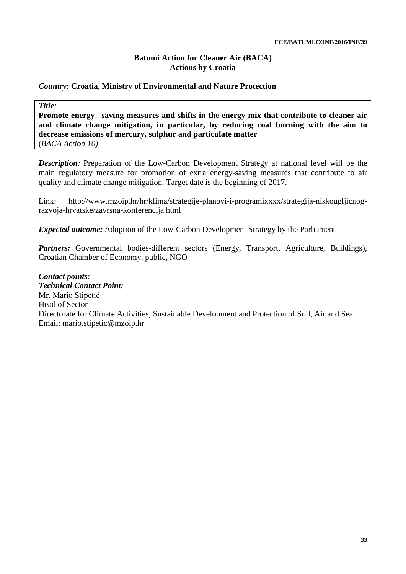### *Country:* **Croatia, Ministry of Environmental and Nature Protection**

*Title:*

**Promote energy –saving measures and shifts in the energy mix that contribute to cleaner air and climate change mitigation, in particular, by reducing coal burning with the aim to decrease emissions of mercury, sulphur and particulate matter**  (*BACA Action 10)*

*Description:* Preparation of the Low-Carbon Development Strategy at national level will be the main regulatory measure for promotion of extra energy-saving measures that contribute to air quality and climate change mitigation. Target date is the beginning of 2017.

Link: [http://www.mzoip.hr/hr/klima/strategije-planovi-i-programixxxx/strategija-niskougljicnog](http://www.mzoip.hr/hr/klima/strategije-planovi-i-programixxxx/strategija-niskougljicnog-razvoja-hrvatske/zavrsna-konferencija.html)[razvoja-hrvatske/zavrsna-konferencija.html](http://www.mzoip.hr/hr/klima/strategije-planovi-i-programixxxx/strategija-niskougljicnog-razvoja-hrvatske/zavrsna-konferencija.html)

*Expected outcome:* Adoption of the Low-Carbon Development Strategy by the Parliament

Partners: Governmental bodies-different sectors (Energy, Transport, Agriculture, Buildings), Croatian Chamber of Economy, public, NGO

*Contact points: Technical Contact Point:* Mr. Mario Stipetić Head of Sector Directorate for Climate Activities, Sustainable Development and Protection of Soil, Air and Sea Email: [mario.stipetic@mzoip.hr](mailto:mario.stipetic@mzoip.hr)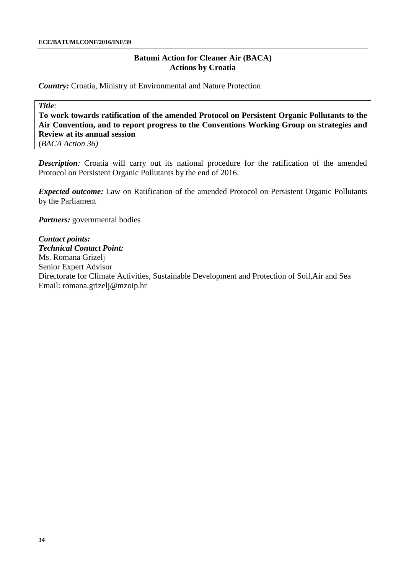*Country:* Croatia, Ministry of Environmental and Nature Protection

*Title:*

**To work towards ratification of the amended Protocol on Persistent Organic Pollutants to the Air Convention, and to report progress to the Conventions Working Group on strategies and Review at its annual session**

(*BACA Action 36)*

**Description**: Croatia will carry out its national procedure for the ratification of the amended Protocol on Persistent Organic Pollutants by the end of 2016.

*Expected outcome:* Law on Ratification of the amended Protocol on Persistent Organic Pollutants by the Parliament

*Partners:* governmental bodies

# *Contact points:*

*Technical Contact Point:* Ms. Romana Grizelj Senior Expert Advisor Directorate for Climate Activities, Sustainable Development and Protection of Soil,Air and Sea Email: [romana.grizelj@mzoip.hr](mailto:romana.grizelj@mzoip.hr)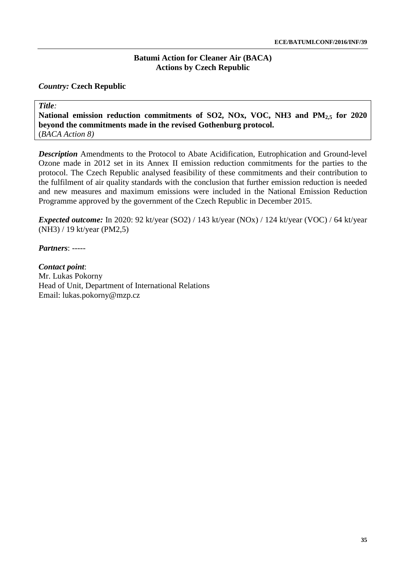# **Batumi Action for Cleaner Air (BACA) Actions by Czech Republic**

# *Country:* **Czech Republic**

*Title:*

**National emission reduction commitments of SO2, NOx, VOC, NH3 and PM2,5 for 2020 beyond the commitments made in the revised Gothenburg protocol.** (*BACA Action 8)*

*Description* Amendments to the Protocol to Abate Acidification, Eutrophication and Ground-level Ozone made in 2012 set in its Annex II emission reduction commitments for the parties to the protocol. The Czech Republic analysed feasibility of these commitments and their contribution to the fulfilment of air quality standards with the conclusion that further emission reduction is needed and new measures and maximum emissions were included in the National Emission Reduction Programme approved by the government of the Czech Republic in December 2015.

*Expected outcome:* In 2020: 92 kt/year (SO2) / 143 kt/year (NOx) / 124 kt/year (VOC) / 64 kt/year (NH3) / 19 kt/year (PM2,5)

*Partners*: -----

*Contact point*: Mr. Lukas Pokorny Head of Unit, Department of International Relations Email: [lukas.pokorny@mzp.cz](mailto:lukas.pokorny@mzp.cz)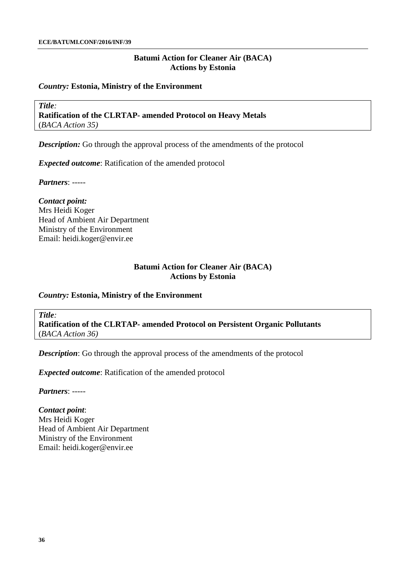#### *Country:* **Estonia, Ministry of the Environment**

*Title:* **Ratification of the CLRTAP- amended Protocol on Heavy Metals** (*BACA Action 35)*

*Description:* Go through the approval process of the amendments of the protocol

*Expected outcome*: Ratification of the amended protocol

*Partners*: -----

*Contact point:* Mrs Heidi Koger Head of Ambient Air Department Ministry of the Environment Email: [heidi.koger@envir.ee](mailto:heidi.koger@envir.ee)

### **Batumi Action for Cleaner Air (BACA) Actions by Estonia**

# *Country:* **Estonia, Ministry of the Environment**

*Title:*

**Ratification of the CLRTAP- amended Protocol on Persistent Organic Pollutants** (*BACA Action 36)*

*Description*: Go through the approval process of the amendments of the protocol

*Expected outcome*: Ratification of the amended protocol

*Partners*: -----

*Contact point*:

Mrs Heidi Koger Head of Ambient Air Department Ministry of the Environment Email: [heidi.koger@envir.ee](mailto:heidi.koger@envir.ee)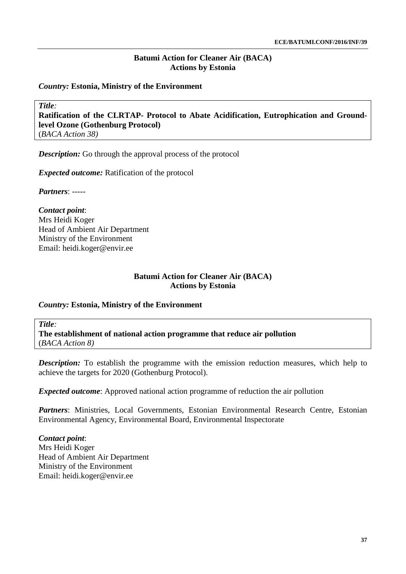### *Country:* **Estonia, Ministry of the Environment**

*Title:*

**Ratification of the CLRTAP- Protocol to Abate Acidification, Eutrophication and Groundlevel Ozone (Gothenburg Protocol)**

(*BACA Action 38)*

*Description:* Go through the approval process of the protocol

*Expected outcome:* Ratification of the protocol

*Partners*: -----

*Contact point*: Mrs Heidi Koger Head of Ambient Air Department Ministry of the Environment Email: [heidi.koger@envir.ee](mailto:heidi.koger@envir.ee)

## **Batumi Action for Cleaner Air (BACA) Actions by Estonia**

### *Country:* **Estonia, Ministry of the Environment**

*Title:* **The establishment of national action programme that reduce air pollution** (*BACA Action 8)*

*Description:* To establish the programme with the emission reduction measures, which help to achieve the targets for 2020 (Gothenburg Protocol).

*Expected outcome*: Approved national action programme of reduction the air pollution

Partners: Ministries, Local Governments, Estonian Environmental Research Centre, Estonian Environmental Agency, Environmental Board, Environmental Inspectorate

*Contact point*: Mrs Heidi Koger Head of Ambient Air Department Ministry of the Environment Email: [heidi.koger@envir.ee](mailto:heidi.koger@envir.ee)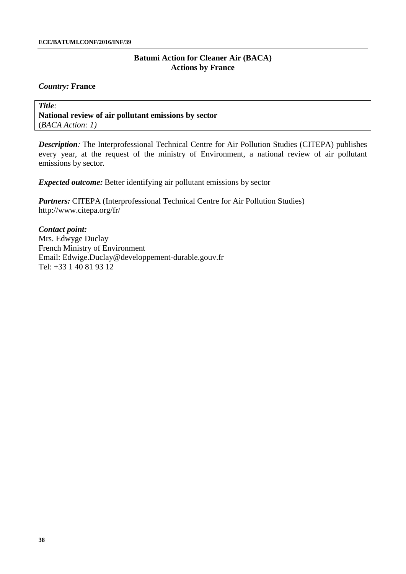### *Country:* **France**

*Title:* **National review of air pollutant emissions by sector** (*BACA Action: 1)*

*Description:* The Interprofessional Technical Centre for Air Pollution Studies (CITEPA) publishes every year, at the request of the ministry of Environment, a national review of air pollutant emissions by sector.

*Expected outcome:* Better identifying air pollutant emissions by sector

*Partners:* CITEPA (Interprofessional Technical Centre for Air Pollution Studies) <http://www.citepa.org/fr/>

*Contact point:* Mrs. Edwyge Duclay French Ministry of Environment Email: [Edwige.Duclay@developpement-durable.gouv.fr](mailto:Edwige.Duclay@developpement-durable.gouv.fr) Tel: +33 1 40 81 93 12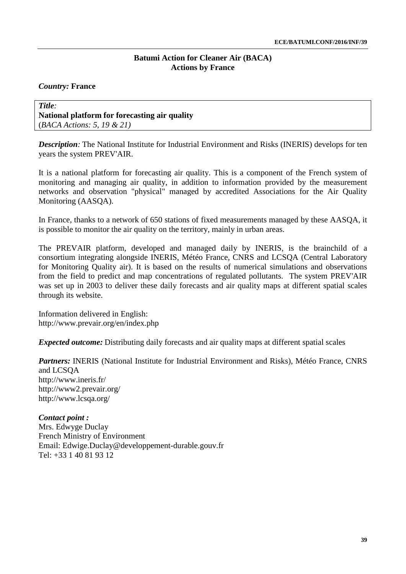# *Country:* **France**

### *Title:* **National platform for forecasting air quality**  (*BACA Actions: 5, 19 & 21)*

*Description:* The National Institute for Industrial Environment and Risks (INERIS) develops for ten years the system PREV'AIR.

It is a national platform for forecasting air quality. This is a component of the French system of monitoring and managing air quality, in addition to information provided by the measurement networks and observation "physical" managed by accredited Associations for the Air Quality Monitoring (AASQA).

In France, thanks to a network of 650 stations of fixed measurements managed by these AASQA, it is possible to monitor the air quality on the territory, mainly in urban areas.

The PREVAIR platform, developed and managed daily by INERIS, is the brainchild of a consortium integrating alongside INERIS, Météo France, CNRS and LCSQA (Central Laboratory for Monitoring Quality air). It is based on the results of numerical simulations and observations from the field to predict and map concentrations of regulated pollutants. The system PREV'AIR was set up in 2003 to deliver these daily forecasts and air quality maps at different spatial scales through its website.

Information delivered in English: <http://www.prevair.org/en/index.php>

*Expected outcome:* Distributing daily forecasts and air quality maps at different spatial scales

*Partners:* INERIS (National Institute for Industrial Environment and Risks), Météo France, CNRS and LCSQA <http://www.ineris.fr/> <http://www2.prevair.org/> <http://www.lcsqa.org/>

*Contact point :* Mrs. Edwyge Duclay French Ministry of Environment Email: [Edwige.Duclay@developpement-durable.gouv.fr](mailto:Edwige.Duclay@developpement-durable.gouv.fr) Tel: +33 1 40 81 93 12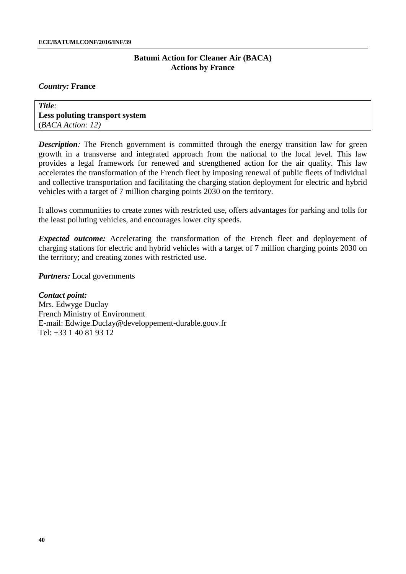#### *Country:* **France**

*Title:* **Less poluting transport system** (*BACA Action: 12)*

*Description:* The French government is committed through the energy transition law for green growth in a transverse and integrated approach from the national to the local level. This law provides a legal framework for renewed and strengthened action for the air quality. This law accelerates the transformation of the French fleet by imposing renewal of public fleets of individual and collective transportation and facilitating the charging station deployment for electric and hybrid vehicles with a target of 7 million charging points 2030 on the territory.

It allows communities to create zones with restricted use, offers advantages for parking and tolls for the least polluting vehicles, and encourages lower city speeds.

*Expected outcome:* Accelerating the transformation of the French fleet and deployement of charging stations for electric and hybrid vehicles with a target of 7 million charging points 2030 on the territory; and creating zones with restricted use.

*Partners:* Local governments

*Contact point:* Mrs. Edwyge Duclay French Ministry of Environment E-mail: [Edwige.Duclay@developpement-durable.gouv.fr](mailto:Edwige.Duclay@developpement-durable.gouv.fr) Tel: +33 1 40 81 93 12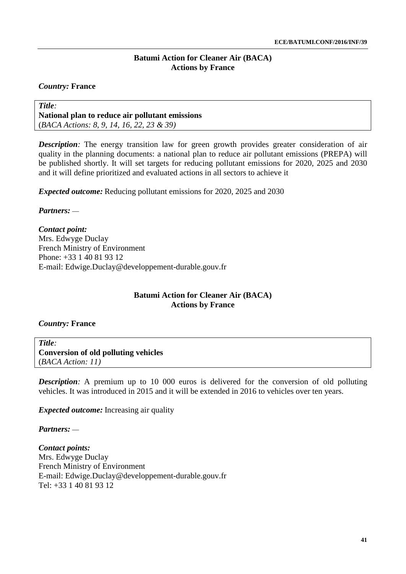# *Country:* **France**

*Title:* **National plan to reduce air pollutant emissions** (*BACA Actions: 8, 9, 14, 16, 22, 23 & 39)*

**Description**: The energy transition law for green growth provides greater consideration of air quality in the planning documents: a national plan to reduce air pollutant emissions (PREPA) will be published shortly. It will set targets for reducing pollutant emissions for 2020, 2025 and 2030 and it will define prioritized and evaluated actions in all sectors to achieve it

*Expected outcome:* Reducing pollutant emissions for 2020, 2025 and 2030

*Partners:* ––

*Contact point:* Mrs. Edwyge Duclay French Ministry of Environment Phone: +33 1 40 81 93 12 E-mail: [Edwige.Duclay@developpement-durable.gouv.fr](mailto:Edwige.Duclay@developpement-durable.gouv.fr)

# **Batumi Action for Cleaner Air (BACA) Actions by France**

### *Country:* **France**

*Title:* **Conversion of old polluting vehicles** (*BACA Action: 11)*

*Description:* A premium up to 10 000 euros is delivered for the conversion of old polluting vehicles. It was introduced in 2015 and it will be extended in 2016 to vehicles over ten years.

*Expected outcome:* Increasing air quality

*Partners:* ––

*Contact points:* Mrs. Edwyge Duclay French Ministry of Environment E-mail: [Edwige.Duclay@developpement-durable.gouv.fr](mailto:Edwige.Duclay@developpement-durable.gouv.fr) Tel: +33 1 40 81 93 12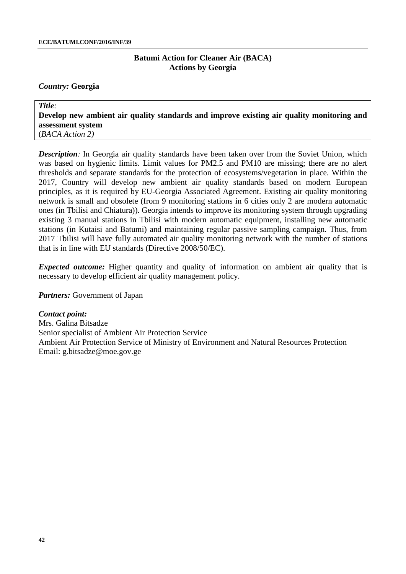#### *Country:* **Georgia**

*Title:* **Develop new ambient air quality standards and improve existing air quality monitoring and assessment system** (*BACA Action 2)*

*Description*: In Georgia air quality standards have been taken over from the Soviet Union, which was based on hygienic limits. Limit values for PM2.5 and PM10 are missing; there are no alert thresholds and separate standards for the protection of ecosystems/vegetation in place. Within the 2017, Country will develop new ambient air quality standards based on modern European principles, as it is required by EU-Georgia Associated Agreement. Existing air quality monitoring network is small and obsolete (from 9 monitoring stations in 6 cities only 2 are modern automatic ones (in Tbilisi and Chiatura)). Georgia intends to improve its monitoring system through upgrading existing 3 manual stations in Tbilisi with modern automatic equipment, installing new automatic stations (in Kutaisi and Batumi) and maintaining regular passive sampling campaign. Thus, from 2017 Tbilisi will have fully automated air quality monitoring network with the number of stations that is in line with EU standards (Directive 2008/50/EC).

*Expected outcome:* Higher quantity and quality of information on ambient air quality that is necessary to develop efficient air quality management policy.

*Partners:* Government of Japan

*Contact point:* Mrs. Galina Bitsadze Senior specialist of Ambient Air Protection Service Ambient Air Protection Service of Ministry of Environment and Natural Resources Protection Email: [g.bitsadze@moe.gov.ge](mailto:g.bitsadze@moe.gov.ge)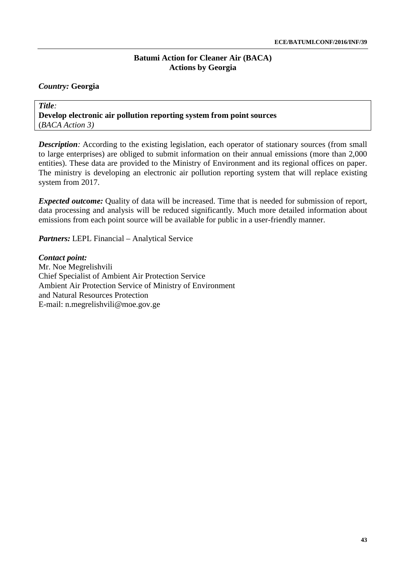# *Country:* **Georgia**

*Title:* **Develop electronic air pollution reporting system from point sources** (*BACA Action 3)*

*Description:* According to the existing legislation, each operator of stationary sources (from small to large enterprises) are obliged to submit information on their annual emissions (more than 2,000 entities). These data are provided to the Ministry of Environment and its regional offices on paper. The ministry is developing an electronic air pollution reporting system that will replace existing system from 2017.

*Expected outcome:* Quality of data will be increased. Time that is needed for submission of report, data processing and analysis will be reduced significantly. Much more detailed information about emissions from each point source will be available for public in a user-friendly manner.

*Partners:* LEPL Financial – Analytical Service

*Contact point:* Mr. Noe Megrelishvili Chief Specialist of Ambient Air Protection Service Ambient Air Protection Service of Ministry of Environment and Natural Resources Protection E-mail: [n.megrelishvili@moe.gov.ge](mailto:n.megrelishvili@moe.gov.ge)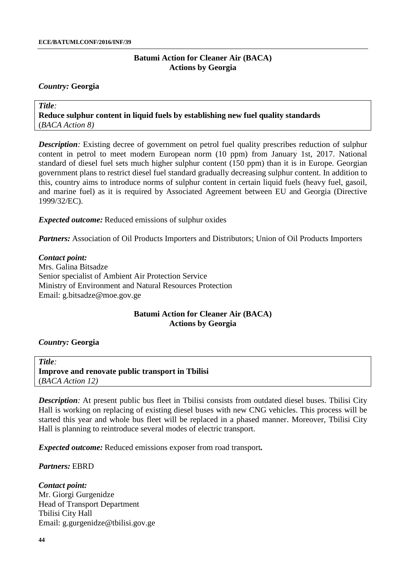#### *Country:* **Georgia**

*Title:* **Reduce sulphur content in liquid fuels by establishing new fuel quality standards**  (*BACA Action 8)*

*Description:* Existing decree of government on petrol fuel quality prescribes reduction of sulphur content in petrol to meet modern European norm (10 ppm) from January 1st, 2017. National standard of diesel fuel sets much higher sulphur content (150 ppm) than it is in Europe. Georgian government plans to restrict diesel fuel standard gradually decreasing sulphur content. In addition to this, country aims to introduce norms of sulphur content in certain liquid fuels (heavy fuel, gasoil, and marine fuel) as it is required by Associated Agreement between EU and Georgia (Directive 1999/32/EC).

*Expected outcome:* Reduced emissions of sulphur oxides

*Partners:* Association of Oil Products Importers and Distributors; Union of Oil Products Importers

*Contact point:* Mrs. Galina Bitsadze Senior specialist of Ambient Air Protection Service Ministry of Environment and Natural Resources Protection Email: [g.bitsadze@moe.gov.ge](mailto:g.bitsadze@moe.gov.ge)

### **Batumi Action for Cleaner Air (BACA) Actions by Georgia**

#### *Country:* **Georgia**

*Title:* **Improve and renovate public transport in Tbilisi** (*BACA Action 12)*

*Description:* At present public bus fleet in Tbilisi consists from outdated diesel buses. Tbilisi City Hall is working on replacing of existing diesel buses with new CNG vehicles. This process will be started this year and whole bus fleet will be replaced in a phased manner. Moreover, Tbilisi City Hall is planning to reintroduce several modes of electric transport.

*Expected outcome:* Reduced emissions exposer from road transport*.*

#### *Partners:* EBRD

*Contact point:* Mr. Giorgi Gurgenidze Head of Transport Department Tbilisi City Hall Email: [g.gurgenidze@tbilisi.gov.ge](mailto:g.gurgenidze@tbilisi.gov.ge)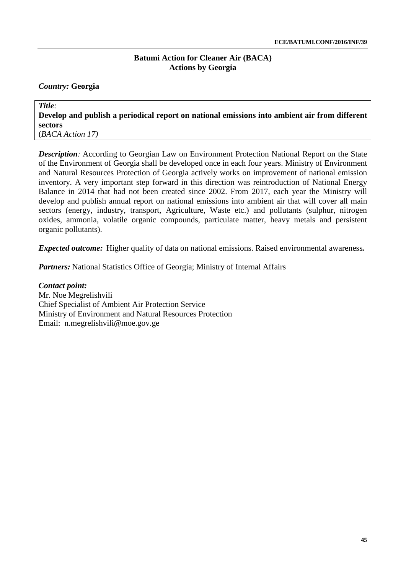# *Country:* **Georgia**

*Title:* **Develop and publish a periodical report on national emissions into ambient air from different sectors**  (*BACA Action 17)*

*Description:* According to Georgian Law on Environment Protection National Report on the State of the Environment of Georgia shall be developed once in each four years. Ministry of Environment and Natural Resources Protection of Georgia actively works on improvement of national emission inventory. A very important step forward in this direction was reintroduction of National Energy Balance in 2014 that had not been created since 2002. From 2017, each year the Ministry will develop and publish annual report on national emissions into ambient air that will cover all main sectors (energy, industry, transport, Agriculture, Waste etc.) and pollutants (sulphur, nitrogen oxides, ammonia, volatile organic compounds, particulate matter, heavy metals and persistent organic pollutants).

*Expected outcome:* Higher quality of data on national emissions. Raised environmental awareness*.*

*Partners:* National Statistics Office of Georgia; Ministry of Internal Affairs

*Contact point:* Mr. Noe Megrelishvili Chief Specialist of Ambient Air Protection Service Ministry of Environment and Natural Resources Protection Email: [n.megrelishvili@moe.gov.ge](mailto:n.megrelishvili@moe.gov.ge)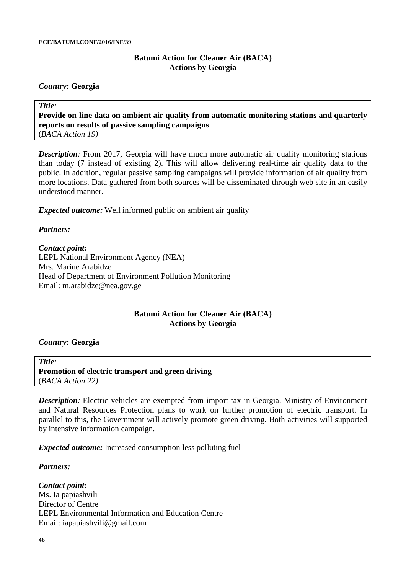#### *Country:* **Georgia**

*Title:* **Provide on-line data on ambient air quality from automatic monitoring stations and quarterly reports on results of passive sampling campaigns**  (*BACA Action 19)*

*Description*: From 2017, Georgia will have much more automatic air quality monitoring stations than today (7 instead of existing 2). This will allow delivering real-time air quality data to the public. In addition, regular passive sampling campaigns will provide information of air quality from more locations. Data gathered from both sources will be disseminated through web site in an easily understood manner.

*Expected outcome:* Well informed public on ambient air quality

### *Partners:*

#### *Contact point:*

LEPL National Environment Agency (NEA) Mrs. Marine Arabidze Head of Department of Environment Pollution Monitoring Email: [m.arabidze@nea.gov.ge](mailto:m.arabidze@nea.gov.ge)

### **Batumi Action for Cleaner Air (BACA) Actions by Georgia**

#### *Country:* **Georgia**

*Title:* **Promotion of electric transport and green driving** (*BACA Action 22)*

*Description:* Electric vehicles are exempted from import tax in Georgia. Ministry of Environment and Natural Resources Protection plans to work on further promotion of electric transport. In parallel to this, the Government will actively promote green driving. Both activities will supported by intensive information campaign.

*Expected outcome:* Increased consumption less polluting fuel

#### *Partners:*

*Contact point:* Ms. Ia papiashvili Director of Centre LEPL Environmental Information and Education Centre Email: [iapapiashvili@gmail.com](mailto:iapapiashvili@gmail.com)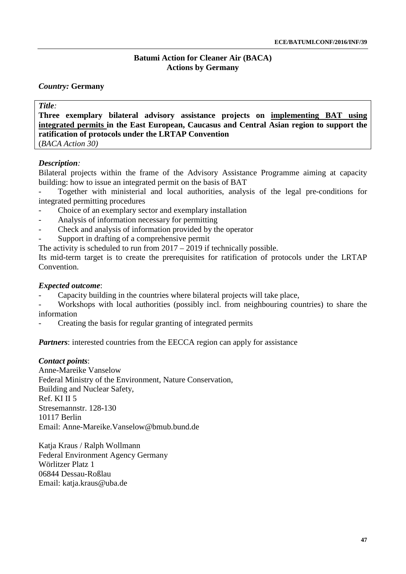# *Country:* **Germany**

| <b>Title</b> |
|--------------|
|--------------|

**Three exemplary bilateral advisory assistance projects on implementing BAT using integrated permits in the East European, Caucasus and Central Asian region to support the ratification of protocols under the LRTAP Convention** (*BACA Action 30)*

# *Description:*

Bilateral projects within the frame of the Advisory Assistance Programme aiming at capacity building: how to issue an integrated permit on the basis of BAT

- Together with ministerial and local authorities, analysis of the legal pre-conditions for integrated permitting procedures

- Choice of an exemplary sector and exemplary installation
- Analysis of information necessary for permitting
- Check and analysis of information provided by the operator
- Support in drafting of a comprehensive permit

The activity is scheduled to run from 2017 – 2019 if technically possible.

Its mid-term target is to create the prerequisites for ratification of protocols under the LRTAP Convention.

# *Expected outcome*:

- Capacity building in the countries where bilateral projects will take place,
- Workshops with local authorities (possibly incl. from neighbouring countries) to share the information
- Creating the basis for regular granting of integrated permits

*Partners*: interested countries from the EECCA region can apply for assistance

### *Contact points*:

Anne-Mareike Vanselow Federal Ministry of the Environment, Nature Conservation, Building and Nuclear Safety, Ref. KI II 5 Stresemannstr. 128-130 10117 Berlin Email: [Anne-Mareike.Vanselow@bmub.bund.de](mailto:Anne-Mareike.Vanselow@bmub.bund.de)

Katja Kraus / Ralph Wollmann Federal Environment Agency Germany Wörlitzer Platz 1 06844 Dessau-Roßlau Email: [katja.kraus@uba.de](mailto:katja.kraus@uba.de)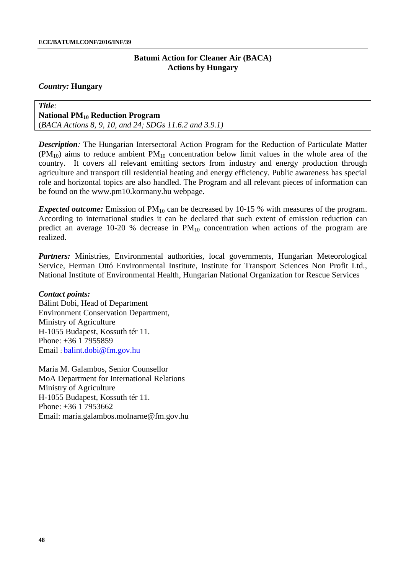#### *Country:* **Hungary**

#### *Title:* **National PM10 Reduction Program**

(*BACA Actions 8, 9, 10, and 24; SDGs 11.6.2 and 3.9.1)*

*Description:* The Hungarian Intersectoral Action Program for the Reduction of Particulate Matter  $(PM_{10})$  aims to reduce ambient  $PM_{10}$  concentration below limit values in the whole area of the country. It covers all relevant emitting sectors from industry and energy production through agriculture and transport till residential heating and energy efficiency. Public awareness has special role and horizontal topics are also handled. The Program and all relevant pieces of information can be found on the [www.pm10.kormany.hu](http://www.pm10.kormany.hu/) webpage.

*Expected outcome:* Emission of PM<sub>10</sub> can be decreased by 10-15 % with measures of the program. According to international studies it can be declared that such extent of emission reduction can predict an average 10-20 % decrease in  $PM_{10}$  concentration when actions of the program are realized.

Partners: Ministries, Environmental authorities, local governments, Hungarian Meteorological Service, Herman Ottó Environmental Institute, Institute for Transport Sciences Non Profit Ltd., National Institute of Environmental Health, Hungarian National Organization for Rescue Services

### *Contact points:*

Bálint Dobi, Head of Department Environment Conservation Department, Ministry of Agriculture H-1055 Budapest, Kossuth tér 11. Phone: +36 1 7955859 Email : balint.dobi@fm.gov.hu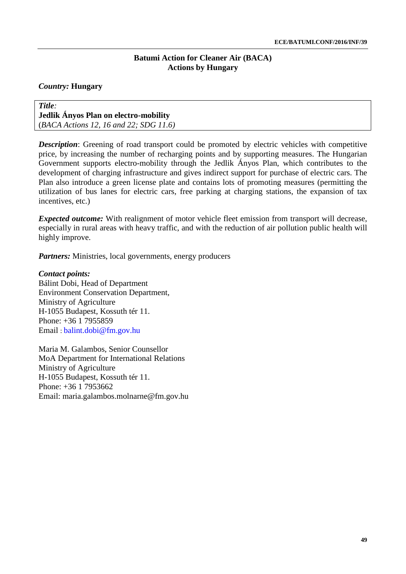### *Country:* **Hungary**

### *Title:* **Jedlik Ányos Plan on electro-mobility** (*BACA Actions 12, 16 and 22; SDG 11.6)*

**Description:** Greening of road transport could be promoted by electric vehicles with competitive price, by increasing the number of recharging points and by supporting measures. The Hungarian Government supports electro-mobility through the Jedlik Ányos Plan, which contributes to the development of charging infrastructure and gives indirect support for purchase of electric cars. The Plan also introduce a green license plate and contains lots of promoting measures (permitting the utilization of bus lanes for electric cars, free parking at charging stations, the expansion of tax incentives, etc.)

*Expected outcome:* With realignment of motor vehicle fleet emission from transport will decrease, especially in rural areas with heavy traffic, and with the reduction of air pollution public health will highly improve.

*Partners:* Ministries, local governments, energy producers

# *Contact points:*

Bálint Dobi, Head of Department Environment Conservation Department, Ministry of Agriculture H-1055 Budapest, Kossuth tér 11. Phone: +36 1 7955859 Email : balint.dobi@fm.gov.hu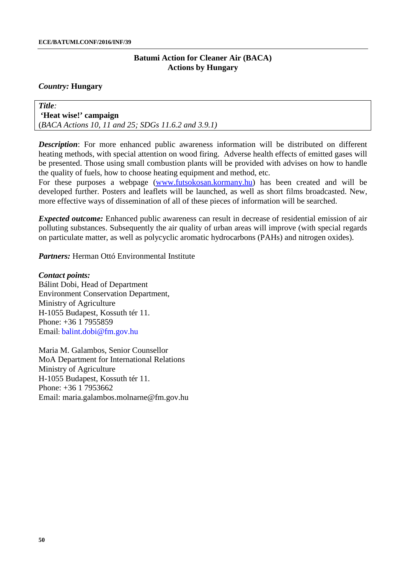### *Country:* **Hungary**

*Title:* **'Heat wise!' campaign** (*BACA Actions 10, 11 and 25; SDGs 11.6.2 and 3.9.1)*

**Description**: For more enhanced public awareness information will be distributed on different heating methods, with special attention on wood firing. Adverse health effects of emitted gases will be presented. Those using small combustion plants will be provided with advises on how to handle the quality of fuels, how to choose heating equipment and method, etc.

For these purposes a webpage [\(www.futsokosan.kormany.hu\)](http://www.futsokosan.kormany.hu/) has been created and will be developed further. Posters and leaflets will be launched, as well as short films broadcasted. New, more effective ways of dissemination of all of these pieces of information will be searched.

*Expected outcome:* Enhanced public awareness can result in decrease of residential emission of air polluting substances. Subsequently the air quality of urban areas will improve (with special regards on particulate matter, as well as polycyclic aromatic hydrocarbons (PAHs) and nitrogen oxides).

*Partners:* Herman Ottó Environmental Institute

*Contact points:* Bálint Dobi, Head of Department Environment Conservation Department, Ministry of Agriculture H-1055 Budapest, Kossuth tér 11. Phone: +36 1 7955859 Email: balint.dobi@fm.gov.hu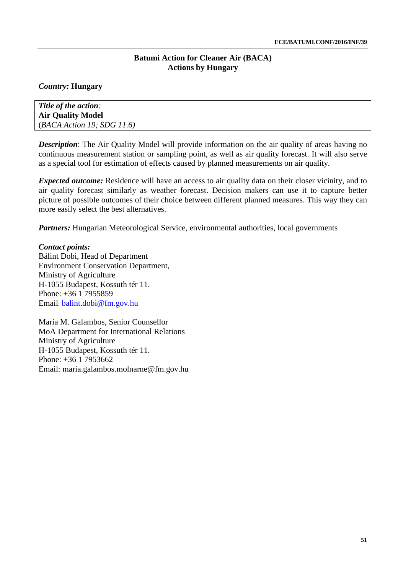# *Country:* **Hungary**

*Title of the action:* **Air Quality Model** (*BACA Action 19; SDG 11.6)*

*Description*: The Air Quality Model will provide information on the air quality of areas having no continuous measurement station or sampling point, as well as air quality forecast. It will also serve as a special tool for estimation of effects caused by planned measurements on air quality.

*Expected outcome:* Residence will have an access to air quality data on their closer vicinity, and to air quality forecast similarly as weather forecast. Decision makers can use it to capture better picture of possible outcomes of their choice between different planned measures. This way they can more easily select the best alternatives.

*Partners:* Hungarian Meteorological Service, environmental authorities, local governments

### *Contact points:*

Bálint Dobi, Head of Department Environment Conservation Department, Ministry of Agriculture H-1055 Budapest, Kossuth tér 11. Phone: +36 1 7955859 Email: balint.dobi@fm.gov.hu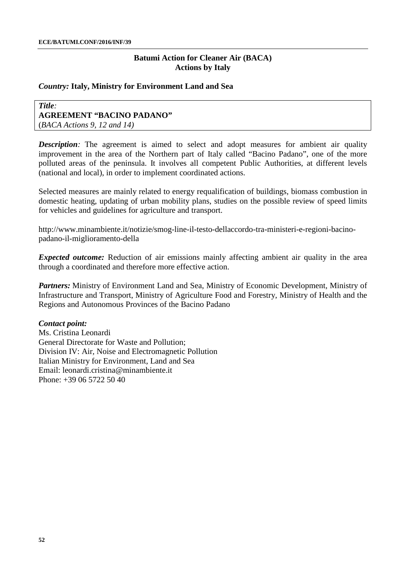### *Country:* **Italy, Ministry for Environment Land and Sea**

#### *Title:* **AGREEMENT "BACINO PADANO"**  (*BACA Actions 9, 12 and 14)*

**Description**: The agreement is aimed to select and adopt measures for ambient air quality improvement in the area of the Northern part of Italy called "Bacino Padano", one of the more polluted areas of the peninsula. It involves all competent Public Authorities, at different levels (national and local), in order to implement coordinated actions.

Selected measures are mainly related to energy requalification of buildings, biomass combustion in domestic heating, updating of urban mobility plans, studies on the possible review of speed limits for vehicles and guidelines for agriculture and transport.

[http://www.minambiente.it/notizie/smog-line-il-testo-dellaccordo-tra-ministeri-e-regioni-bacino](http://www.minambiente.it/notizie/smog-line-il-testo-dellaccordo-tra-ministeri-e-regioni-bacino-padano-il-miglioramento-della)[padano-il-miglioramento-della](http://www.minambiente.it/notizie/smog-line-il-testo-dellaccordo-tra-ministeri-e-regioni-bacino-padano-il-miglioramento-della)

*Expected outcome:* Reduction of air emissions mainly affecting ambient air quality in the area through a coordinated and therefore more effective action.

*Partners:* Ministry of Environment Land and Sea, Ministry of Economic Development, Ministry of Infrastructure and Transport, Ministry of Agriculture Food and Forestry, Ministry of Health and the Regions and Autonomous Provinces of the Bacino Padano

#### *Contact point:*

Ms. Cristina Leonardi General Directorate for Waste and Pollution; Division IV: Air, Noise and Electromagnetic Pollution Italian Ministry for Environment, Land and Sea Email: [leonardi.cristina@minambiente.it](mailto:leonardi.cristina@minambiente.it) Phone: +39 06 5722 50 40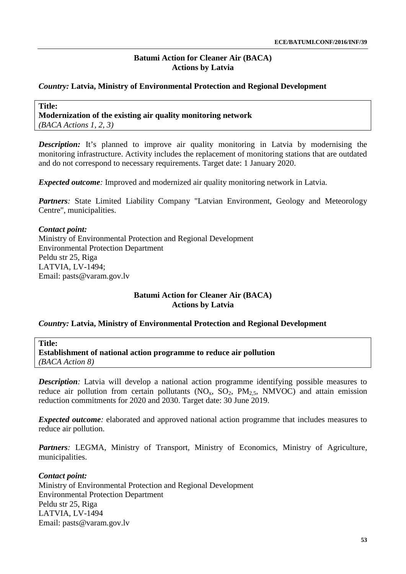# *Country:* **Latvia, Ministry of Environmental Protection and Regional Development**

**Title: Modernization of the existing air quality monitoring network**  *(BACA Actions 1, 2, 3)*

*Description:* It's planned to improve air quality monitoring in Latvia by modernising the monitoring infrastructure. Activity includes the replacement of monitoring stations that are outdated and do not correspond to necessary requirements. Target date: 1 January 2020.

*Expected outcome*: Improved and modernized air quality monitoring network in Latvia.

*Partners:* State Limited Liability Company "Latvian Environment, Geology and Meteorology Centre", municipalities.

### *Contact point:*

Ministry of Environmental Protection and Regional Development Environmental Protection Department Peldu str 25, Riga LATVIA, LV-1494; Email: [pasts@varam.gov.lv](mailto:pasts@varam.gov.lv)

# **Batumi Action for Cleaner Air (BACA) Actions by Latvia**

### *Country:* **Latvia, Ministry of Environmental Protection and Regional Development**

**Title:**

**Establishment of national action programme to reduce air pollution** *(BACA Action 8)*

*Description:* Latvia will develop a national action programme identifying possible measures to reduce air pollution from certain pollutants  $(NO_x, SO_2, PM_{2.5}, NMVOC)$  and attain emission reduction commitments for 2020 and 2030. Target date: 30 June 2019.

*Expected outcome*: elaborated and approved national action programme that includes measures to reduce air pollution.

Partners: LEGMA, Ministry of Transport, Ministry of Economics, Ministry of Agriculture, municipalities.

### *Contact point:*

Ministry of Environmental Protection and Regional Development Environmental Protection Department Peldu str 25, Riga LATVIA, LV-1494 Email: [pasts@varam.gov.lv](mailto:pasts@varam.gov.lv)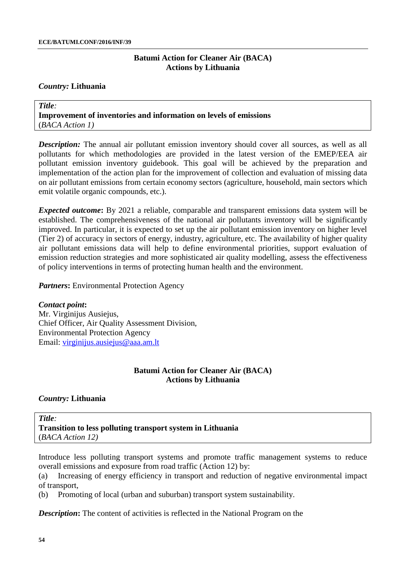#### *Country:* **Lithuania**

*Title:* **Improvement of inventories and information on levels of emissions** (*BACA Action 1)*

**Description:** The annual air pollutant emission inventory should cover all sources, as well as all pollutants for which methodologies are provided in the latest version of the EMEP/EEA air pollutant emission inventory guidebook. This goal will be achieved by the preparation and implementation of the action plan for the improvement of collection and evaluation of missing data on air pollutant emissions from certain economy sectors (agriculture, household, main sectors which emit volatile organic compounds, etc.).

*Expected outcome***:** By 2021 a reliable, comparable and transparent emissions data system will be established. The comprehensiveness of the national air pollutants inventory will be significantly improved. In particular, it is expected to set up the air pollutant emission inventory on higher level (Tier 2) of accuracy in sectors of energy, industry, agriculture, etc. The availability of higher quality air pollutant emissions data will help to define environmental priorities, support evaluation of emission reduction strategies and more sophisticated air quality modelling, assess the effectiveness of policy interventions in terms of protecting human health and the environment.

*Partners***:** Environmental Protection Agency

#### *Contact point***:**

Mr. Virginijus Ausiejus, Chief Officer, Air Quality Assessment Division, Environmental Protection Agency Email: [virginijus.ausiejus@aaa.am.lt](mailto:virginijus.ausiejus@aaa.am.lt)

## **Batumi Action for Cleaner Air (BACA) Actions by Lithuania**

### *Country:* **Lithuania**

*Title:* **Transition to less polluting transport system in Lithuania** (*BACA Action 12)*

Introduce less polluting transport systems and promote traffic management systems to reduce overall emissions and exposure from road traffic (Action 12) by:

(a) Increasing of energy efficiency in transport and reduction of negative environmental impact of transport,

(b) Promoting of local (urban and suburban) transport system sustainability.

*Description*: The content of activities is reflected in the National Program on the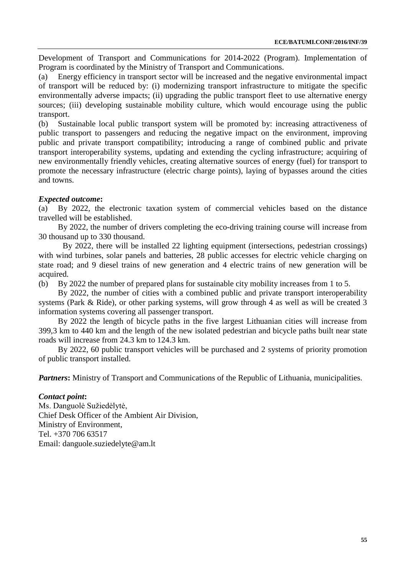Development of Transport and Communications for 2014-2022 (Program). Implementation of Program is coordinated by the Ministry of Transport and Communications.

(a) Energy efficiency in transport sector will be increased and the negative environmental impact of transport will be reduced by: (i) modernizing transport infrastructure to mitigate the specific environmentally adverse impacts; (ii) upgrading the public transport fleet to use alternative energy sources; (iii) developing sustainable mobility culture, which would encourage using the public transport.

(b) Sustainable local public transport system will be promoted by: increasing attractiveness of public transport to passengers and reducing the negative impact on the environment, improving public and private transport compatibility; introducing a range of combined public and private transport interoperability systems, updating and extending the cycling infrastructure; acquiring of new environmentally friendly vehicles, creating alternative sources of energy (fuel) for transport to promote the necessary infrastructure (electric charge points), laying of bypasses around the cities and towns.

# *Expected outcome***:**

(a) By 2022, the electronic taxation system of commercial vehicles based on the distance travelled will be established.

By 2022, the number of drivers completing the eco-driving training course will increase from 30 thousand up to 330 thousand.

By 2022, there will be installed 22 lighting equipment (intersections, pedestrian crossings) with wind turbines, solar panels and batteries, 28 public accesses for electric vehicle charging on state road; and 9 diesel trains of new generation and 4 electric trains of new generation will be acquired.

(b) By 2022 the number of prepared plans for sustainable city mobility increases from 1 to 5.

By 2022, the number of cities with a combined public and private transport interoperability systems (Park & Ride), or other parking systems, will grow through 4 as well as will be created 3 information systems covering all passenger transport.

By 2022 the length of bicycle paths in the five largest Lithuanian cities will increase from 399,3 km to 440 km and the length of the new isolated pedestrian and bicycle paths built near state roads will increase from 24.3 km to 124.3 km.

By 2022, 60 public transport vehicles will be purchased and 2 systems of priority promotion of public transport installed.

*Partners*: Ministry of Transport and Communications of the Republic of Lithuania, municipalities.

# *Contact point***:**

Ms. Danguolė Sužiedėlytė, Chief Desk Officer of the Ambient Air Division, Ministry of Environment, Tel. +370 706 63517 Email: [danguole.suziedelyte@am.lt](mailto:danguole.suziedelyte@am.lt)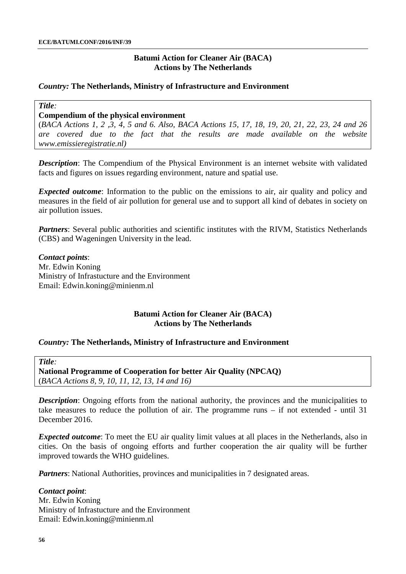# **Batumi Action for Cleaner Air (BACA) Actions by The Netherlands**

### *Country:* **The Netherlands, Ministry of Infrastructure and Environment**

*Title:*

### **Compendium of the physical environment**

(*BACA Actions 1, 2 ,3, 4, 5 and 6. Also, BACA Actions 15, 17, 18, 19, 20, 21, 22, 23, 24 and 26 are covered due to the fact that the results are made available on the website www.emissieregistratie.nl)*

*Description*: The Compendium of the Physical Environment is an internet website with validated facts and figures on issues regarding environment, nature and spatial use.

*Expected outcome*: Information to the public on the emissions to air, air quality and policy and measures in the field of air pollution for general use and to support all kind of debates in society on air pollution issues.

*Partners*: Several public authorities and scientific institutes with the RIVM, Statistics Netherlands (CBS) and Wageningen University in the lead.

*Contact points*: Mr. Edwin Koning Ministry of Infrastucture and the Environment Email: Edwin.koning@minienm.nl

# **Batumi Action for Cleaner Air (BACA) Actions by The Netherlands**

### *Country:* **The Netherlands, Ministry of Infrastructure and Environment**

*Title:*

**National Programme of Cooperation for better Air Quality (NPCAQ)** (*BACA Actions 8, 9, 10, 11, 12, 13, 14 and 16)*

*Description*: Ongoing efforts from the national authority, the provinces and the municipalities to take measures to reduce the pollution of air. The programme runs – if not extended - until 31 December 2016.

*Expected outcome*: To meet the EU air quality limit values at all places in the Netherlands, also in cities. On the basis of ongoing efforts and further cooperation the air quality will be further improved towards the WHO guidelines.

*Partners*: National Authorities, provinces and municipalities in 7 designated areas.

#### *Contact point*:

Mr. Edwin Koning Ministry of Infrastucture and the Environment Email: Edwin.koning@minienm.nl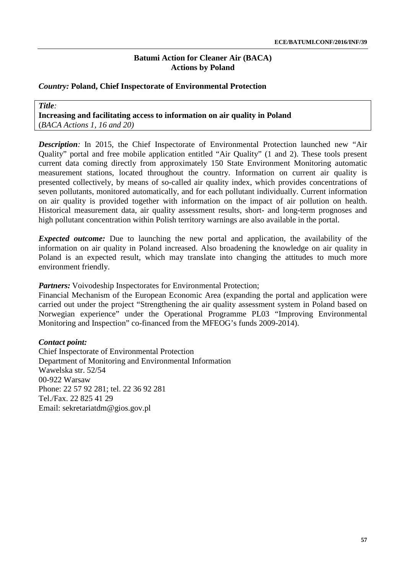### *Country:* **Poland, Chief Inspectorate of Environmental Protection**

*Title:* **Increasing and facilitating access to information on air quality in Poland** (*BACA Actions 1, 16 and 20)*

**Description**: In 2015, the Chief Inspectorate of Environmental Protection launched new "Air Quality" portal and free mobile application entitled "Air Quality" (1 and 2). These tools present current data coming directly from approximately 150 State Environment Monitoring automatic measurement stations, located throughout the country. Information on current air quality is presented collectively, by means of so-called air quality index, which provides concentrations of seven pollutants, monitored automatically, and for each pollutant individually. Current information on air quality is provided together with information on the impact of air pollution on health. Historical measurement data, air quality assessment results, short- and long-term prognoses and high pollutant concentration within Polish territory warnings are also available in the portal.

*Expected outcome:* Due to launching the new portal and application, the availability of the information on air quality in Poland increased. Also broadening the knowledge on air quality in Poland is an expected result, which may translate into changing the attitudes to much more environment friendly.

*Partners:* Voivodeship Inspectorates for Environmental Protection;

Financial Mechanism of the European Economic Area (expanding the portal and application were carried out under the project "Strengthening the air quality assessment system in Poland based on Norwegian experience" under the Operational Programme PL03 "Improving Environmental Monitoring and Inspection" co-financed from the MFEOG's funds 2009-2014).

#### *Contact point:*

Chief Inspectorate of Environmental Protection Department of Monitoring and Environmental Information Wawelska str. 52/54 00-922 Warsaw Phone: 22 57 92 281; tel. 22 36 92 281 Tel./Fax. 22 825 41 29 Email: [sekretariatdm@gios.gov.pl](mailto:sekretariatdm@gios.gov.pl)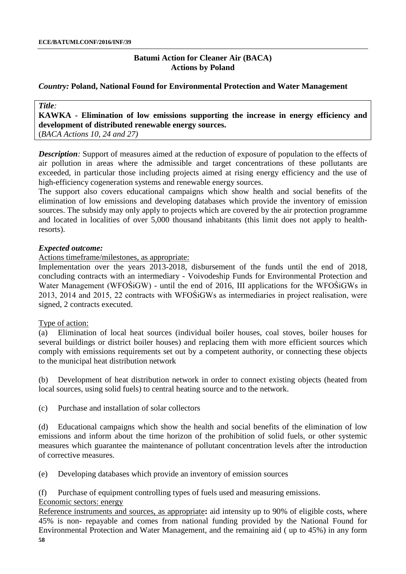# *Country:* **Poland, National Found for Environmental Protection and Water Management**

# **KAWKA - Elimination of low emissions supporting the increase in energy efficiency and development of distributed renewable energy sources.**

(*BACA Actions 10, 24 and 27)*

*Title:*

*Description:* Support of measures aimed at the reduction of exposure of population to the effects of air pollution in areas where the admissible and target concentrations of these pollutants are exceeded, in particular those including projects aimed at rising energy efficiency and the use of high-efficiency cogeneration systems and renewable energy sources.

The support also covers educational campaigns which show health and social benefits of the elimination of low emissions and developing databases which provide the inventory of emission sources. The subsidy may only apply to projects which are covered by the air protection programme and located in localities of over 5,000 thousand inhabitants (this limit does not apply to healthresorts).

# *Expected outcome:*

Actions timeframe/milestones, as appropriate:

Implementation over the years 2013-2018, disbursement of the funds until the end of 2018, concluding contracts with an intermediary - Voivodeship Funds for Environmental Protection and Water Management (WFOŚiGW) - until the end of 2016, III applications for the WFOŚiGWs in 2013, 2014 and 2015, 22 contracts with WFOŚiGWs as intermediaries in project realisation, were signed, 2 contracts executed.

### Type of action:

(a) Elimination of local heat sources (individual boiler houses, coal stoves, boiler houses for several buildings or district boiler houses) and replacing them with more efficient sources which comply with emissions requirements set out by a competent authority, or connecting these objects to the municipal heat distribution network

(b) Development of heat distribution network in order to connect existing objects (heated from local sources, using solid fuels) to central heating source and to the network.

(c) Purchase and installation of solar collectors

(d) Educational campaigns which show the health and social benefits of the elimination of low emissions and inform about the time horizon of the prohibition of solid fuels, or other systemic measures which guarantee the maintenance of pollutant concentration levels after the introduction of corrective measures.

(e) Developing databases which provide an inventory of emission sources

(f) Purchase of equipment controlling types of fuels used and measuring emissions.

Economic sectors: energy

**58** Reference instruments and sources, as appropriate**:** aid intensity up to 90% of eligible costs, where 45% is non- repayable and comes from national funding provided by the National Found for Environmental Protection and Water Management, and the remaining aid ( up to 45%) in any form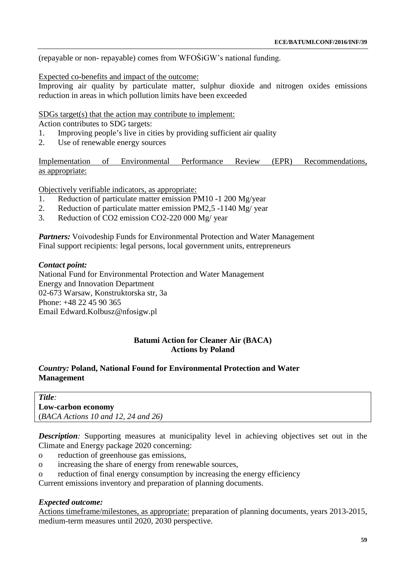(repayable or non- repayable) comes from WFOŚiGW's national funding.

### Expected co-benefits and impact of the outcome:

Improving air quality by particulate matter, sulphur dioxide and nitrogen oxides emissions reduction in areas in which pollution limits have been exceeded

### SDGs target(s) that the action may contribute to implement:

Action contributes to SDG targets:

- 1. Improving people's live in cities by providing sufficient air quality
- 2. Use of renewable energy sources

Implementation of Environmental Performance Review (EPR) Recommendations, as appropriate:

Objectively verifiable indicators, as appropriate:

- 1. Reduction of particulate matter emission PM10 -1 200 Mg/year
- 2. Reduction of particulate matter emission PM2,5 -1140 Mg/ year<br>Reduction of CO2 emission CO2-220 000 Mg/ year
- Reduction of CO2 emission CO2-220 000 Mg/ year

*Partners:* Voivodeship Funds for Environmental Protection and Water Management Final support recipients: legal persons, local government units, entrepreneurs

### *Contact point:*

National Fund for Environmental Protection and Water Management Energy and Innovation Department 02-673 Warsaw, Konstruktorska str, 3a Phone: +48 22 45 90 365 Email [Edward.Kolbusz@nfosigw.pl](mailto:Edward.Kolbusz@nfosigw.pl)

### **Batumi Action for Cleaner Air (BACA) Actions by Poland**

# *Country:* **Poland, National Found for Environmental Protection and Water Management**

*Title:* **Low-carbon economy** (*BACA Actions 10 and 12, 24 and 26)*

*Description:* Supporting measures at municipality level in achieving objectives set out in the Climate and Energy package 2020 concerning:

- o reduction of greenhouse gas emissions,
- o increasing the share of energy from renewable sources,
- o reduction of final energy consumption by increasing the energy efficiency

Current emissions inventory and preparation of planning documents.

### *Expected outcome:*

Actions timeframe/milestones, as appropriate: preparation of planning documents, years 2013-2015, medium-term measures until 2020, 2030 perspective.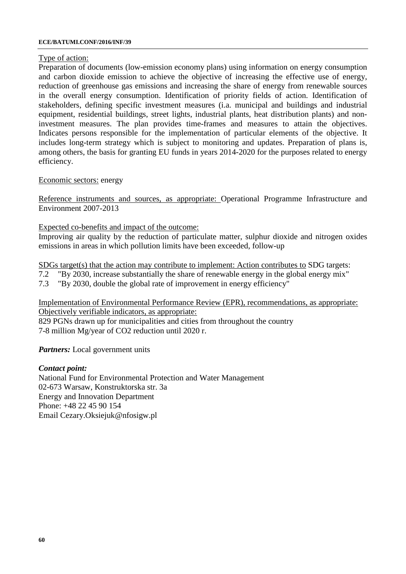#### **ECE/BATUMI.CONF/2016/INF/39**

# Type of action:

Preparation of documents (low-emission economy plans) using information on energy consumption and carbon dioxide emission to achieve the objective of increasing the effective use of energy, reduction of greenhouse gas emissions and increasing the share of energy from renewable sources in the overall energy consumption. Identification of priority fields of action. Identification of stakeholders, defining specific investment measures (i.a. municipal and buildings and industrial equipment, residential buildings, street lights, industrial plants, heat distribution plants) and noninvestment measures. The plan provides time-frames and measures to attain the objectives. Indicates persons responsible for the implementation of particular elements of the objective. It includes long-term strategy which is subject to monitoring and updates. Preparation of plans is, among others, the basis for granting EU funds in years 2014-2020 for the purposes related to energy efficiency.

# Economic sectors: energy

Reference instruments and sources, as appropriate: Operational Programme Infrastructure and Environment 2007-2013

Expected co-benefits and impact of the outcome:

Improving air quality by the reduction of particulate matter, sulphur dioxide and nitrogen oxides emissions in areas in which pollution limits have been exceeded, follow-up

SDGs target(s) that the action may contribute to implement: Action contributes to SDG targets:

- 7.2 "By 2030, increase substantially the share of renewable energy in the global energy mix"
- 7.3 "By 2030, double the global rate of improvement in energy efficiency"

Implementation of Environmental Performance Review (EPR), recommendations, as appropriate: Objectively verifiable indicators, as appropriate:

829 PGNs drawn up for municipalities and cities from throughout the country 7-8 million Mg/year of CO2 reduction until 2020 r.

*Partners:* Local government units

# *Contact point:*

National Fund for Environmental Protection and Water Management 02-673 Warsaw, Konstruktorska str. 3a Energy and Innovation Department Phone: +48 22 45 90 154 Email [Cezary.Oksiejuk@nfosigw.pl](mailto:Cezary.Oksiejuk@nfosigw.pl)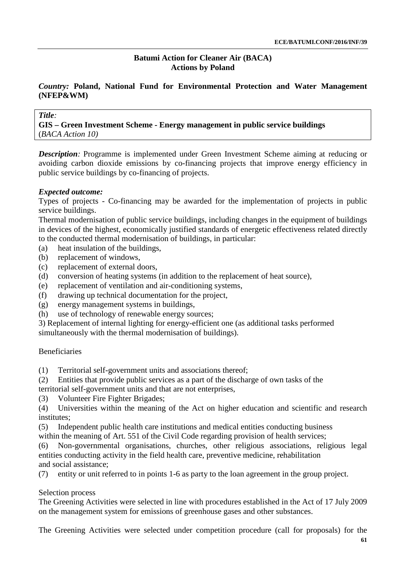# *Country:* **Poland, National Fund for Environmental Protection and Water Management (NFEP&WM)**

### *Title:*

**GIS – Green Investment Scheme - Energy management in public service buildings** (*BACA Action 10)*

*Description:* Programme is implemented under Green Investment Scheme aiming at reducing or avoiding carbon dioxide emissions by co-financing projects that improve energy efficiency in public service buildings by co-financing of projects.

### *Expected outcome:*

Types of projects - Co-financing may be awarded for the implementation of projects in public service buildings.

Thermal modernisation of public service buildings, including changes in the equipment of buildings in devices of the highest, economically justified standards of energetic effectiveness related directly to the conducted thermal modernisation of buildings, in particular:

- (a) heat insulation of the buildings,
- (b) replacement of windows,
- (c) replacement of external doors,
- (d) conversion of heating systems (in addition to the replacement of heat source),
- (e) replacement of ventilation and air-conditioning systems,
- (f) drawing up technical documentation for the project,
- (g) energy management systems in buildings,
- (h) use of technology of renewable energy sources;

3) Replacement of internal lighting for energy-efficient one (as additional tasks performed simultaneously with the thermal modernisation of buildings).

### Beneficiaries

- (1) Territorial self-government units and associations thereof;
- (2) Entities that provide public services as a part of the discharge of own tasks of the territorial self-government units and that are not enterprises,
- (3) Volunteer Fire Fighter Brigades;
- (4) Universities within the meaning of the Act on higher education and scientific and research institutes;
- (5) Independent public health care institutions and medical entities conducting business
- within the meaning of Art. 551 of the Civil Code regarding provision of health services;
- (6) Non-governmental organisations, churches, other religious associations, religious legal entities conducting activity in the field health care, preventive medicine, rehabilitation and social assistance;
- (7) entity or unit referred to in points 1-6 as party to the loan agreement in the group project.

### Selection process

The Greening Activities were selected in line with procedures established in the Act of 17 July 2009 on the management system for emissions of greenhouse gases and other substances.

The Greening Activities were selected under competition procedure (call for proposals) for the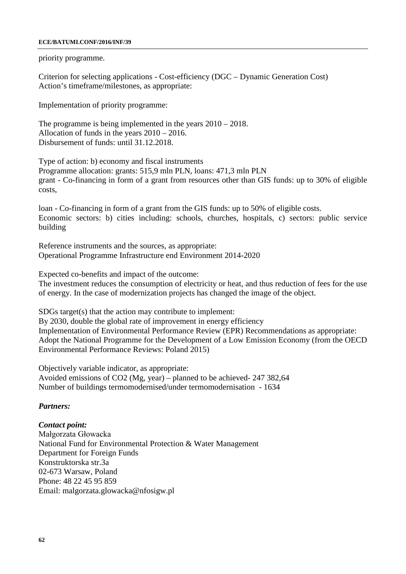#### **ECE/BATUMI.CONF/2016/INF/39**

priority programme.

Criterion for selecting applications - Cost-efficiency (DGC – Dynamic Generation Cost) Action's timeframe/milestones, as appropriate:

Implementation of priority programme:

The programme is being implemented in the years 2010 – 2018. Allocation of funds in the years 2010 – 2016. Disbursement of funds: until 31.12.2018.

Type of action: b) economy and fiscal instruments Programme allocation: grants: 515,9 mln PLN, loans: 471,3 mln PLN grant - Co-financing in form of a grant from resources other than GIS funds: up to 30% of eligible costs,

loan - Co-financing in form of a grant from the GIS funds: up to 50% of eligible costs. Economic sectors: b) cities including: schools, churches, hospitals, c) sectors: public service building

Reference instruments and the sources, as appropriate: Operational Programme Infrastructure end Environment 2014-2020

Expected co-benefits and impact of the outcome:

The investment reduces the consumption of electricity or heat, and thus reduction of fees for the use of energy. In the case of modernization projects has changed the image of the object.

SDGs target(s) that the action may contribute to implement:

By 2030, double the global rate of improvement in energy efficiency Implementation of Environmental Performance Review (EPR) Recommendations as appropriate: Adopt the National Programme for the Development of a Low Emission Economy (from the OECD Environmental Performance Reviews: Poland 2015)

Objectively variable indicator, as appropriate: Avoided emissions of CO2 (Mg, year) – planned to be achieved- 247 382,64 Number of buildings termomodernised/under termomodernisation - 1634

### *Partners:*

*Contact point:* Małgorzata Głowacka National Fund for Environmental Protection & Water Management Department for Foreign Funds Konstruktorska str.3a 02-673 Warsaw, Poland Phone: 48 22 45 95 859 Email: [malgorzata.glowacka@nfosigw.pl](mailto:malgorzata.glowacka@nfosigw.pl)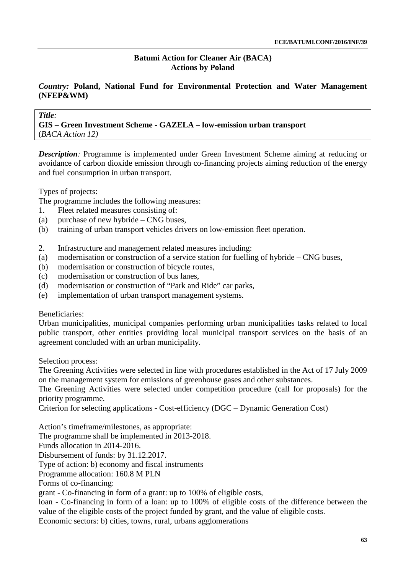# *Country:* **Poland, National Fund for Environmental Protection and Water Management (NFEP&WM)**

#### *Title:*

**GIS – Green Investment Scheme - GAZELA – low-emission urban transport** (*BACA Action 12)*

*Description:* Programme is implemented under Green Investment Scheme aiming at reducing or avoidance of carbon dioxide emission through co-financing projects aiming reduction of the energy and fuel consumption in urban transport.

Types of projects:

The programme includes the following measures:

- 1. Fleet related measures consisting of:
- (a) purchase of new hybride CNG buses,
- (b) training of urban transport vehicles drivers on low-emission fleet operation.
- 2. Infrastructure and management related measures including:
- (a) modernisation or construction of a service station for fuelling of hybride CNG buses,
- (b) modernisation or construction of bicycle routes,
- (c) modernisation or construction of bus lanes,
- (d) modernisation or construction of "Park and Ride" car parks,
- (e) implementation of urban transport management systems.

# Beneficiaries:

Urban municipalities, municipal companies performing urban municipalities tasks related to local public transport, other entities providing local municipal transport services on the basis of an agreement concluded with an urban municipality.

Selection process:

The Greening Activities were selected in line with procedures established in the Act of 17 July 2009 on the management system for emissions of greenhouse gases and other substances.

The Greening Activities were selected under competition procedure (call for proposals) for the priority programme.

Criterion for selecting applications - Cost-efficiency (DGC – Dynamic Generation Cost)

Action's timeframe/milestones, as appropriate:

The programme shall be implemented in 2013-2018.

Funds allocation in 2014-2016.

Disbursement of funds: by 31.12.2017.

Type of action: b) economy and fiscal instruments

Programme allocation: 160.8 M PLN

Forms of co-financing:

grant - Co-financing in form of a grant: up to 100% of eligible costs,

loan - Co-financing in form of a loan: up to 100% of eligible costs of the difference between the value of the eligible costs of the project funded by grant, and the value of eligible costs.

Economic sectors: b) cities, towns, rural, urbans agglomerations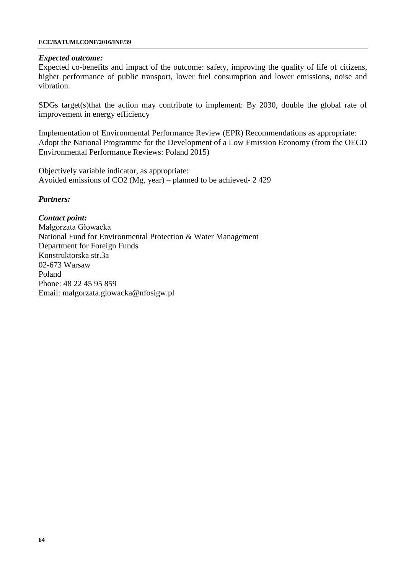#### **ECE/BATUMI.CONF/2016/INF/39**

#### *Expected outcome:*

Expected co-benefits and impact of the outcome: safety, improving the quality of life of citizens, higher performance of public transport, lower fuel consumption and lower emissions, noise and vibration.

SDGs target(s)that the action may contribute to implement: By 2030, double the global rate of improvement in energy efficiency

Implementation of Environmental Performance Review (EPR) Recommendations as appropriate: Adopt the National Programme for the Development of a Low Emission Economy (from the OECD Environmental Performance Reviews: Poland 2015)

Objectively variable indicator, as appropriate: Avoided emissions of CO2 (Mg, year) – planned to be achieved- 2 429

#### *Partners:*

*Contact point:* Małgorzata Głowacka National Fund for Environmental Protection & Water Management Department for Foreign Funds Konstruktorska str.3a 02-673 Warsaw Poland Phone: 48 22 45 95 859 Email: [malgorzata.glowacka@nfosigw.pl](mailto:malgorzata.glowacka@nfosigw.pl)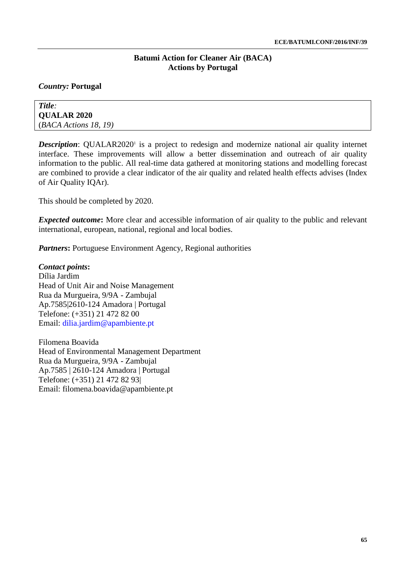# *Country:* **Portugal**

*Title:* **QUALAR 2020** (*BACA Actions 18, 19)*

**Description:** QUALAR2020<sup>1</sup> is a project to redesign and modernize national air quality internet interface. These improvements will allow a better dissemination and outreach of air quality information to the public. All real-time data gathered at monitoring stations and modelling forecast are combined to provide a clear indicator of the air quality and related health effects advises (Index of Air Quality IQAr).

This should be completed by 2020.

*Expected outcome*: More clear and accessible information of air quality to the public and relevant international, european, national, regional and local bodies.

*Partners*: Portuguese Environment Agency, Regional authorities

### *Contact points***:**

Dília Jardim Head of Unit Air and Noise Management Rua da Murgueira, 9/9A - Zambujal Ap.7585|2610-124 Amadora | Portugal Telefone: (+351) 21 472 82 00 Email: [dilia.jardim@apambiente.pt](mailto:dilia.jardim@apambiente.pt)

Filomena Boavida Head of Environmental Management Department Rua da Murgueira, 9/9A - Zambujal Ap.7585 | 2610-124 Amadora | Portugal Telefone: (+351) 21 472 82 93| Email: [filomena.boavida@apambiente.pt](mailto:filomena.boavida@apambiente.pt)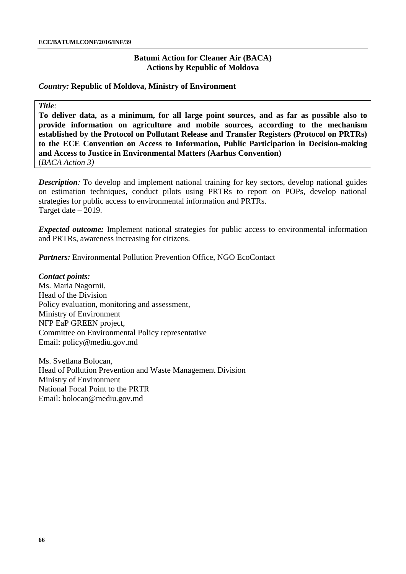### **Batumi Action for Cleaner Air (BACA) Actions by Republic of Moldova**

#### *Country:* **Republic of Moldova, Ministry of Environment**

#### *Title:*

**To deliver data, as a minimum, for all large point sources, and as far as possible also to provide information on agriculture and mobile sources, according to the mechanism established by the Protocol on Pollutant Release and Transfer Registers (Protocol on PRTRs) to the ECE Convention on Access to Information, Public Participation in Decision-making and Access to Justice in Environmental Matters (Aarhus Convention)** (*BACA Action 3)*

*Description*: To develop and implement national training for key sectors, develop national guides on estimation techniques, conduct pilots using PRTRs to report on POPs, develop national strategies for public access to environmental information and PRTRs. Target date – 2019.

*Expected outcome:* Implement national strategies for public access to environmental information and PRTRs, awareness increasing for citizens.

*Partners:* Environmental Pollution Prevention Office, NGO EcoContact

*Contact points:* Ms. Maria Nagornii, Head of the Division Policy evaluation, monitoring and assessment, Ministry of Environment NFP EaP GREEN project, Committee on Environmental Policy representative Email: [policy@mediu.gov.md](mailto:policy@mediu.gov.md)

Ms. Svetlana Bolocan, Head of Pollution Prevention and Waste Management Division Ministry of Environment National Focal Point to the PRTR Email: [bolocan@mediu.gov.md](mailto:bolocan@mediu.gov.md)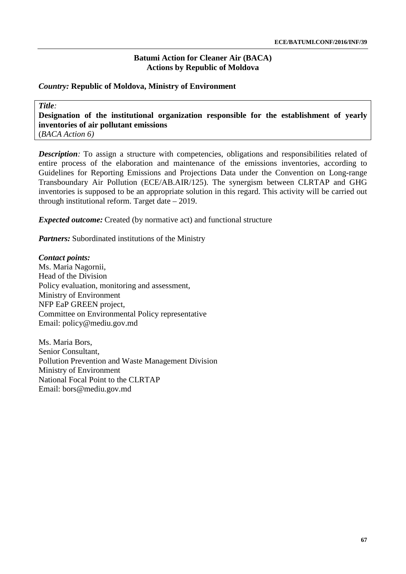# **Batumi Action for Cleaner Air (BACA) Actions by Republic of Moldova**

# *Country:* **Republic of Moldova, Ministry of Environment**

*Title:* **Designation of the institutional organization responsible for the establishment of yearly inventories of air pollutant emissions** (*BACA Action 6)*

*Description*: To assign a structure with competencies, obligations and responsibilities related of entire process of the elaboration and maintenance of the emissions inventories, according to Guidelines for Reporting Emissions and Projections Data under the Convention on Long-range Transboundary Air Pollution (ECE/AB.AIR/125). The synergism between CLRTAP and GHG inventories is supposed to be an appropriate solution in this regard. This activity will be carried out through institutional reform. Target date – 2019.

*Expected outcome:* Created (by normative act) and functional structure

*Partners:* Subordinated institutions of the Ministry

### *Contact points:*

Ms. Maria Nagornii, Head of the Division Policy evaluation, monitoring and assessment, Ministry of Environment NFP EaP GREEN project, Committee on Environmental Policy representative Email: [policy@mediu.gov.md](mailto:policy@mediu.gov.md)

Ms. Maria Bors, Senior Consultant, Pollution Prevention and Waste Management Division Ministry of Environment National Focal Point to the CLRTAP Email: [bors@mediu.gov.md](mailto:bors@mediu.gov.md)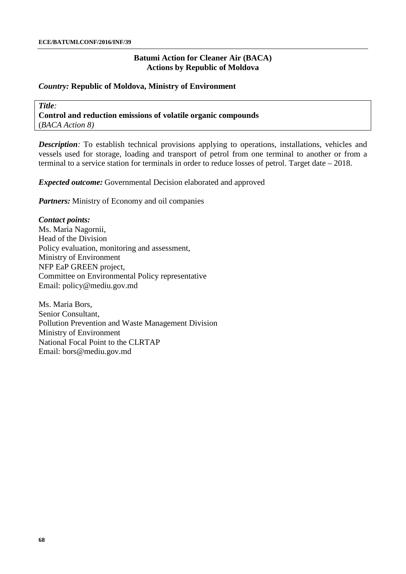### **Batumi Action for Cleaner Air (BACA) Actions by Republic of Moldova**

### *Country:* **Republic of Moldova, Ministry of Environment**

*Title:* **Control and reduction emissions of volatile organic compounds** (*BACA Action 8)*

*Description*: To establish technical provisions applying to operations, installations, vehicles and vessels used for storage, loading and transport of petrol from one terminal to another or from a terminal to a service station for terminals in order to reduce losses of petrol. Target date – 2018.

*Expected outcome:* Governmental Decision elaborated and approved

*Partners:* Ministry of Economy and oil companies

# *Contact points:*

Ms. Maria Nagornii, Head of the Division Policy evaluation, monitoring and assessment, Ministry of Environment NFP EaP GREEN project, Committee on Environmental Policy representative Email: [policy@mediu.gov.md](mailto:policy@mediu.gov.md)

Ms. Maria Bors, Senior Consultant, Pollution Prevention and Waste Management Division Ministry of Environment National Focal Point to the CLRTAP Email: [bors@mediu.gov.md](mailto:bors@mediu.gov.md)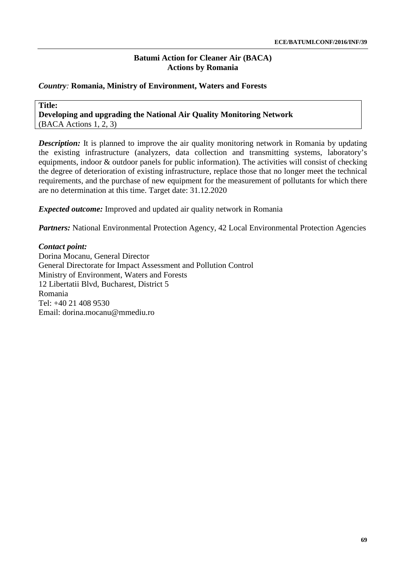# *Country:* **Romania, Ministry of Environment, Waters and Forests**

**Title: Developing and upgrading the National Air Quality Monitoring Network** (BACA Actions 1, 2, 3)

*Description:* It is planned to improve the air quality monitoring network in Romania by updating the existing infrastructure (analyzers, data collection and transmitting systems, laboratory's equipments, indoor & outdoor panels for public information). The activities will consist of checking the degree of deterioration of existing infrastructure, replace those that no longer meet the technical requirements, and the purchase of new equipment for the measurement of pollutants for which there are no determination at this time. Target date: 31.12.2020

*Expected outcome:* Improved and updated air quality network in Romania

*Partners:* National Environmental Protection Agency, 42 Local Environmental Protection Agencies

*Contact point:* Dorina Mocanu, General Director General Directorate for Impact Assessment and Pollution Control Ministry of Environment, Waters and Forests 12 Libertatii Blvd, Bucharest, District 5 Romania Tel: +40 21 408 9530 Email: [dorina.mocanu@mmediu.ro](mailto:dorina.mocanu@mmediu.ro)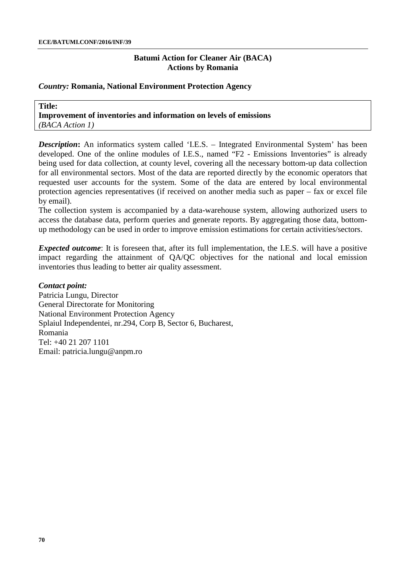### *Country:* **Romania, National Environment Protection Agency**

**Title: Improvement of inventories and information on levels of emissions** *(BACA Action 1)*

**Description:** An informatics system called 'I.E.S. – Integrated Environmental System' has been developed. One of the online modules of I.E.S., named "F2 - Emissions Inventories" is already being used for data collection, at county level, covering all the necessary bottom-up data collection for all environmental sectors. Most of the data are reported directly by the economic operators that requested user accounts for the system. Some of the data are entered by local environmental protection agencies representatives (if received on another media such as paper – fax or excel file by email).

The collection system is accompanied by a data-warehouse system, allowing authorized users to access the database data, perform queries and generate reports. By aggregating those data, bottomup methodology can be used in order to improve emission estimations for certain activities/sectors.

*Expected outcome*: It is foreseen that, after its full implementation, the I.E.S. will have a positive impact regarding the attainment of QA/QC objectives for the national and local emission inventories thus leading to better air quality assessment.

#### *Contact point:*

Patricia Lungu, Director General Directorate for Monitoring National Environment Protection Agency Splaiul Independentei, nr.294, Corp B, Sector 6, Bucharest, Romania Tel: +40 21 207 1101 Email: [patricia.lungu@anpm.ro](mailto:patricia.lungu@anpm.ro)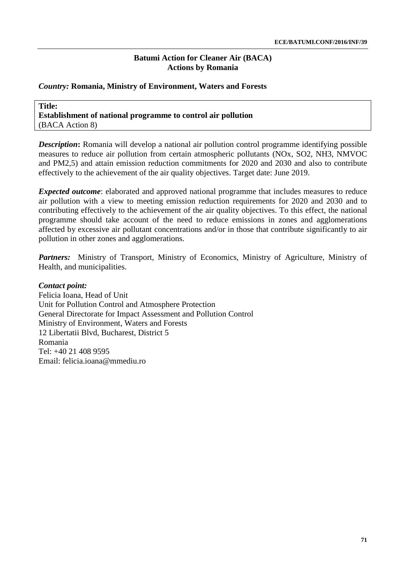# **Batumi Action for Cleaner Air (BACA) Actions by Romania**

### *Country:* **Romania, Ministry of Environment, Waters and Forests**

**Title: Establishment of national programme to control air pollution** (BACA Action 8)

*Description*: Romania will develop a national air pollution control programme identifying possible measures to reduce air pollution from certain atmospheric pollutants (NOx, SO2, NH3, NMVOC and PM2,5) and attain emission reduction commitments for 2020 and 2030 and also to contribute effectively to the achievement of the air quality objectives. Target date: June 2019.

*Expected outcome*: elaborated and approved national programme that includes measures to reduce air pollution with a view to meeting emission reduction requirements for 2020 and 2030 and to contributing effectively to the achievement of the air quality objectives. To this effect, the national programme should take account of the need to reduce emissions in zones and agglomerations affected by excessive air pollutant concentrations and/or in those that contribute significantly to air pollution in other zones and agglomerations.

Partners: Ministry of Transport, Ministry of Economics, Ministry of Agriculture, Ministry of Health, and municipalities.

#### *Contact point:*

Felicia Ioana, Head of Unit Unit for Pollution Control and Atmosphere Protection General Directorate for Impact Assessment and Pollution Control Ministry of Environment, Waters and Forests 12 Libertatii Blvd, Bucharest, District 5 Romania Tel: +40 21 408 9595 Email: [felicia.ioana@mmediu.ro](mailto:felicia.ioana@mmediu.ro)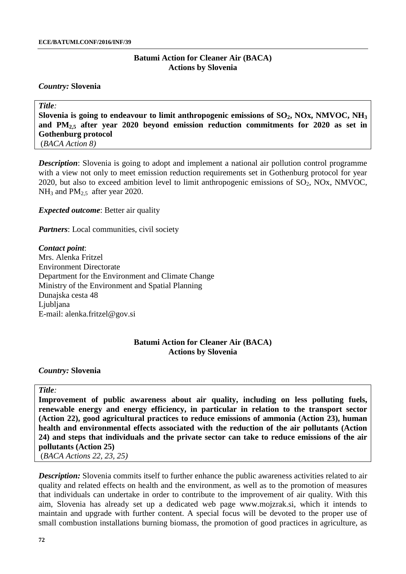#### **Batumi Action for Cleaner Air (BACA) Actions by Slovenia**

#### *Country:* **Slovenia**

*Title:* Slovenia is going to endeavour to limit anthropogenic emissions of SO<sub>2</sub>, NOx, NMVOC, NH<sub>3</sub> **and PM2,5 after year 2020 beyond emission reduction commitments for 2020 as set in Gothenburg protocol** (*BACA Action 8)*

*Description*: Slovenia is going to adopt and implement a national air pollution control programme with a view not only to meet emission reduction requirements set in Gothenburg protocol for year 2020, but also to exceed ambition level to limit anthropogenic emissions of  $SO_2$ , NOx, NMVOC,  $NH<sub>3</sub>$  and  $PM<sub>2.5</sub>$  after year 2020.

*Expected outcome*: Better air quality

*Partners*: Local communities, civil society

*Contact point*: Mrs. Alenka Fritzel Environment Directorate Department for the Environment and Climate Change Ministry of the Environment and Spatial Planning Dunajska cesta 48 Ljubljana E-mail: [alenka.fritzel@gov.si](mailto:alenka.fritzel@gov.si)

#### **Batumi Action for Cleaner Air (BACA) Actions by Slovenia**

#### *Country:* **Slovenia**

#### *Title:*

**Improvement of public awareness about air quality, including on less polluting fuels, renewable energy and energy efficiency, in particular in relation to the transport sector (Action 22), good agricultural practices to reduce emissions of ammonia (Action 23), human health and environmental effects associated with the reduction of the air pollutants (Action 24) and steps that individuals and the private sector can take to reduce emissions of the air pollutants (Action 25)**

(*BACA Actions 22, 23, 25)*

*Description:* Slovenia commits itself to further enhance the public awareness activities related to air quality and related effects on health and the environment, as well as to the promotion of measures that individuals can undertake in order to contribute to the improvement of air quality. With this aim, Slovenia has already set up a dedicated web page [www.mojzrak.si,](http://www.mojzrak.si/) which it intends to maintain and upgrade with further content. A special focus will be devoted to the proper use of small combustion installations burning biomass, the promotion of good practices in agriculture, as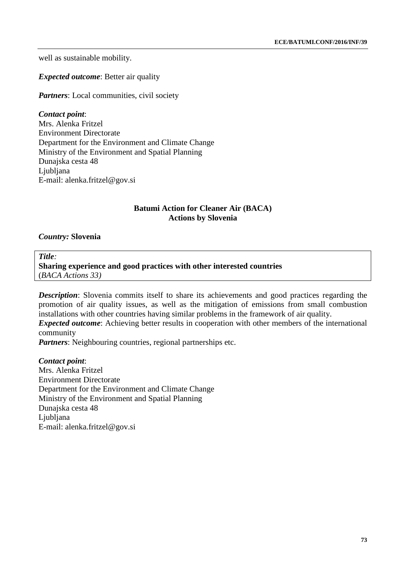well as sustainable mobility.

*Expected outcome*: Better air quality

*Partners*: Local communities, civil society

*Contact point*: Mrs. Alenka Fritzel Environment Directorate Department for the Environment and Climate Change Ministry of the Environment and Spatial Planning Dunajska cesta 48 Ljubljana E-mail: [alenka.fritzel@gov.si](mailto:alenka.fritzel@gov.si)

# **Batumi Action for Cleaner Air (BACA) Actions by Slovenia**

# *Country:* **Slovenia**

*Title:*

**Sharing experience and good practices with other interested countries**  (*BACA Actions 33)*

**Description**: Slovenia commits itself to share its achievements and good practices regarding the promotion of air quality issues, as well as the mitigation of emissions from small combustion installations with other countries having similar problems in the framework of air quality.

*Expected outcome*: Achieving better results in cooperation with other members of the international community

*Partners*: Neighbouring countries, regional partnerships etc.

*Contact point*:

Mrs. Alenka Fritzel Environment Directorate Department for the Environment and Climate Change Ministry of the Environment and Spatial Planning Dunajska cesta 48 Ljubljana E-mail: [alenka.fritzel@gov.si](mailto:alenka.fritzel@gov.si)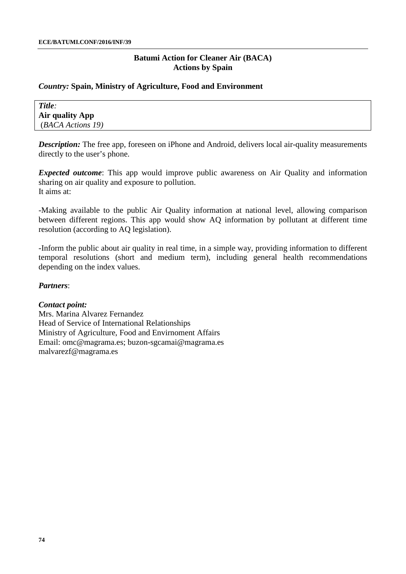# *Country:* **Spain, Ministry of Agriculture, Food and Environment**

| Title:                 |  |
|------------------------|--|
| <b>Air quality App</b> |  |
| (BACA Actions 19)      |  |

*Description:* The free app, foreseen on [iPhone](https://itunes.apple.com/us/app/airforu/id1046111148?mt=8) and [Android,](https://play.google.com/store/apps/details?id=com.walterqian.uclahealth.airforu) delivers local air-quality measurements directly to the user's phone.

*Expected outcome*: This app would improve public awareness on Air Quality and information sharing on air quality and exposure to pollution. It aims at:

-Making available to the public Air Quality information at national level, allowing comparison between different regions. This app would show AQ information by pollutant at different time resolution (according to AQ legislation).

-Inform the public about air quality in real time, in a simple way, providing information to different temporal resolutions (short and medium term), including general health recommendations depending on the index values.

# *Partners*:

# *Contact point:*

Mrs. Marina Alvarez Fernandez Head of Service of International Relationships Ministry of Agriculture, Food and Envirnoment Affairs Email: [omc@magrama.es;](mailto:omc@magrama.es) [buzon-sgcamai@magrama.es](mailto:buzon-sgcamai@magrama.es) [malvarezf@magrama.es](mailto:malvarezf@magrama.es)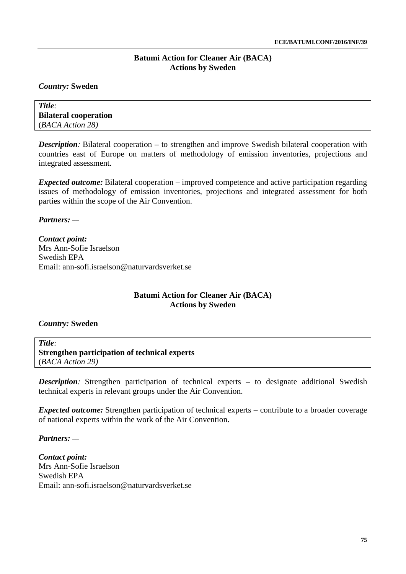# *Country:* **Sweden**

| Title:                       |  |
|------------------------------|--|
| <b>Bilateral cooperation</b> |  |
| (BACA Action 28)             |  |

*Description:* Bilateral cooperation – to strengthen and improve Swedish bilateral cooperation with countries east of Europe on matters of methodology of emission inventories, projections and integrated assessment.

*Expected outcome:* Bilateral cooperation – improved competence and active participation regarding issues of methodology of emission inventories, projections and integrated assessment for both parties within the scope of the Air Convention.

*Partners:* ––

*Contact point:* Mrs Ann-Sofie Israelson Swedish EPA Email: [ann-sofi.israelson@naturvardsverket.se](mailto:ann-sofi.israelson@naturvardsverket.se)

# **Batumi Action for Cleaner Air (BACA) Actions by Sweden**

# *Country:* **Sweden**

*Title:* **Strengthen participation of technical experts** (*BACA Action 29)*

**Description**: Strengthen participation of technical experts – to designate additional Swedish technical experts in relevant groups under the Air Convention.

*Expected outcome:* Strengthen participation of technical experts – contribute to a broader coverage of national experts within the work of the Air Convention.

*Partners:* ––

*Contact point:* Mrs Ann-Sofie Israelson Swedish EPA Email: [ann-sofi.israelson@naturvardsverket.se](mailto:ann-sofi.israelson@naturvardsverket.se)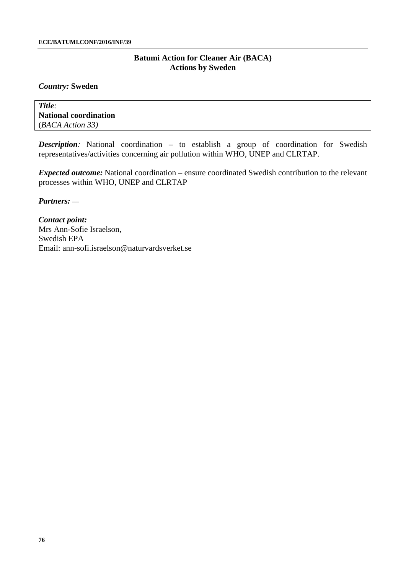# *Country:* **Sweden**

*Title:* **National coordination** (*BACA Action 33)*

**Description:** National coordination – to establish a group of coordination for Swedish representatives/activities concerning air pollution within WHO, UNEP and CLRTAP.

*Expected outcome:* National coordination – ensure coordinated Swedish contribution to the relevant processes within WHO, UNEP and CLRTAP

*Partners:* ––

*Contact point:* Mrs Ann-Sofie Israelson, Swedish EPA Email: [ann-sofi.israelson@naturvardsverket.se](mailto:ann-sofi.israelson@naturvardsverket.se)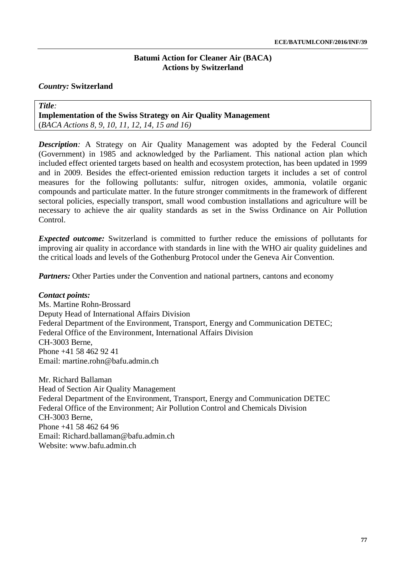# *Country:* **Switzerland**

*Title:* **Implementation of the Swiss Strategy on Air Quality Management**  (*BACA Actions 8, 9, 10, 11, 12, 14, 15 and 16)*

**Description:** A Strategy on Air Quality Management was adopted by the Federal Council (Government) in 1985 and acknowledged by the Parliament. This national action plan which included effect oriented targets based on health and ecosystem protection, has been updated in 1999 and in 2009. Besides the effect-oriented emission reduction targets it includes a set of control measures for the following pollutants: sulfur, nitrogen oxides, ammonia, volatile organic compounds and particulate matter. In the future stronger commitments in the framework of different sectoral policies, especially transport, small wood combustion installations and agriculture will be necessary to achieve the air quality standards as set in the Swiss Ordinance on Air Pollution Control.

*Expected outcome:* Switzerland is committed to further reduce the emissions of pollutants for improving air quality in accordance with standards in line with the WHO air quality guidelines and the critical loads and levels of the Gothenburg Protocol under the Geneva Air Convention.

*Partners:* Other Parties under the Convention and national partners, cantons and economy

# *Contact points:*

Ms. Martine Rohn-Brossard Deputy Head of International Affairs Division Federal Department of the Environment, Transport, Energy and Communication DETEC; Federal Office of the Environment, International Affairs Division CH-3003 Berne, Phone +41 58 462 92 41 Email: [martine.rohn@bafu.admin.ch](mailto:martine.rohn@bafu.admin.ch)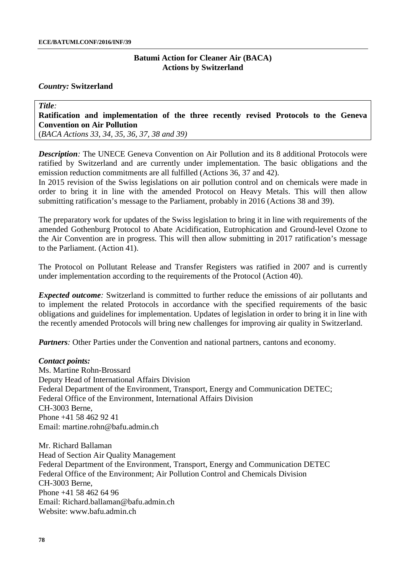#### *Country:* **Switzerland**

*Title:* **Ratification and implementation of the three recently revised Protocols to the Geneva Convention on Air Pollution**

(*BACA Actions 33, 34, 35, 36, 37, 38 and 39)*

*Description:* The UNECE Geneva Convention on Air Pollution and its 8 additional Protocols were ratified by Switzerland and are currently under implementation. The basic obligations and the emission reduction commitments are all fulfilled (Actions 36, 37 and 42).

In 2015 revision of the Swiss legislations on air pollution control and on chemicals were made in order to bring it in line with the amended Protocol on Heavy Metals. This will then allow submitting ratification's message to the Parliament, probably in 2016 (Actions 38 and 39).

The preparatory work for updates of the Swiss legislation to bring it in line with requirements of the amended Gothenburg Protocol to Abate Acidification, Eutrophication and Ground-level Ozone to the Air Convention are in progress. This will then allow submitting in 2017 ratification's message to the Parliament. (Action 41).

The Protocol on Pollutant Release and Transfer Registers was ratified in 2007 and is currently under implementation according to the requirements of the Protocol (Action 40).

*Expected outcome:* Switzerland is committed to further reduce the emissions of air pollutants and to implement the related Protocols in accordance with the specified requirements of the basic obligations and guidelines for implementation. Updates of legislation in order to bring it in line with the recently amended Protocols will bring new challenges for improving air quality in Switzerland.

*Partners*: Other Parties under the Convention and national partners, cantons and economy.

#### *Contact points:*

Ms. Martine Rohn-Brossard Deputy Head of International Affairs Division Federal Department of the Environment, Transport, Energy and Communication DETEC; Federal Office of the Environment, International Affairs Division CH-3003 Berne, Phone +41 58 462 92 41 Email: [martine.rohn@bafu.admin.ch](mailto:martine.rohn@bafu.admin.ch)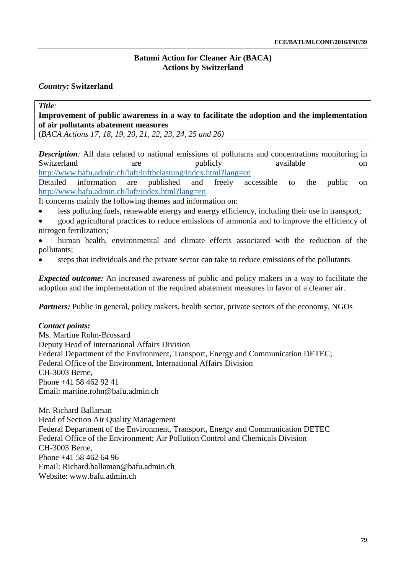# *Country:* **Switzerland**

*Title:*

**Improvement of public awareness in a way to facilitate the adoption and the implementation of air pollutants abatement measures**

(*BACA Actions 17, 18, 19, 20, 21, 22, 23, 24, 25 and 26)*

**Description:** All data related to national emissions of pollutants and concentrations monitoring in Switzerland are publicly on Switzerland are publicly available on <http://www.bafu.admin.ch/luft/luftbelastung/index.html?lang=en>

Detailed information are published and freely accessible to the public on <http://www.bafu.admin.ch/luft/index.html?lang=en>

It concerns mainly the following themes and information on:

- less polluting fuels, renewable energy and energy efficiency, including their use in transport;
- good agricultural practices to reduce emissions of ammonia and to improve the efficiency of nitrogen fertilization;
- human health, environmental and climate effects associated with the reduction of the pollutants;
- steps that individuals and the private sector can take to reduce emissions of the pollutants

*Expected outcome:* An increased awareness of public and policy makers in a way to facilitate the adoption and the implementation of the required abatement measures in favor of a cleaner air.

*Partners:* Public in general, policy makers, health sector, private sectors of the economy, NGOs

# *Contact points:*

Ms. Martine Rohn-Brossard Deputy Head of International Affairs Division Federal Department of the Environment, Transport, Energy and Communication DETEC; Federal Office of the Environment, International Affairs Division CH-3003 Berne, Phone +41 58 462 92 41 Email: [martine.rohn@bafu.admin.ch](mailto:martine.rohn@bafu.admin.ch)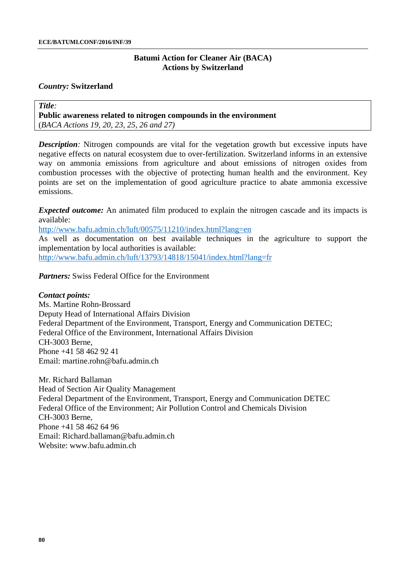#### *Country:* **Switzerland**

*Title:* **Public awareness related to nitrogen compounds in the environment**  (*BACA Actions 19, 20, 23, 25, 26 and 27)*

*Description:* Nitrogen compounds are vital for the vegetation growth but excessive inputs have negative effects on natural ecosystem due to over-fertilization. Switzerland informs in an extensive way on ammonia emissions from agriculture and about emissions of nitrogen oxides from combustion processes with the objective of protecting human health and the environment. Key points are set on the implementation of good agriculture practice to abate ammonia excessive emissions.

*Expected outcome:* An animated film produced to explain the nitrogen cascade and its impacts is available:

<http://www.bafu.admin.ch/luft/00575/11210/index.html?lang=en>

As well as documentation on best available techniques in the agriculture to support the implementation by local authorities is available:

<http://www.bafu.admin.ch/luft/13793/14818/15041/index.html?lang=fr>

*Partners:* Swiss Federal Office for the Environment

### *Contact points:*

Ms. Martine Rohn-Brossard Deputy Head of International Affairs Division Federal Department of the Environment, Transport, Energy and Communication DETEC; Federal Office of the Environment, International Affairs Division CH-3003 Berne, Phone +41 58 462 92 41 Email: [martine.rohn@bafu.admin.ch](mailto:martine.rohn@bafu.admin.ch)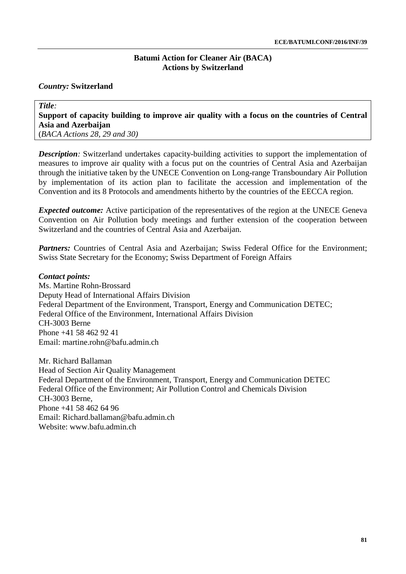# *Country:* **Switzerland**

# *Title:* **Support of capacity building to improve air quality with a focus on the countries of Central Asia and Azerbaijan**

(*BACA Actions 28, 29 and 30)*

*Description:* Switzerland undertakes capacity-building activities to support the implementation of measures to improve air quality with a focus put on the countries of Central Asia and Azerbaijan through the initiative taken by the UNECE Convention on Long-range Transboundary Air Pollution by implementation of its action plan to facilitate the accession and implementation of the Convention and its 8 Protocols and amendments hitherto by the countries of the EECCA region.

*Expected outcome:* Active participation of the representatives of the region at the UNECE Geneva Convention on Air Pollution body meetings and further extension of the cooperation between Switzerland and the countries of Central Asia and Azerbaijan.

**Partners:** Countries of Central Asia and Azerbaijan; Swiss Federal Office for the Environment; Swiss State Secretary for the Economy; Swiss Department of Foreign Affairs

#### *Contact points:*

Ms. Martine Rohn-Brossard Deputy Head of International Affairs Division Federal Department of the Environment, Transport, Energy and Communication DETEC; Federal Office of the Environment, International Affairs Division CH-3003 Berne Phone +41 58 462 92 41 Email: [martine.rohn@bafu.admin.ch](mailto:martine.rohn@bafu.admin.ch)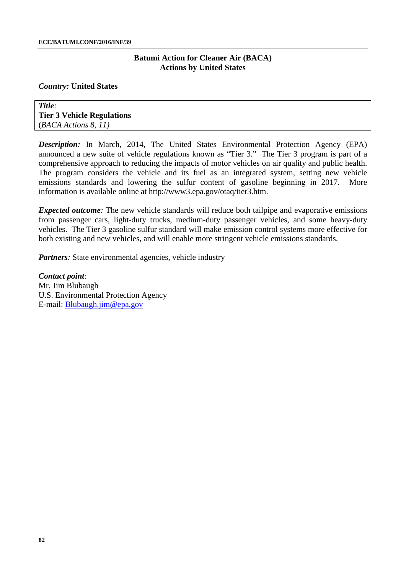#### *Country:* **United States**

*Title:* **Tier 3 Vehicle Regulations** (*BACA Actions 8, 11)*

*Description:* In March, 2014, The United States Environmental Protection Agency (EPA) announced a new suite of vehicle regulations known as "Tier 3." The Tier 3 program is part of a comprehensive approach to reducing the impacts of motor vehicles on air quality and public health. The program considers the vehicle and its fuel as an integrated system, setting new vehicle emissions standards and lowering the sulfur content of gasoline beginning in 2017. More information is available online at [http://www3.epa.gov/otaq/tier3.htm.](http://www3.epa.gov/otaq/tier3.htm)

*Expected outcome*: The new vehicle standards will reduce both tailpipe and evaporative emissions from passenger cars, light-duty trucks, medium-duty passenger vehicles, and some heavy-duty vehicles. The Tier 3 gasoline sulfur standard will make emission control systems more effective for both existing and new vehicles, and will enable more stringent vehicle emissions standards.

*Partners*: State environmental agencies, vehicle industry

*Contact point*: Mr. Jim Blubaugh U.S. Environmental Protection Agency E-mail: [Blubaugh.jim@epa.gov](mailto:Blubaugh.jim@epa.gov)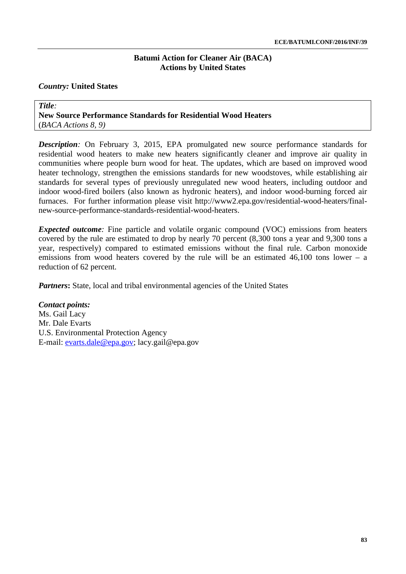# *Country:* **United States**

*Title:* **New Source Performance Standards for Residential Wood Heaters**  (*BACA Actions 8, 9)*

*Description:* On February 3, 2015, EPA promulgated new source performance standards for residential wood heaters to make new heaters significantly cleaner and improve air quality in communities where people burn wood for heat. The updates, which are based on improved wood heater technology, strengthen the emissions standards for new woodstoves, while establishing air standards for several types of previously unregulated new wood heaters, including outdoor and indoor wood-fired boilers (also known as hydronic heaters), and indoor wood-burning forced air furnaces. For further information please visit [http://www2.epa.gov/residential-wood-heaters/final](http://www2.epa.gov/residential-wood-heaters/final-new-source-performance-standards-residential-wood-heaters)[new-source-performance-standards-residential-wood-heaters.](http://www2.epa.gov/residential-wood-heaters/final-new-source-performance-standards-residential-wood-heaters)

*Expected outcome:* Fine particle and volatile organic compound (VOC) emissions from heaters covered by the rule are estimated to drop by nearly 70 percent (8,300 tons a year and 9,300 tons a year, respectively) compared to estimated emissions without the final rule. Carbon monoxide emissions from wood heaters covered by the rule will be an estimated 46,100 tons lower – a reduction of 62 percent.

*Partners*: State, local and tribal environmental agencies of the United States

*Contact points:* Ms. Gail Lacy Mr. Dale Evarts U.S. Environmental Protection Agency E-mail: [evarts.dale@epa.gov;](mailto:evarts.dale@epa.gov) [lacy.gail@epa.gov](mailto:lacy.gail@epa.gov)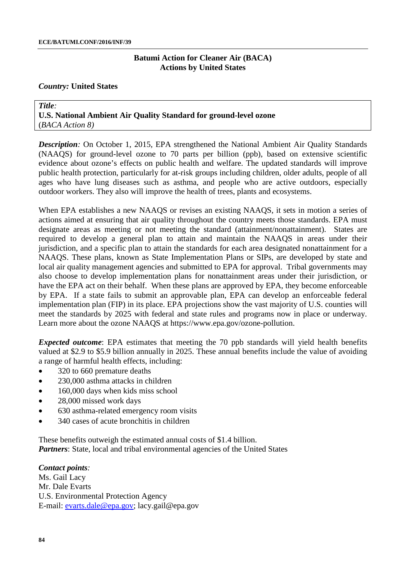#### *Country:* **United States**

*Title:* **U.S. National Ambient Air Quality Standard for ground-level ozone**  (*BACA Action 8)*

**Description**: On October 1, 2015, EPA strengthened the National Ambient Air Quality Standards (NAAQS) for ground-level ozone to 70 parts per billion (ppb), based on extensive scientific evidence about ozone's effects on public health and welfare. The updated standards will improve public health protection, particularly for at-risk groups including children, older adults, people of all ages who have lung diseases such as asthma, and people who are active outdoors, especially outdoor workers. They also will improve the health of trees, plants and ecosystems.

When EPA establishes a new NAAQS or revises an existing NAAQS, it sets in motion a series of actions aimed at ensuring that air quality throughout the country meets those standards. EPA must designate areas as meeting or not meeting the standard (attainment/nonattainment). States are required to develop a general plan to attain and maintain the NAAQS in areas under their jurisdiction, and a specific plan to attain the standards for each area designated nonattainment for a NAAQS. These plans, known as State Implementation Plans or SIPs, are developed by state and local air quality management agencies and submitted to EPA for approval. Tribal governments may also choose to develop implementation plans for nonattainment areas under their jurisdiction, or have the EPA act on their behalf. When these plans are approved by EPA, they become enforceable by EPA. If a state fails to submit an approvable plan, EPA can develop an enforceable federal implementation plan (FIP) in its place. EPA projections show the vast majority of U.S. counties will meet the standards by 2025 with federal and state rules and programs now in place or underway. Learn more about the ozone NAAQS at [https://www.epa.gov/ozone-pollution.](https://www.epa.gov/ozone-pollution)

*Expected outcome*: EPA estimates that meeting the 70 ppb standards will yield health benefits valued at \$2.9 to \$5.9 billion annually in 2025. These annual benefits include the value of avoiding a range of harmful health effects, including:

- 320 to 660 premature deaths
- 230,000 asthma attacks in children
- 160,000 days when kids miss school
- 28,000 missed work days
- 630 asthma-related emergency room visits
- 340 cases of acute bronchitis in children

These benefits outweigh the estimated annual costs of \$1.4 billion. *Partners*: State, local and tribal environmental agencies of the United States

#### *Contact points:*

Ms. Gail Lacy Mr. Dale Evarts U.S. Environmental Protection Agency E-mail: [evarts.dale@epa.gov;](mailto:evarts.dale@epa.gov) [lacy.gail@epa.gov](mailto:lacy.gail@epa.gov)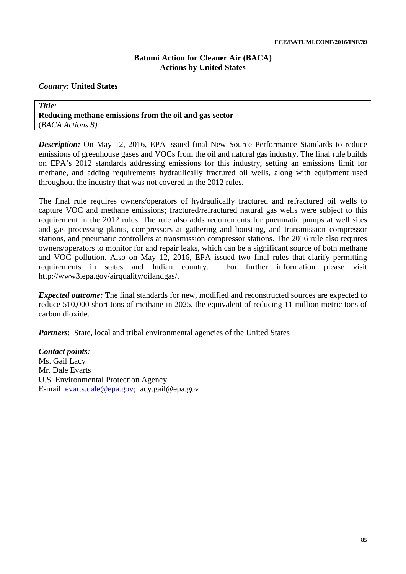# *Country:* **United States**

*Title:* **Reducing methane emissions from the oil and gas sector** (*BACA Actions 8)*

**Description:** On May 12, 2016, EPA issued final New Source Performance Standards to reduce emissions of greenhouse gases and VOCs from the oil and natural gas industry. The final rule builds on EPA's 2012 standards addressing emissions for this industry, setting an emissions limit for methane, and adding requirements hydraulically fractured oil wells, along with equipment used throughout the industry that was not covered in the 2012 rules.

The final rule requires owners/operators of hydraulically fractured and refractured oil wells to capture VOC and methane emissions; fractured/refractured natural gas wells were subject to this requirement in the 2012 rules. The rule also adds requirements for pneumatic pumps at well sites and gas processing plants, compressors at gathering and boosting, and transmission compressor stations, and pneumatic controllers at transmission compressor stations. The 2016 rule also requires owners/operators to monitor for and repair leaks, which can be a significant source of both methane and VOC pollution. Also on May 12, 2016, EPA issued two final rules that clarify permitting requirements in states and Indian country. For further information please visit [http://www3.epa.gov/airquality/oilandgas/.](http://www3.epa.gov/airquality/oilandgas/)

*Expected outcome*: The final standards for new, modified and reconstructed sources are expected to reduce 510,000 short tons of methane in 2025, the equivalent of reducing 11 million metric tons of carbon dioxide.

*Partners*: State, local and tribal environmental agencies of the United States

*Contact points:* Ms. Gail Lacy Mr. Dale Evarts U.S. Environmental Protection Agency E-mail: [evarts.dale@epa.gov;](mailto:evarts.dale@epa.gov) [lacy.gail@epa.gov](mailto:lacy.gail@epa.gov)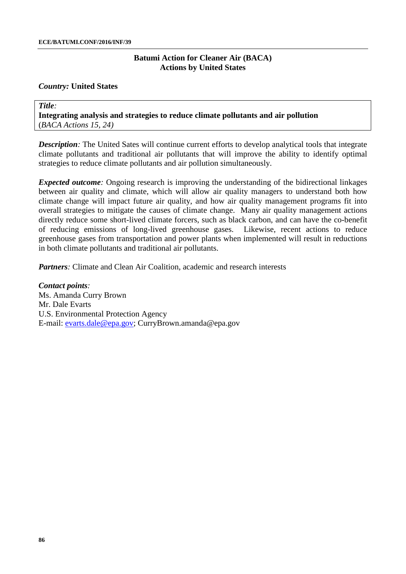#### *Country:* **United States**

*Title:* **Integrating analysis and strategies to reduce climate pollutants and air pollution** (*BACA Actions 15, 24)*

*Description:* The United Sates will continue current efforts to develop analytical tools that integrate climate pollutants and traditional air pollutants that will improve the ability to identify optimal strategies to reduce climate pollutants and air pollution simultaneously.

*Expected outcome*: Ongoing research is improving the understanding of the bidirectional linkages between air quality and climate, which will allow air quality managers to understand both how climate change will impact future air quality, and how air quality management programs fit into overall strategies to mitigate the causes of climate change. Many air quality management actions directly reduce some short-lived climate forcers, such as black carbon, and can have the co-benefit of reducing emissions of long-lived greenhouse gases. Likewise, recent actions to reduce greenhouse gases from transportation and power plants when implemented will result in reductions in both climate pollutants and traditional air pollutants.

*Partners*: Climate and Clean Air Coalition, academic and research interests

*Contact points:* Ms. Amanda Curry Brown Mr. Dale Evarts U.S. Environmental Protection Agency E-mail: [evarts.dale@epa.gov;](mailto:evarts.dale@epa.gov) [CurryBrown.amanda@epa.gov](mailto:CurryBrown.amanda@epa.gov)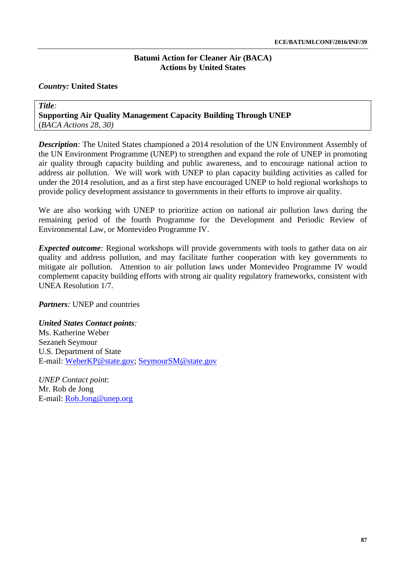# *Country:* **United States**

*Title:* **Supporting Air Quality Management Capacity Building Through UNEP** (*BACA Actions 28, 30)*

**Description**: The United States championed a 2014 resolution of the UN Environment Assembly of the UN Environment Programme (UNEP) to strengthen and expand the role of UNEP in promoting air quality through capacity building and public awareness, and to encourage national action to address air pollution. We will work with UNEP to plan capacity building activities as called for under the 2014 resolution, and as a first step have encouraged UNEP to hold regional workshops to provide policy development assistance to governments in their efforts to improve air quality.

We are also working with UNEP to prioritize action on national air pollution laws during the remaining period of the fourth Programme for the Development and Periodic Review of Environmental Law, or Montevideo Programme IV.

*Expected outcome:* Regional workshops will provide governments with tools to gather data on air quality and address pollution, and may facilitate further cooperation with key governments to mitigate air pollution. Attention to air pollution laws under Montevideo Programme IV would complement capacity building efforts with strong air quality regulatory frameworks, consistent with UNEA Resolution 1/7.

*Partners:* UNEP and countries

*United States Contact points:* Ms. Katherine Weber Sezaneh Seymour U.S. Department of State E-mail: [WeberKP@state.gov;](mailto:WeberKP@state.gov) [SeymourSM@state.gov](mailto:SeymourSM@state.gov)

*UNEP Contact point*: Mr. Rob de Jong E-mail: [Rob.Jong@unep.org](mailto:Rob.Jong@unep.org)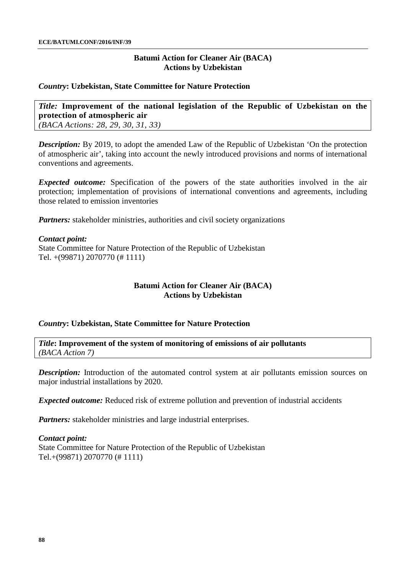# **Batumi Action for Cleaner Air (BACA) Actions by Uzbekistan**

### *Country***: Uzbekistan, State Committee for Nature Protection**

*Title:* **Improvement of the national legislation of the Republic of Uzbekistan on the protection of atmospheric air** *(BACA Actions: 28, 29, 30, 31, 33)*

**Description:** By 2019, to adopt the amended Law of the Republic of Uzbekistan 'On the protection of atmospheric air', taking into account the newly introduced provisions and norms of international conventions and agreements.

*Expected outcome:* Specification of the powers of the state authorities involved in the air protection; implementation of provisions of international conventions and agreements, including those related to emission inventories

*Partners:* stakeholder ministries, authorities and civil society organizations

#### *Contact point:*

State Committee for Nature Protection of the Republic of Uzbekistan Tel. +(99871) 2070770 (# 1111)

# **Batumi Action for Cleaner Air (BACA) Actions by Uzbekistan**

# *Country***: Uzbekistan, State Committee for Nature Protection**

*Title***: Improvement of the system of monitoring of emissions of air pollutants**  *(BACA Action 7)*

*Description:* Introduction of the automated control system at air pollutants emission sources on major industrial installations by 2020.

*Expected outcome:* Reduced risk of extreme pollution and prevention of industrial accidents

*Partners:* stakeholder ministries and large industrial enterprises.

#### *Contact point:*

State Committee for Nature Protection of the Republic of Uzbekistan Tel.+(99871) 2070770 (# 1111)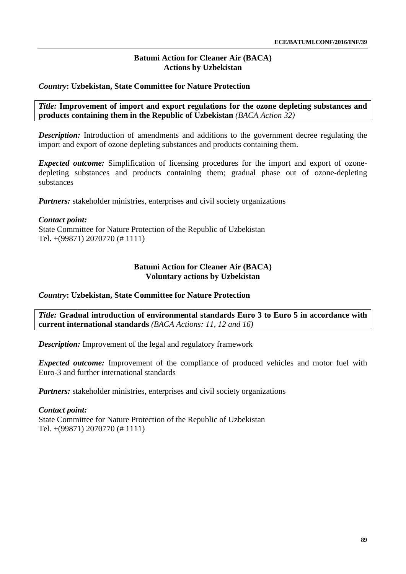# **Batumi Action for Cleaner Air (BACA) Actions by Uzbekistan**

# *Country***: Uzbekistan, State Committee for Nature Protection**

*Title:* **Improvement of import and export regulations for the ozone depleting substances and products containing them in the Republic of Uzbekistan** *(BACA Action 32)*

*Description:* Introduction of amendments and additions to the government decree regulating the import and export of ozone depleting substances and products containing them.

*Expected outcome:* Simplification of licensing procedures for the import and export of ozonedepleting substances and products containing them; gradual phase out of ozone-depleting substances

*Partners:* stakeholder ministries, enterprises and civil society organizations

# *Contact point:*

State Committee for Nature Protection of the Republic of Uzbekistan Tel. +(99871) 2070770 (# 1111)

# **Batumi Action for Cleaner Air (BACA) Voluntary actions by Uzbekistan**

# *Country***: Uzbekistan, State Committee for Nature Protection**

*Title:* **Gradual introduction of environmental standards Euro 3 to Euro 5 in accordance with current international standards** *(BACA Actions: 11, 12 and 16)*

*Description:* Improvement of the legal and regulatory framework

*Expected outcome:* Improvement of the compliance of produced vehicles and motor fuel with Euro-3 and further international standards

*Partners:* stakeholder ministries, enterprises and civil society organizations

# *Contact point:*

State Committee for Nature Protection of the Republic of Uzbekistan Tel. +(99871) 2070770 (# 1111)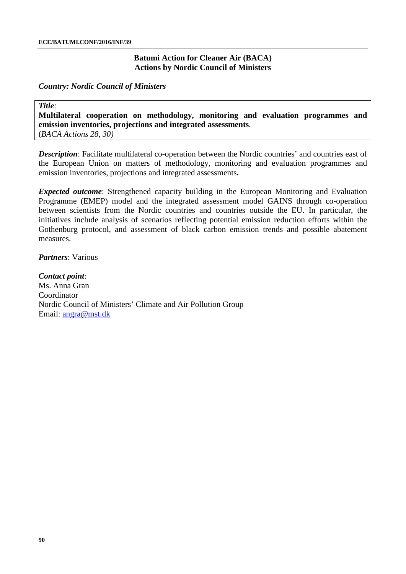# **Batumi Action for Cleaner Air (BACA) Actions by Nordic Council of Ministers**

*Country: Nordic Council of Ministers*

*Title:* **Multilateral cooperation on methodology, monitoring and evaluation programmes and emission inventories, projections and integrated assessments**. (*BACA Actions 28, 30)*

*Description*: Facilitate multilateral co-operation between the Nordic countries' and countries east of the European Union on matters of methodology, monitoring and evaluation programmes and emission inventories, projections and integrated assessments**.**

*Expected outcome*: Strengthened capacity building in the European Monitoring and Evaluation Programme (EMEP) model and the integrated assessment model GAINS through co-operation between scientists from the Nordic countries and countries outside the EU. In particular, the initiatives include analysis of scenarios reflecting potential emission reduction efforts within the Gothenburg protocol, and assessment of black carbon emission trends and possible abatement measures.

*Partners*: Various

*Contact point*: Ms. Anna Gran Coordinator Nordic Council of Ministers' Climate and Air Pollution Group Email: [angra@mst.dk](mailto:angra@mst.dk)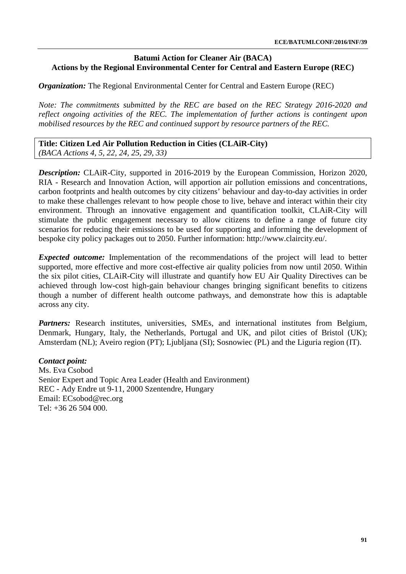*Organization:* The Regional Environmental Center for Central and Eastern Europe (REC)

*Note: The commitments submitted by the REC are based on the REC Strategy 2016-2020 and reflect ongoing activities of the REC. The implementation of further actions is contingent upon mobilised resources by the REC and continued support by resource partners of the REC.*

**Title: Citizen Led Air Pollution Reduction in Cities (CLAiR-City)** *(BACA Actions 4, 5, 22, 24, 25, 29, 33)*

*Description:* CLAiR-City, supported in 2016-2019 by the European Commission, Horizon 2020, RIA - Research and Innovation Action, will apportion air pollution emissions and concentrations, carbon footprints and health outcomes by city citizens' behaviour and day-to-day activities in order to make these challenges relevant to how people chose to live, behave and interact within their city environment. Through an innovative engagement and quantification toolkit, CLAiR-City will stimulate the public engagement necessary to allow citizens to define a range of future city scenarios for reducing their emissions to be used for supporting and informing the development of bespoke city policy packages out to 2050. Further information: [http://www.claircity.eu/.](http://www.claircity.eu/)

*Expected outcome:* Implementation of the recommendations of the project will lead to better supported, more effective and more cost-effective air quality policies from now until 2050. Within the six pilot cities, CLAiR-City will illustrate and quantify how EU Air Quality Directives can be achieved through low-cost high-gain behaviour changes bringing significant benefits to citizens though a number of different health outcome pathways, and demonstrate how this is adaptable across any city.

Partners: Research institutes, universities, SMEs, and international institutes from Belgium, Denmark, Hungary, Italy, the Netherlands, Portugal and UK, and pilot cities of Bristol (UK); Amsterdam (NL); Aveiro region (PT); Ljubljana (SI); Sosnowiec (PL) and the Liguria region (IT).

#### *Contact point:*

Ms. Eva Csobod Senior Expert and Topic Area Leader (Health and Environment) REC - Ady Endre ut 9-11, 2000 Szentendre, Hungary Email: [ECsobod@rec.org](mailto:ECsobod@rec.org) Tel:  $+36, 26, 504, 000$ .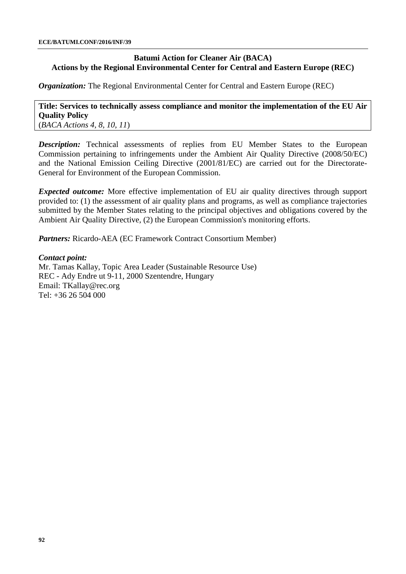*Organization:* The Regional Environmental Center for Central and Eastern Europe (REC)

### **Title: Services to technically assess compliance and monitor the implementation of the EU Air Quality Policy** (*BACA Actions 4, 8, 10, 11*)

*Description:* Technical assessments of replies from EU Member States to the European Commission pertaining to infringements under the Ambient Air Quality Directive (2008/50/EC) and the National Emission Ceiling Directive (2001/81/EC) are carried out for the Directorate-General for Environment of the European Commission.

*Expected outcome:* More effective implementation of EU air quality directives through support provided to: (1) the assessment of air quality plans and programs, as well as compliance trajectories submitted by the Member States relating to the principal objectives and obligations covered by the Ambient Air Quality Directive, (2) the European Commission's monitoring efforts.

*Partners:* Ricardo-AEA (EC Framework Contract Consortium Member)

# *Contact point:*

Mr. Tamas Kallay, Topic Area Leader (Sustainable Resource Use) REC - Ady Endre ut 9-11, 2000 Szentendre, Hungary Email: [TKallay@rec.org](mailto:TKallay@rec.org) Tel: +36 26 504 000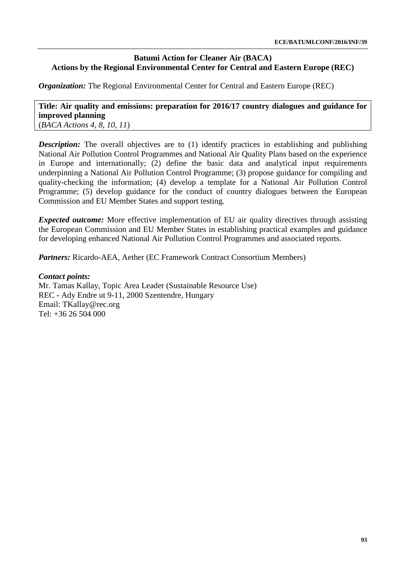*Organization:* The Regional Environmental Center for Central and Eastern Europe (REC)

**Title: Air quality and emissions: preparation for 2016/17 country dialogues and guidance for improved planning** (*BACA Actions 4, 8, 10, 11*)

*Description:* The overall objectives are to (1) identify practices in establishing and publishing National Air Pollution Control Programmes and National Air Quality Plans based on the experience in Europe and internationally; (2) define the basic data and analytical input requirements underpinning a National Air Pollution Control Programme; (3) propose guidance for compiling and quality-checking the information; (4) develop a template for a National Air Pollution Control Programme; (5) develop guidance for the conduct of country dialogues between the European Commission and EU Member States and support testing.

*Expected outcome:* More effective implementation of EU air quality directives through assisting the European Commission and EU Member States in establishing practical examples and guidance for developing enhanced National Air Pollution Control Programmes and associated reports.

*Partners:* Ricardo-AEA, Aether (EC Framework Contract Consortium Members)

# *Contact points:*

Mr. Tamas Kallay, Topic Area Leader (Sustainable Resource Use) REC - Ady Endre ut 9-11, 2000 Szentendre, Hungary Email: [TKallay@rec.org](mailto:TKallay@rec.org) Tel: +36 26 504 000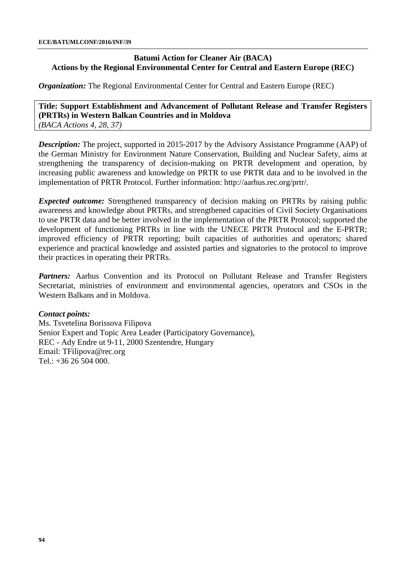*Organization:* The Regional Environmental Center for Central and Eastern Europe (REC)

**Title: Support Establishment and Advancement of Pollutant Release and Transfer Registers (PRTRs) in Western Balkan Countries and in Moldova** *(BACA Actions 4, 28, 37)*

*Description:* The project, supported in 2015-2017 by the Advisory Assistance Programme (AAP) of the German Ministry for Environment Nature Conservation, Building and Nuclear Safety, aims at strengthening the transparency of decision-making on [PRTR](https://www.umweltbundesamt.de/service/glossar/p?tag=PRTR#alphabar) development and operation, by increasing public awareness and knowledge on PRTR to use PRTR data and to be involved in the implementation of PRTR Protocol. Further information: [http://aarhus.rec.org/prtr/.](http://aarhus.rec.org/prtr/)

*Expected outcome:* Strengthened transparency of decision making on PRTRs by raising public awareness and knowledge about PRTRs, and strengthened capacities of Civil Society Organisations to use PRTR data and be better involved in the implementation of the PRTR Protocol; supported the development of functioning PRTRs in line with the UNECE PRTR Protocol and the E-PRTR; improved efficiency of PRTR reporting; built capacities of authorities and operators; shared experience and practical knowledge and assisted parties and signatories to the protocol to improve their practices in operating their PRTRs.

*Partners:* Aarhus Convention and its Protocol on Pollutant Release and Transfer Registers Secretariat, ministries of environment and environmental agencies, operators and CSOs in the Western Balkans and in Moldova.

# *Contact points:*

Ms. Tsvetelina Borissova Filipova Senior Expert and Topic Area Leader (Participatory Governance), REC - Ady Endre ut 9-11, 2000 Szentendre, Hungary Email: [TFilipova@rec.org](mailto:TFilipova@rec.org) Tel.: +36 26 504 000.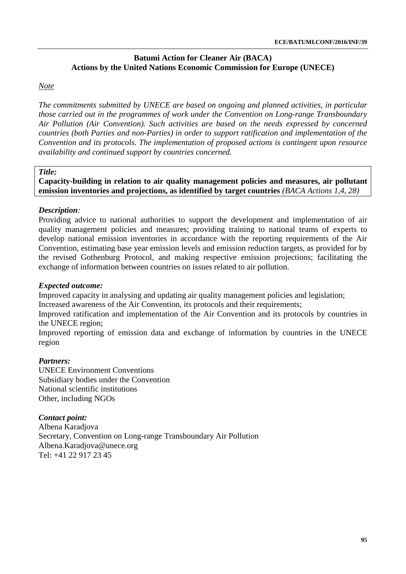# **Batumi Action for Cleaner Air (BACA) Actions by the United Nations Economic Commission for Europe (UNECE)**

# *Note*

*The commitments submitted by UNECE are based on ongoing and planned activities, in particular those carried out in the programmes of work under the Convention on Long-range Transboundary Air Pollution (Air Convention). Such activities are based on the needs expressed by concerned countries (both Parties and non-Parties) in order to support ratification and implementation of the Convention and its protocols. The implementation of proposed actions is contingent upon resource availability and continued support by countries concerned.* 

#### *Title:*

**Capacity-building in relation to air quality management policies and measures, air pollutant emission inventories and projections, as identified by target countries** *(BACA Actions 1,4, 28)*

# *Description:*

Providing advice to national authorities to support the development and implementation of air quality management policies and measures; providing training to national teams of experts to develop national emission inventories in accordance with the reporting requirements of the Air Convention, estimating base year emission levels and emission reduction targets, as provided for by the revised Gothenburg Protocol, and making respective emission projections; facilitating the exchange of information between countries on issues related to air pollution.

# *Expected outcome:*

Improved capacity in analysing and updating air quality management policies and legislation;

Increased awareness of the Air Convention, its protocols and their requirements;

Improved ratification and implementation of the Air Convention and its protocols by countries in the UNECE region;

Improved reporting of emission data and exchange of information by countries in the UNECE region

# *Partners:*

UNECE Environment Conventions Subsidiary bodies under the Convention National scientific institutions Other, including NGOs

# *Contact point:*

Albena Karadjova Secretary, Convention on Long-range Transboundary Air Pollution Albena.Karadjova@unece.org Tel: +41 22 917 23 45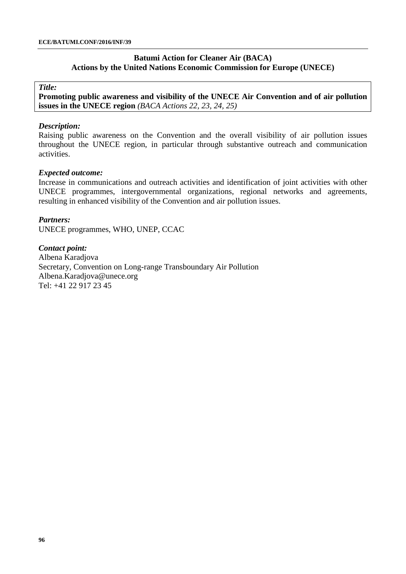### **Batumi Action for Cleaner Air (BACA) Actions by the United Nations Economic Commission for Europe (UNECE)**

*Title:*

**Promoting public awareness and visibility of the UNECE Air Convention and of air pollution issues in the UNECE region** *(BACA Actions 22, 23, 24, 25)*

#### *Description:*

Raising public awareness on the Convention and the overall visibility of air pollution issues throughout the UNECE region, in particular through substantive outreach and communication activities.

#### *Expected outcome:*

Increase in communications and outreach activities and identification of joint activities with other UNECE programmes, intergovernmental organizations, regional networks and agreements, resulting in enhanced visibility of the Convention and air pollution issues.

#### *Partners:*

UNECE programmes, WHO, UNEP, CCAC

#### *Contact point:*

Albena Karadjova Secretary, Convention on Long-range Transboundary Air Pollution Albena.Karadjova@unece.org Tel: +41 22 917 23 45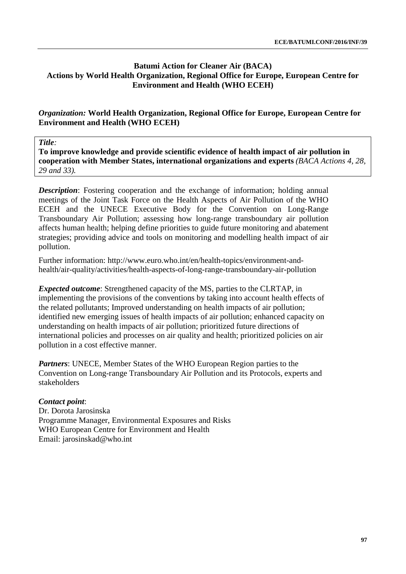# **Batumi Action for Cleaner Air (BACA) Actions by World Health Organization, Regional Office for Europe, European Centre for Environment and Health (WHO ECEH)**

# *Organization:* **World Health Organization, Regional Office for Europe, European Centre for Environment and Health (WHO ECEH)**

*Title:*

**To improve knowledge and provide scientific evidence of health impact of air pollution in cooperation with Member States, international organizations and experts** *(BACA Actions 4, 28, 29 and 33).*

**Description:** Fostering cooperation and the exchange of information; holding annual meetings of the Joint Task Force on the Health Aspects of Air Pollution of the WHO ECEH and the UNECE Executive Body for the Convention on Long-Range Transboundary Air Pollution; assessing how long-range transboundary air pollution affects human health; helping define priorities to guide future monitoring and abatement strategies; providing advice and tools on monitoring and modelling health impact of air pollution.

Further information: [http://www.euro.who.int/en/health-topics/environment-and](http://www.euro.who.int/en/health-topics/environment-and-health/air-quality/activities/health-aspects-of-long-range-transboundary-air-pollution)[health/air-quality/activities/health-aspects-of-long-range-transboundary-air-pollution](http://www.euro.who.int/en/health-topics/environment-and-health/air-quality/activities/health-aspects-of-long-range-transboundary-air-pollution)

*Expected outcome*: Strengthened capacity of the MS, parties to the CLRTAP, in implementing the provisions of the conventions by taking into account health effects of the related pollutants; Improved understanding on health impacts of air pollution; identified new emerging issues of health impacts of air pollution; enhanced capacity on understanding on health impacts of air pollution; prioritized future directions of international policies and processes on air quality and health; prioritized policies on air pollution in a cost effective manner.

*Partners*: UNECE, Member States of the WHO European Region parties to the Convention on Long-range Transboundary Air Pollution and its Protocols, experts and stakeholders

# *Contact point*:

Dr. Dorota Jarosinska Programme Manager, Environmental Exposures and Risks WHO European Centre for Environment and Health Email: [jarosinskad@who.int](mailto:jarosinskad@who.int)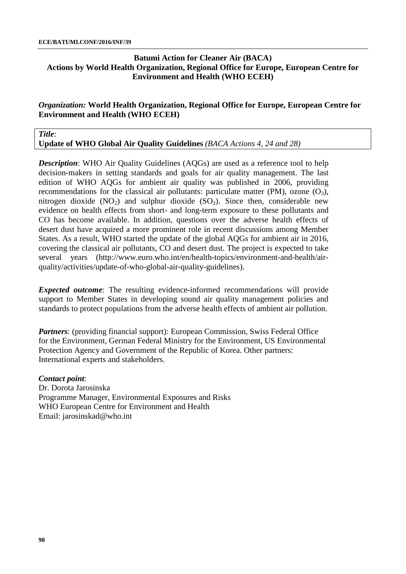# **Batumi Action for Cleaner Air (BACA) Actions by World Health Organization, Regional Office for Europe, European Centre for Environment and Health (WHO ECEH)**

# *Organization:* **World Health Organization, Regional Office for Europe, European Centre for Environment and Health (WHO ECEH)**

#### *Title:*

**Update of WHO Global Air Quality Guidelines** *(BACA Actions 4, 24 and 28)*

*Description*: WHO Air Quality Guidelines (AQGs) are used as a reference tool to help decision-makers in setting standards and goals for air quality management. The last edition of WHO AQGs for ambient air quality was published in 2006, providing recommendations for the classical air pollutants: particulate matter (PM), ozone  $(O_3)$ , nitrogen dioxide  $(NO_2)$  and sulphur dioxide  $(SO_2)$ . Since then, considerable new evidence on health effects from short- and long-term exposure to these pollutants and CO has become available. In addition, questions over the adverse health effects of desert dust have acquired a more prominent role in recent discussions among Member States. As a result, WHO started the update of the global AQGs for ambient air in 2016, covering the classical air pollutants, CO and desert dust. The project is expected to take several years [\(http://www.euro.who.int/en/health-topics/environment-and-health/air](http://www.euro.who.int/en/health-topics/environment-and-health/air-quality/activities/update-of-who-global-air-quality-guidelines)[quality/activities/update-of-who-global-air-quality-guidelines\)](http://www.euro.who.int/en/health-topics/environment-and-health/air-quality/activities/update-of-who-global-air-quality-guidelines).

*Expected outcome*: The resulting evidence-informed recommendations will provide support to Member States in developing sound air quality management policies and standards to protect populations from the adverse health effects of ambient air pollution.

*Partners*: (providing financial support): European Commission, Swiss Federal Office for the Environment, German Federal Ministry for the Environment, US Environmental Protection Agency and Government of the Republic of Korea. Other partners: International experts and stakeholders.

#### *Contact point*:

Dr. Dorota Jarosinska Programme Manager, Environmental Exposures and Risks WHO European Centre for Environment and Health Email: [jarosinskad@who.int](mailto:jarosinskad@who.int)